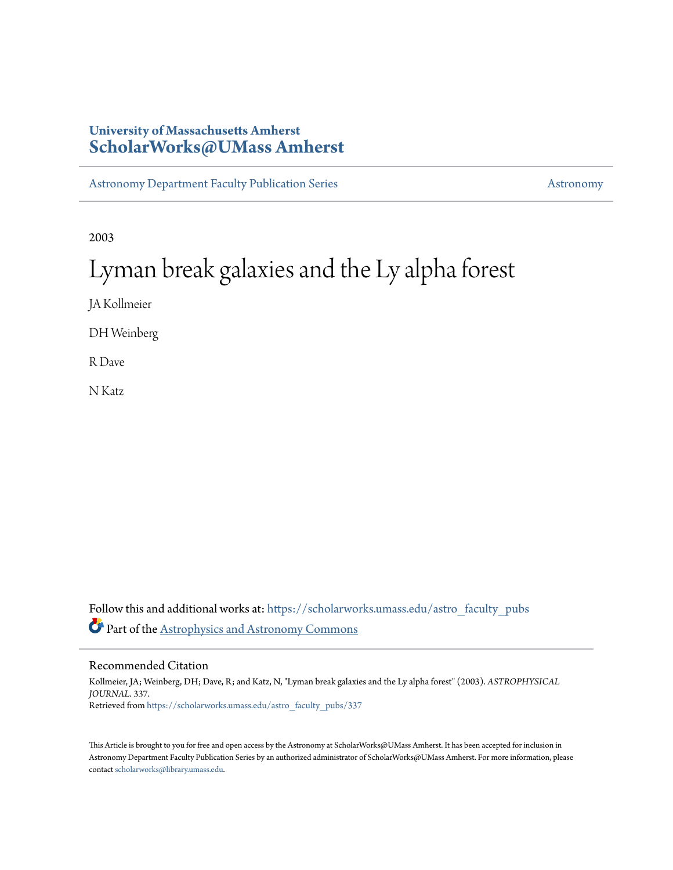# **University of Massachusetts Amherst [ScholarWorks@UMass Amherst](https://scholarworks.umass.edu?utm_source=scholarworks.umass.edu%2Fastro_faculty_pubs%2F337&utm_medium=PDF&utm_campaign=PDFCoverPages)**

[Astronomy Department Faculty Publication Series](https://scholarworks.umass.edu/astro_faculty_pubs?utm_source=scholarworks.umass.edu%2Fastro_faculty_pubs%2F337&utm_medium=PDF&utm_campaign=PDFCoverPages) [Astronomy](https://scholarworks.umass.edu/astro?utm_source=scholarworks.umass.edu%2Fastro_faculty_pubs%2F337&utm_medium=PDF&utm_campaign=PDFCoverPages)

2003

# Lyman break galaxies and the Ly alpha forest

JA Kollmeier

DH Weinberg

R Dave

N Katz

Follow this and additional works at: [https://scholarworks.umass.edu/astro\\_faculty\\_pubs](https://scholarworks.umass.edu/astro_faculty_pubs?utm_source=scholarworks.umass.edu%2Fastro_faculty_pubs%2F337&utm_medium=PDF&utm_campaign=PDFCoverPages) Part of the [Astrophysics and Astronomy Commons](http://network.bepress.com/hgg/discipline/123?utm_source=scholarworks.umass.edu%2Fastro_faculty_pubs%2F337&utm_medium=PDF&utm_campaign=PDFCoverPages)

Recommended Citation

Kollmeier, JA; Weinberg, DH; Dave, R; and Katz, N, "Lyman break galaxies and the Ly alpha forest" (2003). *ASTROPHYSICAL JOURNAL*. 337. Retrieved from [https://scholarworks.umass.edu/astro\\_faculty\\_pubs/337](https://scholarworks.umass.edu/astro_faculty_pubs/337?utm_source=scholarworks.umass.edu%2Fastro_faculty_pubs%2F337&utm_medium=PDF&utm_campaign=PDFCoverPages)

This Article is brought to you for free and open access by the Astronomy at ScholarWorks@UMass Amherst. It has been accepted for inclusion in Astronomy Department Faculty Publication Series by an authorized administrator of ScholarWorks@UMass Amherst. For more information, please contact [scholarworks@library.umass.edu](mailto:scholarworks@library.umass.edu).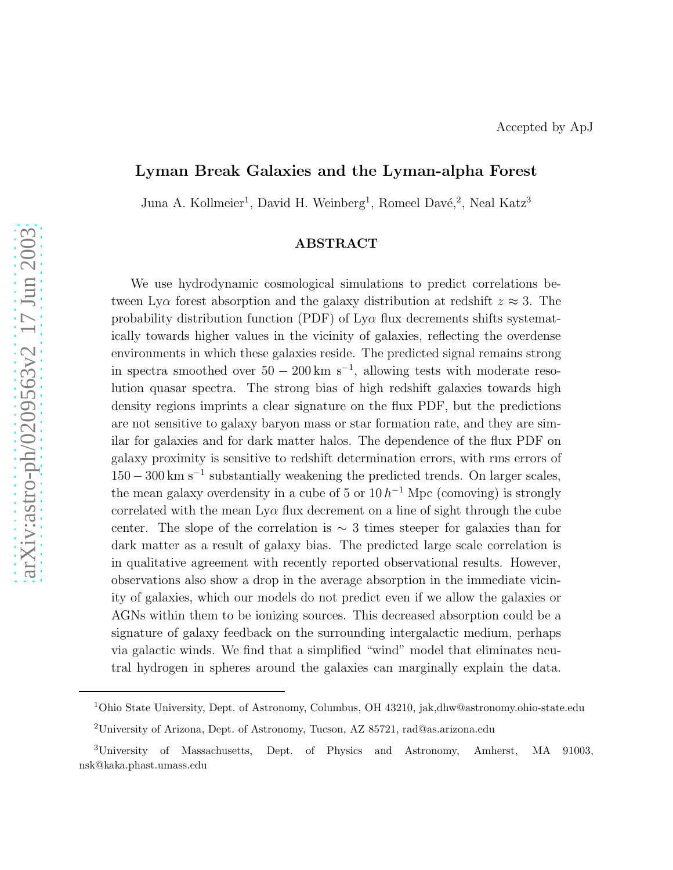# Lyman Break Galaxies and the Lyman-alpha Forest

Juna A. Kollmeier<sup>1</sup>, David H. Weinberg<sup>1</sup>, Romeel Davé,<sup>2</sup>, Neal Katz<sup>3</sup>

## ABSTRACT

We use hydrodynamic cosmological simulations to predict correlations between Ly $\alpha$  forest absorption and the galaxy distribution at redshift  $z \approx 3$ . The probability distribution function (PDF) of  $Ly\alpha$  flux decrements shifts systematically towards higher values in the vicinity of galaxies, reflecting the overdense environments in which these galaxies reside. The predicted signal remains strong in spectra smoothed over  $50 - 200 \text{ km s}^{-1}$ , allowing tests with moderate resolution quasar spectra. The strong bias of high redshift galaxies towards high density regions imprints a clear signature on the flux PDF, but the predictions are not sensitive to galaxy baryon mass or star formation rate, and they are similar for galaxies and for dark matter halos. The dependence of the flux PDF on galaxy proximity is sensitive to redshift determination errors, with rms errors of  $150 - 300$  km s<sup>-1</sup> substantially weakening the predicted trends. On larger scales, the mean galaxy overdensity in a cube of 5 or  $10 h^{-1}$  Mpc (comoving) is strongly correlated with the mean  $Ly\alpha$  flux decrement on a line of sight through the cube center. The slope of the correlation is  $\sim$  3 times steeper for galaxies than for dark matter as a result of galaxy bias. The predicted large scale correlation is in qualitative agreement with recently reported observational results. However, observations also show a drop in the average absorption in the immediate vicinity of galaxies, which our models do not predict even if we allow the galaxies or AGNs within them to be ionizing sources. This decreased absorption could be a signature of galaxy feedback on the surrounding intergalactic medium, perhaps via galactic winds. We find that a simplified "wind" model that eliminates neutral hydrogen in spheres around the galaxies can marginally explain the data.

<sup>1</sup>Ohio State University, Dept. of Astronomy, Columbus, OH 43210, jak,dhw@astronomy.ohio-state.edu

<sup>2</sup>University of Arizona, Dept. of Astronomy, Tucson, AZ 85721, rad@as.arizona.edu

<sup>3</sup>University of Massachusetts, Dept. of Physics and Astronomy, Amherst, MA 91003, nsk@kaka.phast.umass.edu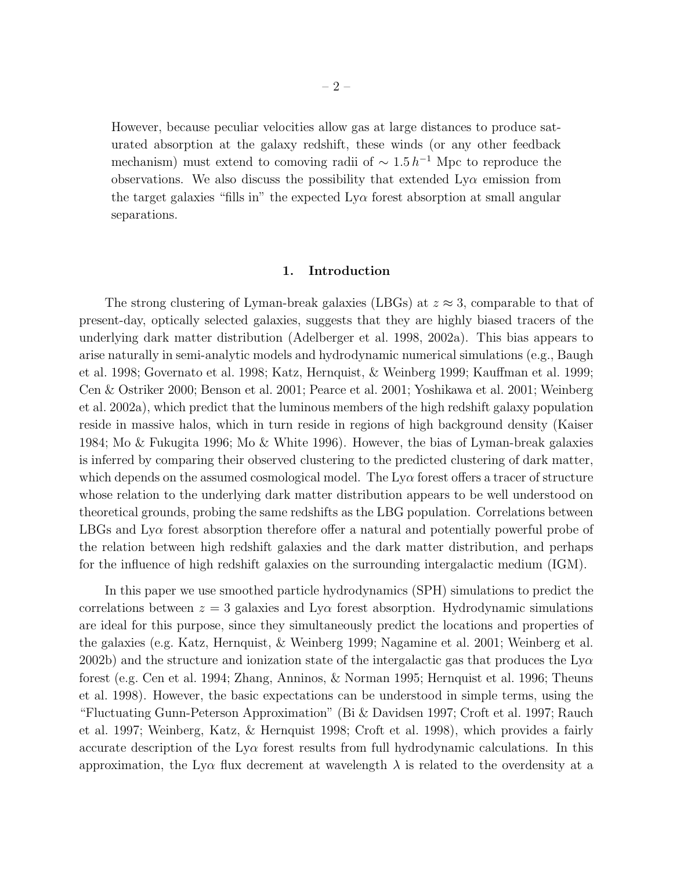However, because peculiar velocities allow gas at large distances to produce saturated absorption at the galaxy redshift, these winds (or any other feedback mechanism) must extend to comoving radii of  $\sim 1.5 h^{-1}$  Mpc to reproduce the observations. We also discuss the possibility that extended  $Ly\alpha$  emission from the target galaxies "fills in" the expected  $Ly\alpha$  forest absorption at small angular separations.

#### 1. Introduction

The strong clustering of Lyman-break galaxies (LBGs) at  $z \approx 3$ , comparable to that of present-day, optically selected galaxies, suggests that they are highly biased tracers of the underlying dark matter distribution (Adelberger et al. 1998, 2002a). This bias appears to arise naturally in semi-analytic models and hydrodynamic numerical simulations (e.g., Baugh et al. 1998; Governato et al. 1998; Katz, Hernquist, & Weinberg 1999; Kauffman et al. 1999; Cen & Ostriker 2000; Benson et al. 2001; Pearce et al. 2001; Yoshikawa et al. 2001; Weinberg et al. 2002a), which predict that the luminous members of the high redshift galaxy population reside in massive halos, which in turn reside in regions of high background density (Kaiser 1984; Mo & Fukugita 1996; Mo & White 1996). However, the bias of Lyman-break galaxies is inferred by comparing their observed clustering to the predicted clustering of dark matter, which depends on the assumed cosmological model. The  $Ly\alpha$  forest offers a tracer of structure whose relation to the underlying dark matter distribution appears to be well understood on theoretical grounds, probing the same redshifts as the LBG population. Correlations between LBGs and  $Ly\alpha$  forest absorption therefore offer a natural and potentially powerful probe of the relation between high redshift galaxies and the dark matter distribution, and perhaps for the influence of high redshift galaxies on the surrounding intergalactic medium (IGM).

In this paper we use smoothed particle hydrodynamics (SPH) simulations to predict the correlations between  $z = 3$  galaxies and Ly $\alpha$  forest absorption. Hydrodynamic simulations are ideal for this purpose, since they simultaneously predict the locations and properties of the galaxies (e.g. Katz, Hernquist, & Weinberg 1999; Nagamine et al. 2001; Weinberg et al. 2002b) and the structure and ionization state of the intergalactic gas that produces the  $Ly\alpha$ forest (e.g. Cen et al. 1994; Zhang, Anninos, & Norman 1995; Hernquist et al. 1996; Theuns et al. 1998). However, the basic expectations can be understood in simple terms, using the "Fluctuating Gunn-Peterson Approximation" (Bi & Davidsen 1997; Croft et al. 1997; Rauch et al. 1997; Weinberg, Katz, & Hernquist 1998; Croft et al. 1998), which provides a fairly accurate description of the  $Ly\alpha$  forest results from full hydrodynamic calculations. In this approximation, the Ly $\alpha$  flux decrement at wavelength  $\lambda$  is related to the overdensity at a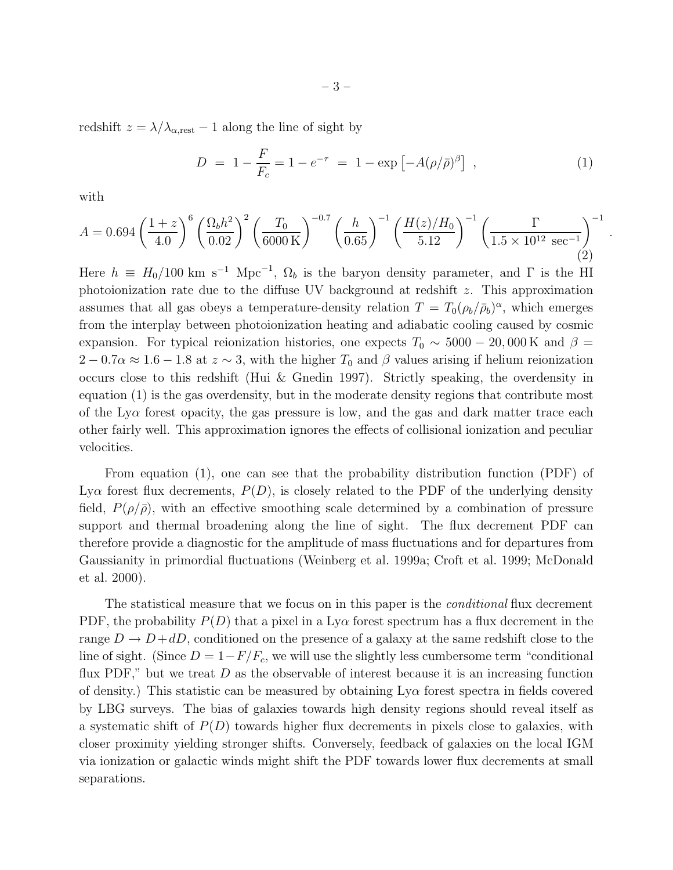redshift  $z = \lambda/\lambda_{\alpha, \text{rest}} - 1$  along the line of sight by

$$
D = 1 - \frac{F}{F_c} = 1 - e^{-\tau} = 1 - \exp[-A(\rho/\bar{\rho})^{\beta}], \qquad (1)
$$

.

with

$$
A = 0.694 \left(\frac{1+z}{4.0}\right)^6 \left(\frac{\Omega_b h^2}{0.02}\right)^2 \left(\frac{T_0}{6000 \text{ K}}\right)^{-0.7} \left(\frac{h}{0.65}\right)^{-1} \left(\frac{H(z)/H_0}{5.12}\right)^{-1} \left(\frac{\Gamma}{1.5 \times 10^{12} \text{ sec}^{-1}}\right)^{-1} (2)
$$

Here  $h \equiv H_0/100 \text{ km s}^{-1} \text{ Mpc}^{-1}$ ,  $\Omega_b$  is the baryon density parameter, and  $\Gamma$  is the HI photoionization rate due to the diffuse UV background at redshift z. This approximation assumes that all gas obeys a temperature-density relation  $T = T_0(\rho_b/\bar{\rho}_b)^\alpha$ , which emerges from the interplay between photoionization heating and adiabatic cooling caused by cosmic expansion. For typical reionization histories, one expects  $T_0 \sim 5000 - 20,000 \,\mathrm{K}$  and  $\beta =$  $2 - 0.7\alpha \approx 1.6 - 1.8$  at  $z \sim 3$ , with the higher  $T_0$  and  $\beta$  values arising if helium reionization occurs close to this redshift (Hui & Gnedin 1997). Strictly speaking, the overdensity in equation (1) is the gas overdensity, but in the moderate density regions that contribute most of the Ly $\alpha$  forest opacity, the gas pressure is low, and the gas and dark matter trace each other fairly well. This approximation ignores the effects of collisional ionization and peculiar velocities.

From equation (1), one can see that the probability distribution function (PDF) of Ly $\alpha$  forest flux decrements,  $P(D)$ , is closely related to the PDF of the underlying density field,  $P(\rho/\bar{\rho})$ , with an effective smoothing scale determined by a combination of pressure support and thermal broadening along the line of sight. The flux decrement PDF can therefore provide a diagnostic for the amplitude of mass fluctuations and for departures from Gaussianity in primordial fluctuations (Weinberg et al. 1999a; Croft et al. 1999; McDonald et al. 2000).

The statistical measure that we focus on in this paper is the *conditional* flux decrement PDF, the probability  $P(D)$  that a pixel in a Ly $\alpha$  forest spectrum has a flux decrement in the range  $D \to D + dD$ , conditioned on the presence of a galaxy at the same redshift close to the line of sight. (Since  $D = 1 - F/F_c$ , we will use the slightly less cumbersome term "conditional" flux PDF," but we treat  $D$  as the observable of interest because it is an increasing function of density.) This statistic can be measured by obtaining  $Ly\alpha$  forest spectra in fields covered by LBG surveys. The bias of galaxies towards high density regions should reveal itself as a systematic shift of  $P(D)$  towards higher flux decrements in pixels close to galaxies, with closer proximity yielding stronger shifts. Conversely, feedback of galaxies on the local IGM via ionization or galactic winds might shift the PDF towards lower flux decrements at small separations.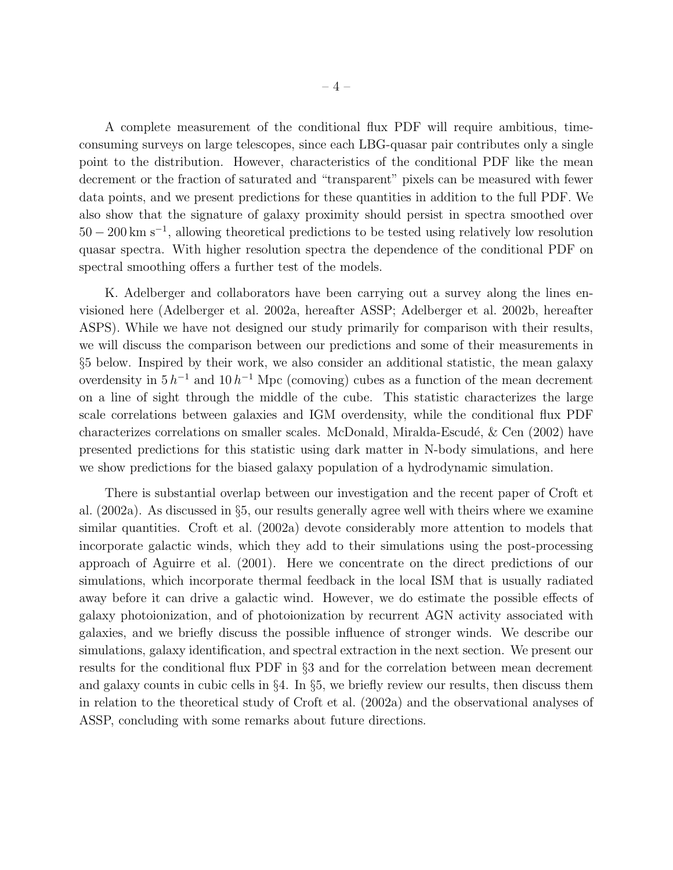A complete measurement of the conditional flux PDF will require ambitious, timeconsuming surveys on large telescopes, since each LBG-quasar pair contributes only a single point to the distribution. However, characteristics of the conditional PDF like the mean decrement or the fraction of saturated and "transparent" pixels can be measured with fewer data points, and we present predictions for these quantities in addition to the full PDF. We also show that the signature of galaxy proximity should persist in spectra smoothed over 50 − 200 km s<sup>−</sup><sup>1</sup> , allowing theoretical predictions to be tested using relatively low resolution quasar spectra. With higher resolution spectra the dependence of the conditional PDF on spectral smoothing offers a further test of the models.

K. Adelberger and collaborators have been carrying out a survey along the lines envisioned here (Adelberger et al. 2002a, hereafter ASSP; Adelberger et al. 2002b, hereafter ASPS). While we have not designed our study primarily for comparison with their results, we will discuss the comparison between our predictions and some of their measurements in §5 below. Inspired by their work, we also consider an additional statistic, the mean galaxy overdensity in  $5 h^{-1}$  and  $10 h^{-1}$  Mpc (comoving) cubes as a function of the mean decrement on a line of sight through the middle of the cube. This statistic characterizes the large scale correlations between galaxies and IGM overdensity, while the conditional flux PDF characterizes correlations on smaller scales. McDonald, Miralda-Escudé,  $\&$  Cen (2002) have presented predictions for this statistic using dark matter in N-body simulations, and here we show predictions for the biased galaxy population of a hydrodynamic simulation.

There is substantial overlap between our investigation and the recent paper of Croft et al. (2002a). As discussed in §5, our results generally agree well with theirs where we examine similar quantities. Croft et al. (2002a) devote considerably more attention to models that incorporate galactic winds, which they add to their simulations using the post-processing approach of Aguirre et al. (2001). Here we concentrate on the direct predictions of our simulations, which incorporate thermal feedback in the local ISM that is usually radiated away before it can drive a galactic wind. However, we do estimate the possible effects of galaxy photoionization, and of photoionization by recurrent AGN activity associated with galaxies, and we briefly discuss the possible influence of stronger winds. We describe our simulations, galaxy identification, and spectral extraction in the next section. We present our results for the conditional flux PDF in §3 and for the correlation between mean decrement and galaxy counts in cubic cells in §4. In §5, we briefly review our results, then discuss them in relation to the theoretical study of Croft et al. (2002a) and the observational analyses of ASSP, concluding with some remarks about future directions.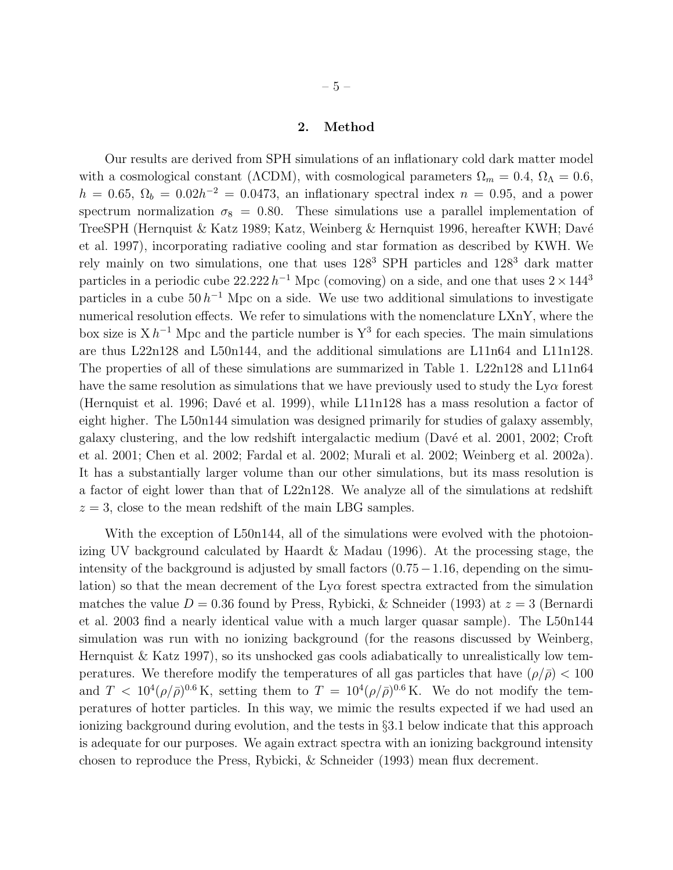– 5 –

## 2. Method

Our results are derived from SPH simulations of an inflationary cold dark matter model with a cosmological constant ( $\Lambda$ CDM), with cosmological parameters  $\Omega_m = 0.4$ ,  $\Omega_{\Lambda} = 0.6$ ,  $h = 0.65$ ,  $\Omega_b = 0.02h^{-2} = 0.0473$ , an inflationary spectral index  $n = 0.95$ , and a power spectrum normalization  $\sigma_8 = 0.80$ . These simulations use a parallel implementation of TreeSPH (Hernquist & Katz 1989; Katz, Weinberg & Hernquist 1996, hereafter KWH; Davé et al. 1997), incorporating radiative cooling and star formation as described by KWH. We rely mainly on two simulations, one that uses 128<sup>3</sup> SPH particles and 128<sup>3</sup> dark matter particles in a periodic cube  $22.222 h^{-1}$  Mpc (comoving) on a side, and one that uses  $2 \times 144^3$ particles in a cube  $50 h^{-1}$  Mpc on a side. We use two additional simulations to investigate numerical resolution effects. We refer to simulations with the nomenclature LXnY, where the box size is  $X h^{-1}$  Mpc and the particle number is  $Y^3$  for each species. The main simulations are thus L22n128 and L50n144, and the additional simulations are L11n64 and L11n128. The properties of all of these simulations are summarized in Table 1. L22n128 and L11n64 have the same resolution as simulations that we have previously used to study the  $Ly\alpha$  forest (Hernquist et al. 1996; Davé et al. 1999), while  $L11n128$  has a mass resolution a factor of eight higher. The L50n144 simulation was designed primarily for studies of galaxy assembly, galaxy clustering, and the low redshift intergalactic medium (Davé et al. 2001, 2002; Croft et al. 2001; Chen et al. 2002; Fardal et al. 2002; Murali et al. 2002; Weinberg et al. 2002a). It has a substantially larger volume than our other simulations, but its mass resolution is a factor of eight lower than that of L22n128. We analyze all of the simulations at redshift  $z = 3$ , close to the mean redshift of the main LBG samples.

With the exception of L50n144, all of the simulations were evolved with the photoionizing UV background calculated by Haardt & Madau (1996). At the processing stage, the intensity of the background is adjusted by small factors  $(0.75-1.16,$  depending on the simulation) so that the mean decrement of the  $Ly\alpha$  forest spectra extracted from the simulation matches the value  $D = 0.36$  found by Press, Rybicki, & Schneider (1993) at  $z = 3$  (Bernardi et al. 2003 find a nearly identical value with a much larger quasar sample). The L50n144 simulation was run with no ionizing background (for the reasons discussed by Weinberg, Hernquist  $\&$  Katz 1997), so its unshocked gas cools adiabatically to unrealistically low temperatures. We therefore modify the temperatures of all gas particles that have  $(\rho/\bar{\rho}) < 100$ and  $T < 10^4 (\rho/\bar{\rho})^{0.6}$  K, setting them to  $T = 10^4 (\rho/\bar{\rho})^{0.6}$  K. We do not modify the temperatures of hotter particles. In this way, we mimic the results expected if we had used an ionizing background during evolution, and the tests in §3.1 below indicate that this approach is adequate for our purposes. We again extract spectra with an ionizing background intensity chosen to reproduce the Press, Rybicki, & Schneider (1993) mean flux decrement.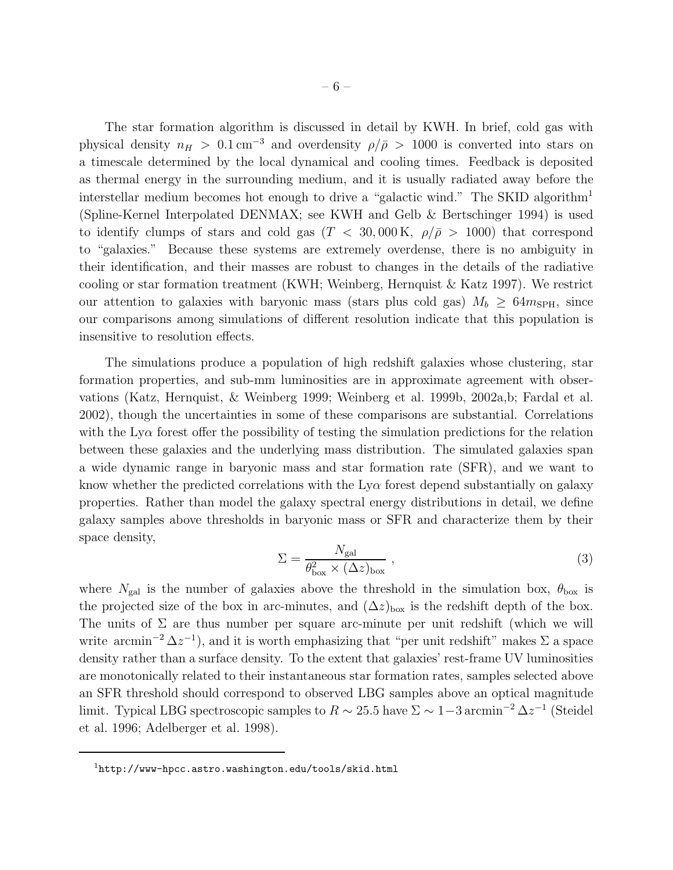The star formation algorithm is discussed in detail by KWH. In brief, cold gas with physical density  $n_H > 0.1 \text{ cm}^{-3}$  and overdensity  $\rho/\bar{\rho} > 1000$  is converted into stars on a timescale determined by the local dynamical and cooling times. Feedback is deposited as thermal energy in the surrounding medium, and it is usually radiated away before the interstellar medium becomes hot enough to drive a "galactic wind." The SKID algorithm<sup>1</sup> (Spline-Kernel Interpolated DENMAX; see KWH and Gelb & Bertschinger 1994) is used to identify clumps of stars and cold gas  $(T < 30,000 \text{ K}, \rho/\bar{\rho} > 1000)$  that correspond to "galaxies." Because these systems are extremely overdense, there is no ambiguity in their identification, and their masses are robust to changes in the details of the radiative cooling or star formation treatment (KWH; Weinberg, Hernquist  $\&$  Katz 1997). We restrict our attention to galaxies with baryonic mass (stars plus cold gas)  $M_b \geq 64m_{\rm SPH}$ , since our comparisons among simulations of different resolution indicate that this population is insensitive to resolution effects.

The simulations produce a population of high redshift galaxies whose clustering, star formation properties, and sub-mm luminosities are in approximate agreement with observations (Katz, Hernquist, & Weinberg 1999; Weinberg et al. 1999b, 2002a,b; Fardal et al. 2002), though the uncertainties in some of these comparisons are substantial. Correlations with the Ly $\alpha$  forest offer the possibility of testing the simulation predictions for the relation between these galaxies and the underlying mass distribution. The simulated galaxies span a wide dynamic range in baryonic mass and star formation rate (SFR), and we want to know whether the predicted correlations with the  $Ly\alpha$  forest depend substantially on galaxy properties. Rather than model the galaxy spectral energy distributions in detail, we define galaxy samples above thresholds in baryonic mass or SFR and characterize them by their space density,

$$
\Sigma = \frac{N_{\rm gal}}{\theta_{\rm box}^2 \times (\Delta z)_{\rm box}} \,, \tag{3}
$$

where  $N_{\text{gal}}$  is the number of galaxies above the threshold in the simulation box,  $\theta_{\text{box}}$  is the projected size of the box in arc-minutes, and  $(\Delta z)_{\text{box}}$  is the redshift depth of the box. The units of  $\Sigma$  are thus number per square arc-minute per unit redshift (which we will write arcmin<sup>-2</sup>  $\Delta z^{-1}$ ), and it is worth emphasizing that "per unit redshift" makes  $\Sigma$  a space density rather than a surface density. To the extent that galaxies' rest-frame UV luminosities are monotonically related to their instantaneous star formation rates, samples selected above an SFR threshold should correspond to observed LBG samples above an optical magnitude limit. Typical LBG spectroscopic samples to  $R \sim 25.5$  have  $\Sigma \sim 1-3 \arcsin^{-2} \Delta z^{-1}$  (Steidel et al. 1996; Adelberger et al. 1998).

 $1$ http://www-hpcc.astro.washington.edu/tools/skid.html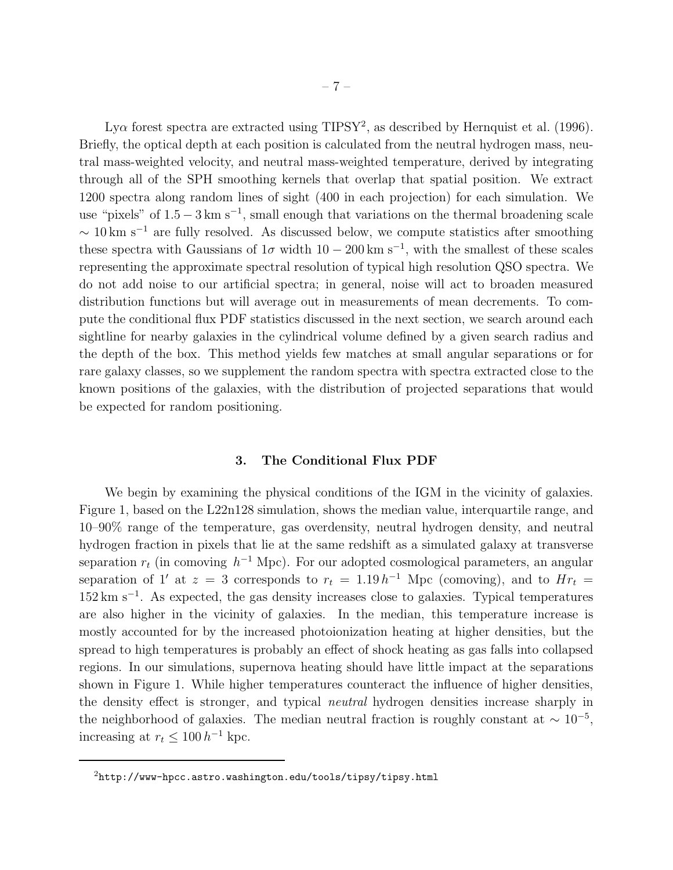Ly $\alpha$  forest spectra are extracted using TIPSY<sup>2</sup>, as described by Hernquist et al. (1996). Briefly, the optical depth at each position is calculated from the neutral hydrogen mass, neutral mass-weighted velocity, and neutral mass-weighted temperature, derived by integrating through all of the SPH smoothing kernels that overlap that spatial position. We extract 1200 spectra along random lines of sight (400 in each projection) for each simulation. We use "pixels" of  $1.5 - 3 \text{ km s}^{-1}$ , small enough that variations on the thermal broadening scale  $\sim 10 \text{ km s}^{-1}$  are fully resolved. As discussed below, we compute statistics after smoothing these spectra with Gaussians of  $1\sigma$  width  $10-200 \text{ km s}^{-1}$ , with the smallest of these scales representing the approximate spectral resolution of typical high resolution QSO spectra. We do not add noise to our artificial spectra; in general, noise will act to broaden measured distribution functions but will average out in measurements of mean decrements. To compute the conditional flux PDF statistics discussed in the next section, we search around each sightline for nearby galaxies in the cylindrical volume defined by a given search radius and the depth of the box. This method yields few matches at small angular separations or for rare galaxy classes, so we supplement the random spectra with spectra extracted close to the known positions of the galaxies, with the distribution of projected separations that would be expected for random positioning.

## 3. The Conditional Flux PDF

We begin by examining the physical conditions of the IGM in the vicinity of galaxies. Figure 1, based on the L22n128 simulation, shows the median value, interquartile range, and 10–90% range of the temperature, gas overdensity, neutral hydrogen density, and neutral hydrogen fraction in pixels that lie at the same redshift as a simulated galaxy at transverse separation  $r_t$  (in comoving  $h^{-1}$  Mpc). For our adopted cosmological parameters, an angular separation of 1' at  $z = 3$  corresponds to  $r_t = 1.19 h^{-1}$  Mpc (comoving), and to  $Hr_t =$ 152 km s<sup>−</sup><sup>1</sup> . As expected, the gas density increases close to galaxies. Typical temperatures are also higher in the vicinity of galaxies. In the median, this temperature increase is mostly accounted for by the increased photoionization heating at higher densities, but the spread to high temperatures is probably an effect of shock heating as gas falls into collapsed regions. In our simulations, supernova heating should have little impact at the separations shown in Figure 1. While higher temperatures counteract the influence of higher densities, the density effect is stronger, and typical neutral hydrogen densities increase sharply in the neighborhood of galaxies. The median neutral fraction is roughly constant at  $\sim 10^{-5}$ , increasing at  $r_t \leq 100 h^{-1}$  kpc.

 $2$ http://www-hpcc.astro.washington.edu/tools/tipsy/tipsy.html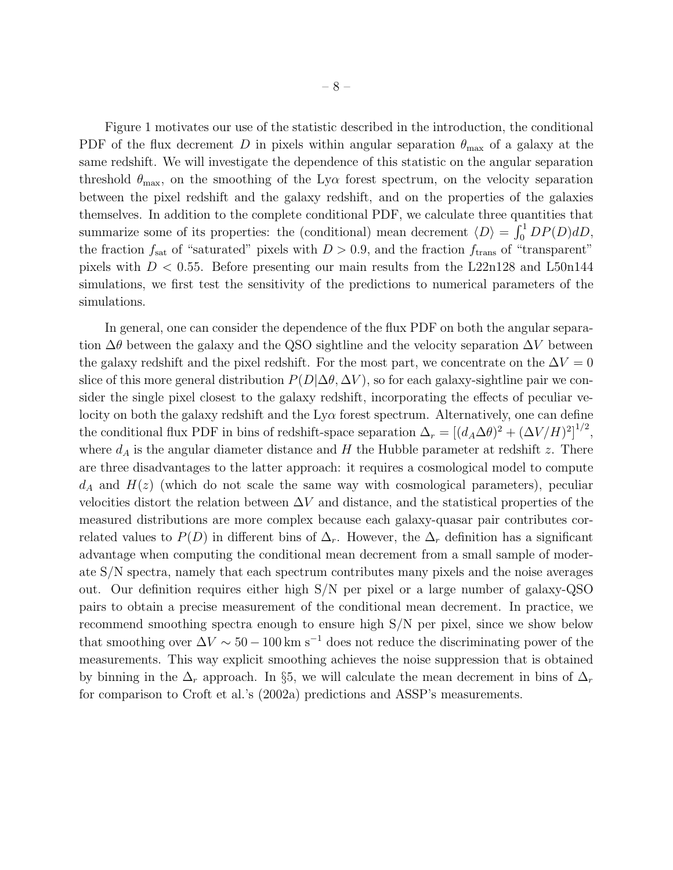Figure 1 motivates our use of the statistic described in the introduction, the conditional PDF of the flux decrement D in pixels within angular separation  $\theta_{\text{max}}$  of a galaxy at the same redshift. We will investigate the dependence of this statistic on the angular separation threshold  $\theta_{\text{max}}$ , on the smoothing of the Ly $\alpha$  forest spectrum, on the velocity separation between the pixel redshift and the galaxy redshift, and on the properties of the galaxies themselves. In addition to the complete conditional PDF, we calculate three quantities that summarize some of its properties: the (conditional) mean decrement  $\langle D \rangle = \int_0^1 DP(D) dD$ , the fraction  $f_{\text{sat}}$  of "saturated" pixels with  $D > 0.9$ , and the fraction  $f_{\text{trans}}$  of "transparent" pixels with  $D < 0.55$ . Before presenting our main results from the L22n128 and L50n144 simulations, we first test the sensitivity of the predictions to numerical parameters of the simulations.

In general, one can consider the dependence of the flux PDF on both the angular separation  $\Delta\theta$  between the galaxy and the QSO sightline and the velocity separation  $\Delta V$  between the galaxy redshift and the pixel redshift. For the most part, we concentrate on the  $\Delta V = 0$ slice of this more general distribution  $P(D|\Delta\theta, \Delta V)$ , so for each galaxy-sightline pair we consider the single pixel closest to the galaxy redshift, incorporating the effects of peculiar velocity on both the galaxy redshift and the  $Ly\alpha$  forest spectrum. Alternatively, one can define the conditional flux PDF in bins of redshift-space separation  $\Delta_r = [(d_A \Delta\theta)^2 + (\Delta V/H)^2]^{1/2}$ , where  $d_A$  is the angular diameter distance and H the Hubble parameter at redshift z. There are three disadvantages to the latter approach: it requires a cosmological model to compute  $d_A$  and  $H(z)$  (which do not scale the same way with cosmological parameters), peculiar velocities distort the relation between  $\Delta V$  and distance, and the statistical properties of the measured distributions are more complex because each galaxy-quasar pair contributes correlated values to  $P(D)$  in different bins of  $\Delta_r$ . However, the  $\Delta_r$  definition has a significant advantage when computing the conditional mean decrement from a small sample of moderate S/N spectra, namely that each spectrum contributes many pixels and the noise averages out. Our definition requires either high S/N per pixel or a large number of galaxy-QSO pairs to obtain a precise measurement of the conditional mean decrement. In practice, we recommend smoothing spectra enough to ensure high S/N per pixel, since we show below that smoothing over  $\Delta V \sim 50 - 100 \,\mathrm{km \, s^{-1}}$  does not reduce the discriminating power of the measurements. This way explicit smoothing achieves the noise suppression that is obtained by binning in the  $\Delta_r$  approach. In §5, we will calculate the mean decrement in bins of  $\Delta_r$ for comparison to Croft et al.'s (2002a) predictions and ASSP's measurements.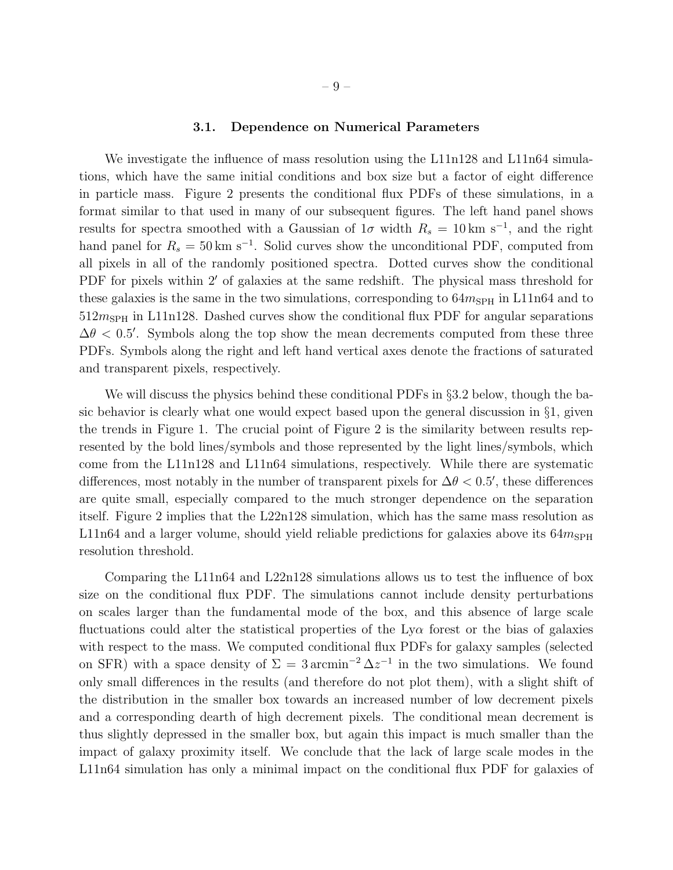#### 3.1. Dependence on Numerical Parameters

We investigate the influence of mass resolution using the L11n128 and L11n64 simulations, which have the same initial conditions and box size but a factor of eight difference in particle mass. Figure 2 presents the conditional flux PDFs of these simulations, in a format similar to that used in many of our subsequent figures. The left hand panel shows results for spectra smoothed with a Gaussian of  $1\sigma$  width  $R_s = 10 \text{ km s}^{-1}$ , and the right hand panel for  $R_s = 50 \text{ km s}^{-1}$ . Solid curves show the unconditional PDF, computed from all pixels in all of the randomly positioned spectra. Dotted curves show the conditional PDF for pixels within 2′ of galaxies at the same redshift. The physical mass threshold for these galaxies is the same in the two simulations, corresponding to  $64m_{SPH}$  in L11n64 and to  $512m<sub>SPH</sub>$  in L11n128. Dashed curves show the conditional flux PDF for angular separations  $\Delta\theta$  < 0.5'. Symbols along the top show the mean decrements computed from these three PDFs. Symbols along the right and left hand vertical axes denote the fractions of saturated and transparent pixels, respectively.

We will discuss the physics behind these conditional PDFs in §3.2 below, though the basic behavior is clearly what one would expect based upon the general discussion in  $\S1$ , given the trends in Figure 1. The crucial point of Figure 2 is the similarity between results represented by the bold lines/symbols and those represented by the light lines/symbols, which come from the L11n128 and L11n64 simulations, respectively. While there are systematic differences, most notably in the number of transparent pixels for  $\Delta\theta$  < 0.5', these differences are quite small, especially compared to the much stronger dependence on the separation itself. Figure 2 implies that the L22n128 simulation, which has the same mass resolution as L11n64 and a larger volume, should yield reliable predictions for galaxies above its  $64m_{SPH}$ resolution threshold.

Comparing the L11n64 and L22n128 simulations allows us to test the influence of box size on the conditional flux PDF. The simulations cannot include density perturbations on scales larger than the fundamental mode of the box, and this absence of large scale fluctuations could alter the statistical properties of the  $Ly\alpha$  forest or the bias of galaxies with respect to the mass. We computed conditional flux PDFs for galaxy samples (selected on SFR) with a space density of  $\Sigma = 3 \text{ arcmin}^{-2} \Delta z^{-1}$  in the two simulations. We found only small differences in the results (and therefore do not plot them), with a slight shift of the distribution in the smaller box towards an increased number of low decrement pixels and a corresponding dearth of high decrement pixels. The conditional mean decrement is thus slightly depressed in the smaller box, but again this impact is much smaller than the impact of galaxy proximity itself. We conclude that the lack of large scale modes in the L11n64 simulation has only a minimal impact on the conditional flux PDF for galaxies of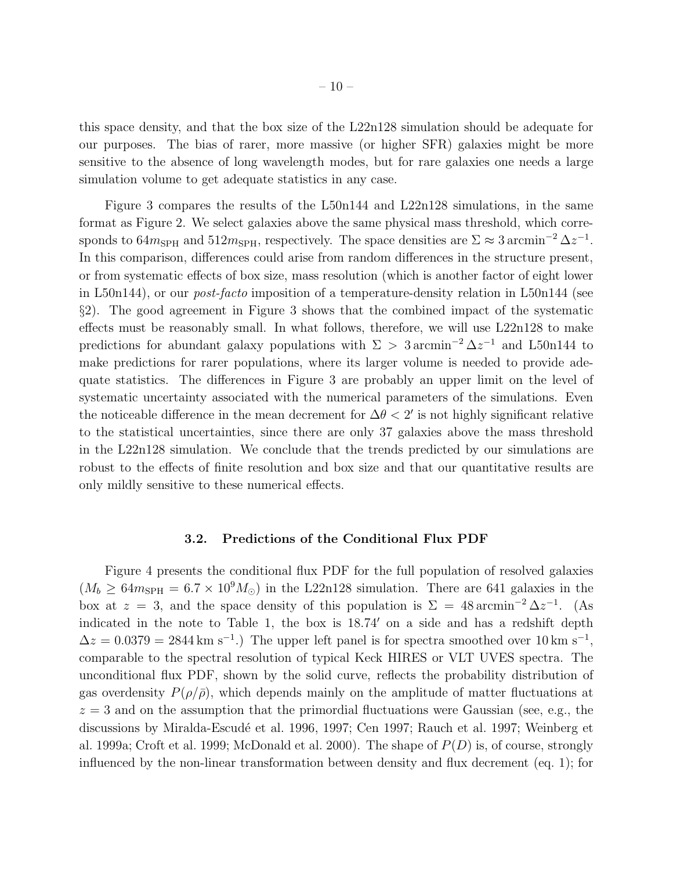this space density, and that the box size of the L22n128 simulation should be adequate for our purposes. The bias of rarer, more massive (or higher SFR) galaxies might be more sensitive to the absence of long wavelength modes, but for rare galaxies one needs a large simulation volume to get adequate statistics in any case.

Figure 3 compares the results of the L50n144 and L22n128 simulations, in the same format as Figure 2. We select galaxies above the same physical mass threshold, which corresponds to  $64m_{\text{SPH}}$  and  $512m_{\text{SPH}}$ , respectively. The space densities are  $\Sigma \approx 3 \text{ arcmin}^{-2} \Delta z^{-1}$ . In this comparison, differences could arise from random differences in the structure present, or from systematic effects of box size, mass resolution (which is another factor of eight lower in L50n144), or our post-facto imposition of a temperature-density relation in L50n144 (see §2). The good agreement in Figure 3 shows that the combined impact of the systematic effects must be reasonably small. In what follows, therefore, we will use L22n128 to make predictions for abundant galaxy populations with  $\Sigma > 3 \text{ arcmin}^{-2} \Delta z^{-1}$  and L50n144 to make predictions for rarer populations, where its larger volume is needed to provide adequate statistics. The differences in Figure 3 are probably an upper limit on the level of systematic uncertainty associated with the numerical parameters of the simulations. Even the noticeable difference in the mean decrement for  $\Delta\theta < 2'$  is not highly significant relative to the statistical uncertainties, since there are only 37 galaxies above the mass threshold in the L22n128 simulation. We conclude that the trends predicted by our simulations are robust to the effects of finite resolution and box size and that our quantitative results are only mildly sensitive to these numerical effects.

#### 3.2. Predictions of the Conditional Flux PDF

Figure 4 presents the conditional flux PDF for the full population of resolved galaxies  $(M_b \geq 64m_{\rm SPH} = 6.7 \times 10^9 M_{\odot})$  in the L22n128 simulation. There are 641 galaxies in the box at  $z = 3$ , and the space density of this population is  $\Sigma = 48 \text{ arcmin}^{-2} \Delta z^{-1}$ . (As indicated in the note to Table 1, the box is 18.74′ on a side and has a redshift depth  $\Delta z = 0.0379 = 2844 \,\mathrm{km \ s^{-1}}$ . The upper left panel is for spectra smoothed over 10 km s<sup>-1</sup>, comparable to the spectral resolution of typical Keck HIRES or VLT UVES spectra. The unconditional flux PDF, shown by the solid curve, reflects the probability distribution of gas overdensity  $P(\rho/\bar{\rho})$ , which depends mainly on the amplitude of matter fluctuations at  $z = 3$  and on the assumption that the primordial fluctuations were Gaussian (see, e.g., the discussions by Miralda-Escudé et al. 1996, 1997; Cen 1997; Rauch et al. 1997; Weinberg et al. 1999a; Croft et al. 1999; McDonald et al. 2000). The shape of  $P(D)$  is, of course, strongly influenced by the non-linear transformation between density and flux decrement (eq. 1); for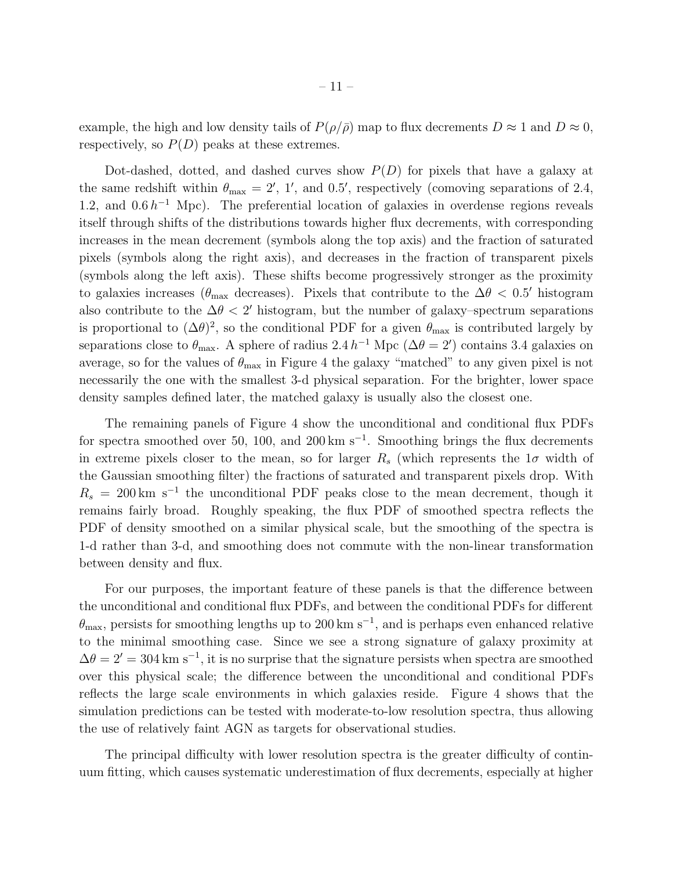example, the high and low density tails of  $P(\rho/\bar{\rho})$  map to flux decrements  $D \approx 1$  and  $D \approx 0$ , respectively, so  $P(D)$  peaks at these extremes.

Dot-dashed, dotted, and dashed curves show  $P(D)$  for pixels that have a galaxy at the same redshift within  $\theta_{\text{max}} = 2'$ , 1', and 0.5', respectively (comoving separations of 2.4, 1.2, and  $0.6 h^{-1}$  Mpc). The preferential location of galaxies in overdense regions reveals itself through shifts of the distributions towards higher flux decrements, with corresponding increases in the mean decrement (symbols along the top axis) and the fraction of saturated pixels (symbols along the right axis), and decreases in the fraction of transparent pixels (symbols along the left axis). These shifts become progressively stronger as the proximity to galaxies increases ( $\theta_{\text{max}}$  decreases). Pixels that contribute to the  $\Delta\theta$  < 0.5' histogram also contribute to the  $\Delta\theta < 2'$  histogram, but the number of galaxy–spectrum separations is proportional to  $(\Delta\theta)^2$ , so the conditional PDF for a given  $\theta_{\text{max}}$  is contributed largely by separations close to  $\theta_{\text{max}}$ . A sphere of radius 2.4 h<sup>-1</sup> Mpc ( $\Delta\theta = 2'$ ) contains 3.4 galaxies on average, so for the values of  $\theta_{\text{max}}$  in Figure 4 the galaxy "matched" to any given pixel is not necessarily the one with the smallest 3-d physical separation. For the brighter, lower space density samples defined later, the matched galaxy is usually also the closest one.

The remaining panels of Figure 4 show the unconditional and conditional flux PDFs for spectra smoothed over 50, 100, and 200 km s<sup>-1</sup>. Smoothing brings the flux decrements in extreme pixels closer to the mean, so for larger  $R_s$  (which represents the  $1\sigma$  width of the Gaussian smoothing filter) the fractions of saturated and transparent pixels drop. With  $R_s = 200 \text{ km s}^{-1}$  the unconditional PDF peaks close to the mean decrement, though it remains fairly broad. Roughly speaking, the flux PDF of smoothed spectra reflects the PDF of density smoothed on a similar physical scale, but the smoothing of the spectra is 1-d rather than 3-d, and smoothing does not commute with the non-linear transformation between density and flux.

For our purposes, the important feature of these panels is that the difference between the unconditional and conditional flux PDFs, and between the conditional PDFs for different  $\theta_{\text{max}}$ , persists for smoothing lengths up to 200 km s<sup>-1</sup>, and is perhaps even enhanced relative to the minimal smoothing case. Since we see a strong signature of galaxy proximity at  $\Delta\theta = 2' = 304$  km s<sup>-1</sup>, it is no surprise that the signature persists when spectra are smoothed over this physical scale; the difference between the unconditional and conditional PDFs reflects the large scale environments in which galaxies reside. Figure 4 shows that the simulation predictions can be tested with moderate-to-low resolution spectra, thus allowing the use of relatively faint AGN as targets for observational studies.

The principal difficulty with lower resolution spectra is the greater difficulty of continuum fitting, which causes systematic underestimation of flux decrements, especially at higher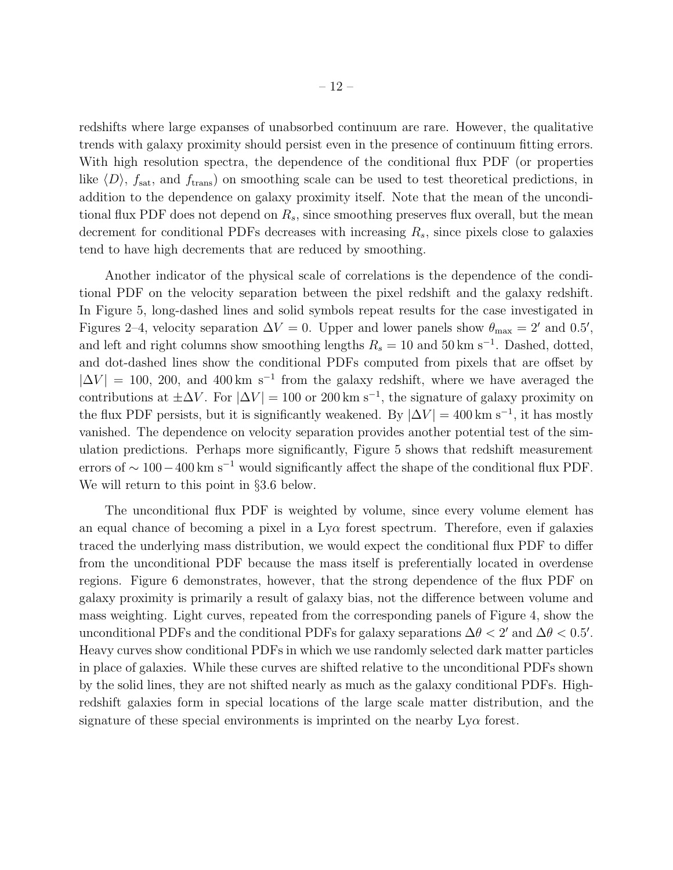redshifts where large expanses of unabsorbed continuum are rare. However, the qualitative trends with galaxy proximity should persist even in the presence of continuum fitting errors. With high resolution spectra, the dependence of the conditional flux PDF (or properties like  $\langle D \rangle$ ,  $f_{\text{sat}}$ , and  $f_{\text{trans}}$ ) on smoothing scale can be used to test theoretical predictions, in addition to the dependence on galaxy proximity itself. Note that the mean of the unconditional flux PDF does not depend on  $R_s$ , since smoothing preserves flux overall, but the mean decrement for conditional PDFs decreases with increasing  $R_s$ , since pixels close to galaxies tend to have high decrements that are reduced by smoothing.

Another indicator of the physical scale of correlations is the dependence of the conditional PDF on the velocity separation between the pixel redshift and the galaxy redshift. In Figure 5, long-dashed lines and solid symbols repeat results for the case investigated in Figures 2–4, velocity separation  $\Delta V = 0$ . Upper and lower panels show  $\theta_{\text{max}} = 2'$  and 0.5', and left and right columns show smoothing lengths  $R_s = 10$  and  $50 \text{ km s}^{-1}$ . Dashed, dotted, and dot-dashed lines show the conditional PDFs computed from pixels that are offset by  $|\Delta V| = 100$ , 200, and 400 km s<sup>-1</sup> from the galaxy redshift, where we have averaged the contributions at  $\pm \Delta V$ . For  $|\Delta V| = 100$  or 200 km s<sup>-1</sup>, the signature of galaxy proximity on the flux PDF persists, but it is significantly weakened. By  $|\Delta V| = 400 \text{ km s}^{-1}$ , it has mostly vanished. The dependence on velocity separation provides another potential test of the simulation predictions. Perhaps more significantly, Figure 5 shows that redshift measurement errors of  $\sim 100-400 \text{ km s}^{-1}$  would significantly affect the shape of the conditional flux PDF. We will return to this point in §3.6 below.

The unconditional flux PDF is weighted by volume, since every volume element has an equal chance of becoming a pixel in a  $Ly\alpha$  forest spectrum. Therefore, even if galaxies traced the underlying mass distribution, we would expect the conditional flux PDF to differ from the unconditional PDF because the mass itself is preferentially located in overdense regions. Figure 6 demonstrates, however, that the strong dependence of the flux PDF on galaxy proximity is primarily a result of galaxy bias, not the difference between volume and mass weighting. Light curves, repeated from the corresponding panels of Figure 4, show the unconditional PDFs and the conditional PDFs for galaxy separations  $\Delta\theta < 2'$  and  $\Delta\theta < 0.5'$ . Heavy curves show conditional PDFs in which we use randomly selected dark matter particles in place of galaxies. While these curves are shifted relative to the unconditional PDFs shown by the solid lines, they are not shifted nearly as much as the galaxy conditional PDFs. Highredshift galaxies form in special locations of the large scale matter distribution, and the signature of these special environments is imprinted on the nearby  $Ly\alpha$  forest.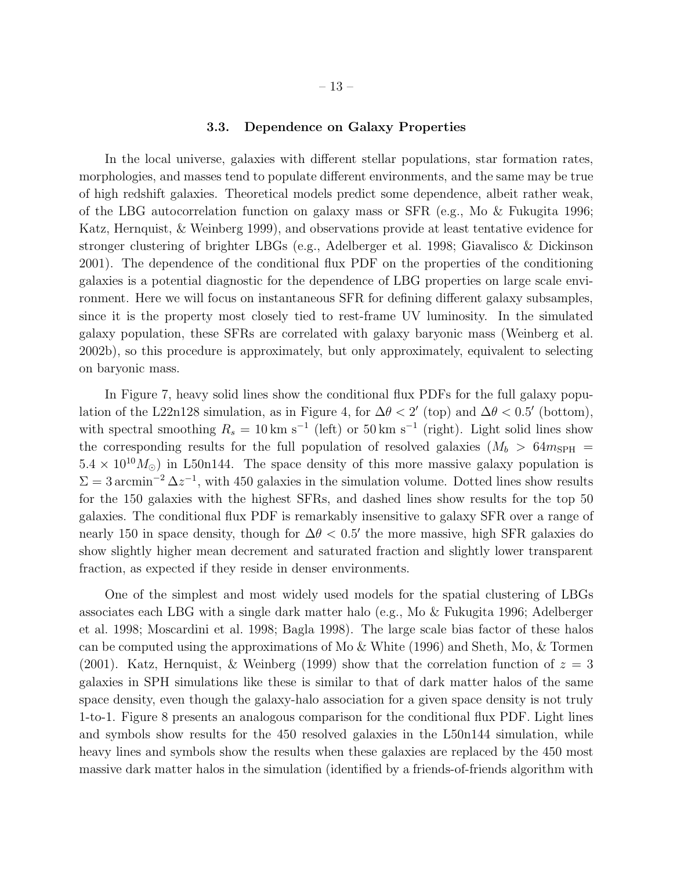#### 3.3. Dependence on Galaxy Properties

In the local universe, galaxies with different stellar populations, star formation rates, morphologies, and masses tend to populate different environments, and the same may be true of high redshift galaxies. Theoretical models predict some dependence, albeit rather weak, of the LBG autocorrelation function on galaxy mass or SFR (e.g., Mo & Fukugita 1996; Katz, Hernquist, & Weinberg 1999), and observations provide at least tentative evidence for stronger clustering of brighter LBGs (e.g., Adelberger et al. 1998; Giavalisco & Dickinson 2001). The dependence of the conditional flux PDF on the properties of the conditioning galaxies is a potential diagnostic for the dependence of LBG properties on large scale environment. Here we will focus on instantaneous SFR for defining different galaxy subsamples, since it is the property most closely tied to rest-frame UV luminosity. In the simulated galaxy population, these SFRs are correlated with galaxy baryonic mass (Weinberg et al. 2002b), so this procedure is approximately, but only approximately, equivalent to selecting on baryonic mass.

In Figure 7, heavy solid lines show the conditional flux PDFs for the full galaxy population of the L22n128 simulation, as in Figure 4, for  $\Delta\theta < 2'$  (top) and  $\Delta\theta < 0.5'$  (bottom), with spectral smoothing  $R_s = 10 \text{ km s}^{-1}$  (left) or 50 km s<sup>-1</sup> (right). Light solid lines show the corresponding results for the full population of resolved galaxies  $(M_b > 64m_{SPH}$  $5.4 \times 10^{10} M_{\odot}$ ) in L50n144. The space density of this more massive galaxy population is  $\Sigma = 3 \arcsin^{-2} \Delta z^{-1}$ , with 450 galaxies in the simulation volume. Dotted lines show results for the 150 galaxies with the highest SFRs, and dashed lines show results for the top 50 galaxies. The conditional flux PDF is remarkably insensitive to galaxy SFR over a range of nearly 150 in space density, though for  $\Delta\theta$  < 0.5' the more massive, high SFR galaxies do show slightly higher mean decrement and saturated fraction and slightly lower transparent fraction, as expected if they reside in denser environments.

One of the simplest and most widely used models for the spatial clustering of LBGs associates each LBG with a single dark matter halo (e.g., Mo & Fukugita 1996; Adelberger et al. 1998; Moscardini et al. 1998; Bagla 1998). The large scale bias factor of these halos can be computed using the approximations of Mo & White (1996) and Sheth, Mo, & Tormen (2001). Katz, Hernquist, & Weinberg (1999) show that the correlation function of  $z = 3$ galaxies in SPH simulations like these is similar to that of dark matter halos of the same space density, even though the galaxy-halo association for a given space density is not truly 1-to-1. Figure 8 presents an analogous comparison for the conditional flux PDF. Light lines and symbols show results for the 450 resolved galaxies in the L50n144 simulation, while heavy lines and symbols show the results when these galaxies are replaced by the 450 most massive dark matter halos in the simulation (identified by a friends-of-friends algorithm with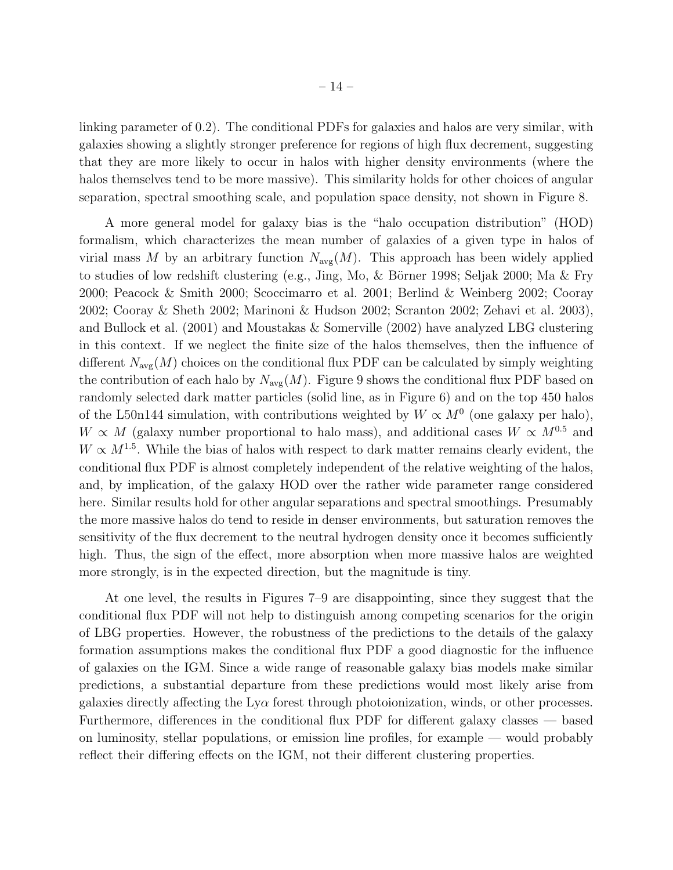$-14-$ 

linking parameter of 0.2). The conditional PDFs for galaxies and halos are very similar, with galaxies showing a slightly stronger preference for regions of high flux decrement, suggesting that they are more likely to occur in halos with higher density environments (where the halos themselves tend to be more massive). This similarity holds for other choices of angular separation, spectral smoothing scale, and population space density, not shown in Figure 8.

A more general model for galaxy bias is the "halo occupation distribution" (HOD) formalism, which characterizes the mean number of galaxies of a given type in halos of virial mass M by an arbitrary function  $N_{\text{avg}}(M)$ . This approach has been widely applied to studies of low redshift clustering (e.g., Jing, Mo,  $\&$  Börner 1998; Seljak 2000; Ma  $\&$  Fry 2000; Peacock & Smith 2000; Scoccimarro et al. 2001; Berlind & Weinberg 2002; Cooray 2002; Cooray & Sheth 2002; Marinoni & Hudson 2002; Scranton 2002; Zehavi et al. 2003), and Bullock et al. (2001) and Moustakas & Somerville (2002) have analyzed LBG clustering in this context. If we neglect the finite size of the halos themselves, then the influence of different  $N_{\text{avg}}(M)$  choices on the conditional flux PDF can be calculated by simply weighting the contribution of each halo by  $N_{\text{avg}}(M)$ . Figure 9 shows the conditional flux PDF based on randomly selected dark matter particles (solid line, as in Figure 6) and on the top 450 halos of the L50n144 simulation, with contributions weighted by  $W \propto M^0$  (one galaxy per halo),  $W \propto M$  (galaxy number proportional to halo mass), and additional cases  $W \propto M^{0.5}$  and  $W \propto M^{1.5}$ . While the bias of halos with respect to dark matter remains clearly evident, the conditional flux PDF is almost completely independent of the relative weighting of the halos, and, by implication, of the galaxy HOD over the rather wide parameter range considered here. Similar results hold for other angular separations and spectral smoothings. Presumably the more massive halos do tend to reside in denser environments, but saturation removes the sensitivity of the flux decrement to the neutral hydrogen density once it becomes sufficiently high. Thus, the sign of the effect, more absorption when more massive halos are weighted more strongly, is in the expected direction, but the magnitude is tiny.

At one level, the results in Figures 7–9 are disappointing, since they suggest that the conditional flux PDF will not help to distinguish among competing scenarios for the origin of LBG properties. However, the robustness of the predictions to the details of the galaxy formation assumptions makes the conditional flux PDF a good diagnostic for the influence of galaxies on the IGM. Since a wide range of reasonable galaxy bias models make similar predictions, a substantial departure from these predictions would most likely arise from galaxies directly affecting the  $Ly\alpha$  forest through photoionization, winds, or other processes. Furthermore, differences in the conditional flux PDF for different galaxy classes — based on luminosity, stellar populations, or emission line profiles, for example — would probably reflect their differing effects on the IGM, not their different clustering properties.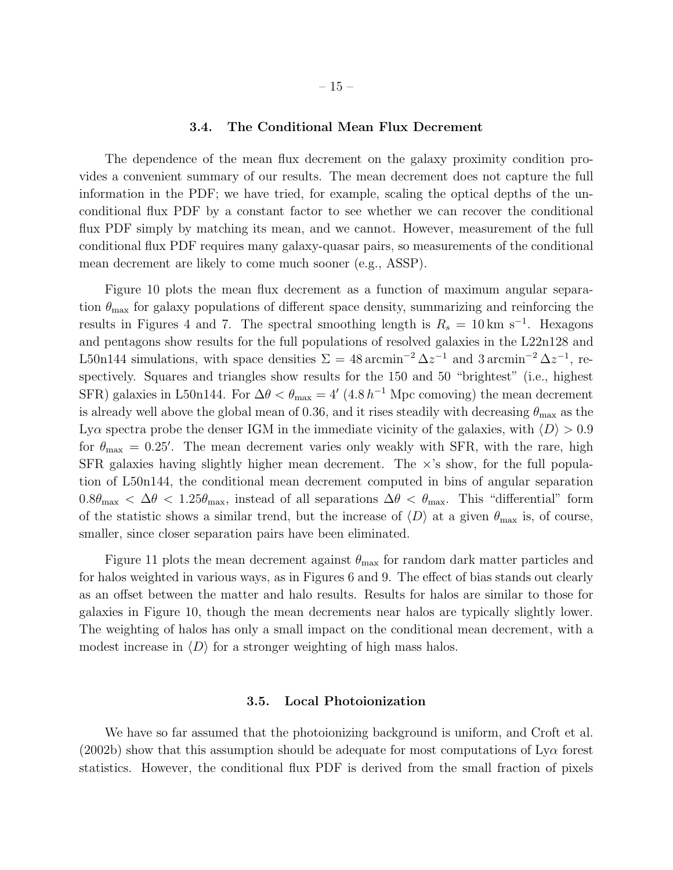#### 3.4. The Conditional Mean Flux Decrement

The dependence of the mean flux decrement on the galaxy proximity condition provides a convenient summary of our results. The mean decrement does not capture the full information in the PDF; we have tried, for example, scaling the optical depths of the unconditional flux PDF by a constant factor to see whether we can recover the conditional flux PDF simply by matching its mean, and we cannot. However, measurement of the full conditional flux PDF requires many galaxy-quasar pairs, so measurements of the conditional mean decrement are likely to come much sooner (e.g., ASSP).

Figure 10 plots the mean flux decrement as a function of maximum angular separation  $\theta_{\text{max}}$  for galaxy populations of different space density, summarizing and reinforcing the results in Figures 4 and 7. The spectral smoothing length is  $R_s = 10 \text{ km s}^{-1}$ . Hexagons and pentagons show results for the full populations of resolved galaxies in the L22n128 and L50n144 simulations, with space densities  $\Sigma = 48 \arcsin^{-2} \Delta z^{-1}$  and 3 arcmin<sup>-2</sup>  $\Delta z^{-1}$ , respectively. Squares and triangles show results for the 150 and 50 "brightest" (i.e., highest SFR) galaxies in L50n144. For  $\Delta\theta < \theta_{\text{max}} = 4'$  (4.8 h<sup>-1</sup> Mpc comoving) the mean decrement is already well above the global mean of 0.36, and it rises steadily with decreasing  $\theta_{\text{max}}$  as the Lya spectra probe the denser IGM in the immediate vicinity of the galaxies, with  $\langle D \rangle > 0.9$ for  $\theta_{\text{max}} = 0.25'$ . The mean decrement varies only weakly with SFR, with the rare, high SFR galaxies having slightly higher mean decrement. The  $\times$ 's show, for the full population of L50n144, the conditional mean decrement computed in bins of angular separation  $0.8\theta_{\text{max}} < \Delta\theta < 1.25\theta_{\text{max}}$ , instead of all separations  $\Delta\theta < \theta_{\text{max}}$ . This "differential" form of the statistic shows a similar trend, but the increase of  $\langle D \rangle$  at a given  $\theta_{\text{max}}$  is, of course, smaller, since closer separation pairs have been eliminated.

Figure 11 plots the mean decrement against  $\theta_{\text{max}}$  for random dark matter particles and for halos weighted in various ways, as in Figures 6 and 9. The effect of bias stands out clearly as an offset between the matter and halo results. Results for halos are similar to those for galaxies in Figure 10, though the mean decrements near halos are typically slightly lower. The weighting of halos has only a small impact on the conditional mean decrement, with a modest increase in  $\langle D \rangle$  for a stronger weighting of high mass halos.

#### 3.5. Local Photoionization

We have so far assumed that the photoionizing background is uniform, and Croft et al. (2002b) show that this assumption should be adequate for most computations of  $Ly\alpha$  forest statistics. However, the conditional flux PDF is derived from the small fraction of pixels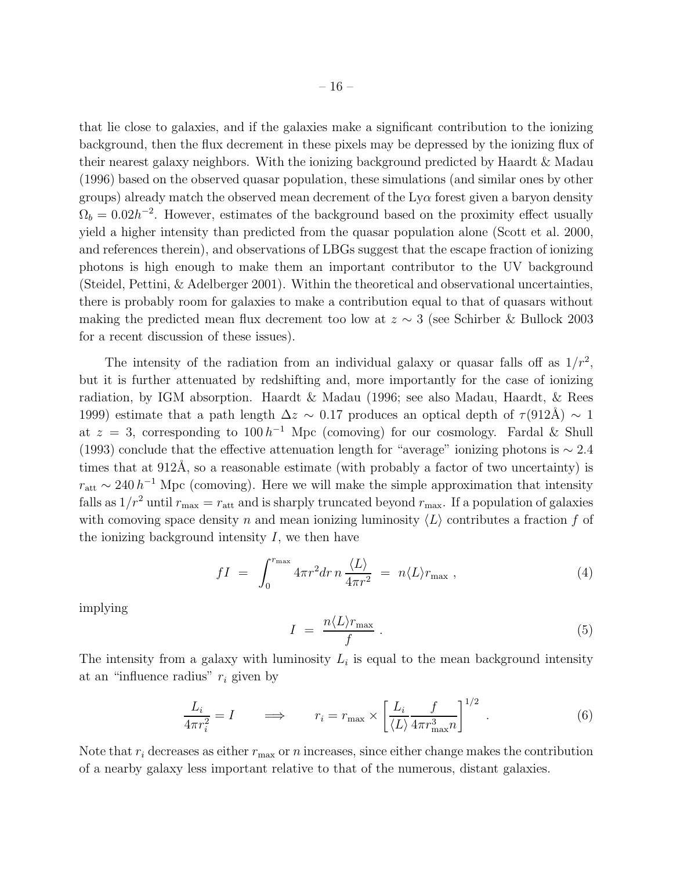that lie close to galaxies, and if the galaxies make a significant contribution to the ionizing background, then the flux decrement in these pixels may be depressed by the ionizing flux of their nearest galaxy neighbors. With the ionizing background predicted by Haardt & Madau (1996) based on the observed quasar population, these simulations (and similar ones by other groups) already match the observed mean decrement of the  $Ly\alpha$  forest given a baryon density  $\Omega_b = 0.02h^{-2}$ . However, estimates of the background based on the proximity effect usually yield a higher intensity than predicted from the quasar population alone (Scott et al. 2000, and references therein), and observations of LBGs suggest that the escape fraction of ionizing photons is high enough to make them an important contributor to the UV background (Steidel, Pettini, & Adelberger 2001). Within the theoretical and observational uncertainties, there is probably room for galaxies to make a contribution equal to that of quasars without making the predicted mean flux decrement too low at  $z \sim 3$  (see Schirber & Bullock 2003 for a recent discussion of these issues).

The intensity of the radiation from an individual galaxy or quasar falls off as  $1/r^2$ , but it is further attenuated by redshifting and, more importantly for the case of ionizing radiation, by IGM absorption. Haardt & Madau (1996; see also Madau, Haardt, & Rees 1999) estimate that a path length  $\Delta z \sim 0.17$  produces an optical depth of  $\tau(912\text{\AA}) \sim 1$ at  $z = 3$ , corresponding to  $100 h^{-1}$  Mpc (comoving) for our cosmology. Fardal & Shull (1993) conclude that the effective attenuation length for "average" ionizing photons is  $\sim 2.4$ times that at  $912\text{\AA}$ , so a reasonable estimate (with probably a factor of two uncertainty) is  $r_{\text{att}} \sim 240 h^{-1}$  Mpc (comoving). Here we will make the simple approximation that intensity falls as  $1/r^2$  until  $r_{\text{max}} = r_{\text{att}}$  and is sharply truncated beyond  $r_{\text{max}}$ . If a population of galaxies with comoving space density n and mean ionizing luminosity  $\langle L \rangle$  contributes a fraction f of the ionizing background intensity  $I$ , we then have

$$
fI = \int_0^{r_{\text{max}}} 4\pi r^2 dr \, n \, \frac{\langle L \rangle}{4\pi r^2} = n \langle L \rangle r_{\text{max}} \,, \tag{4}
$$

implying

$$
I = \frac{n \langle L \rangle r_{\text{max}}}{f} \,. \tag{5}
$$

The intensity from a galaxy with luminosity  $L_i$  is equal to the mean background intensity at an "influence radius"  $r_i$  given by

$$
\frac{L_i}{4\pi r_i^2} = I \qquad \Longrightarrow \qquad r_i = r_{\text{max}} \times \left[ \frac{L_i}{\langle L \rangle} \frac{f}{4\pi r_{\text{max}}^3 n} \right]^{1/2} \,. \tag{6}
$$

Note that  $r_i$  decreases as either  $r_{\text{max}}$  or n increases, since either change makes the contribution of a nearby galaxy less important relative to that of the numerous, distant galaxies.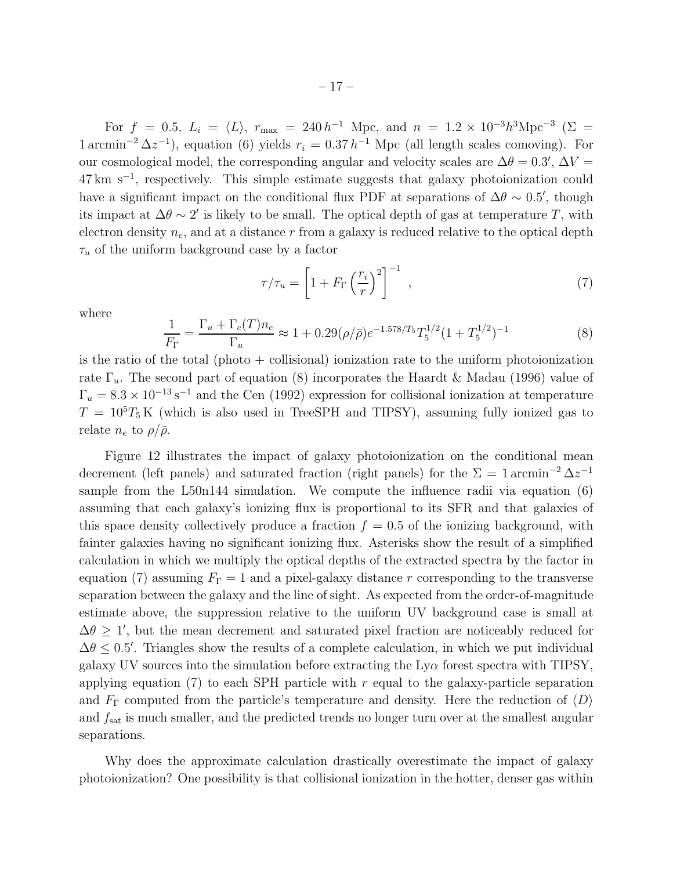For  $f = 0.5$ ,  $L_i = \langle L \rangle$ ,  $r_{\text{max}} = 240 h^{-1}$  Mpc, and  $n = 1.2 \times 10^{-3} h^3 \text{Mpc}^{-3}$  ( $\Sigma =$  $1 \text{ arcmin}^{-2} \Delta z^{-1}$ , equation (6) yields  $r_i = 0.37 h^{-1}$  Mpc (all length scales comoving). For our cosmological model, the corresponding angular and velocity scales are  $\Delta\theta = 0.3'$ ,  $\Delta V =$ 47 km s<sup>−</sup><sup>1</sup> , respectively. This simple estimate suggests that galaxy photoionization could have a significant impact on the conditional flux PDF at separations of  $\Delta\theta \sim 0.5'$ , though its impact at  $\Delta\theta \sim 2'$  is likely to be small. The optical depth of gas at temperature T, with electron density  $n_e$ , and at a distance r from a galaxy is reduced relative to the optical depth  $\tau_u$  of the uniform background case by a factor

$$
\tau/\tau_u = \left[1 + F_{\Gamma}\left(\frac{r_i}{r}\right)^2\right]^{-1},\tag{7}
$$

where

$$
\frac{1}{F_{\Gamma}} = \frac{\Gamma_u + \Gamma_c(T)n_e}{\Gamma_u} \approx 1 + 0.29(\rho/\bar{\rho})e^{-1.578/T_5}T_5^{1/2}(1+T_5^{1/2})^{-1}
$$
(8)

is the ratio of the total (photo  $+$  collisional) ionization rate to the uniform photoionization rate  $\Gamma_u$ . The second part of equation (8) incorporates the Haardt & Madau (1996) value of  $\Gamma_u = 8.3 \times 10^{-13} \,\mathrm{s}^{-1}$  and the Cen (1992) expression for collisional ionization at temperature  $T = 10<sup>5</sup>T<sub>5</sub>$  K (which is also used in TreeSPH and TIPSY), assuming fully ionized gas to relate  $n_e$  to  $\rho/\bar{\rho}$ .

Figure 12 illustrates the impact of galaxy photoionization on the conditional mean decrement (left panels) and saturated fraction (right panels) for the  $\Sigma = 1 \arcsin^{-2} \Delta z^{-1}$ sample from the L50n144 simulation. We compute the influence radii via equation (6) assuming that each galaxy's ionizing flux is proportional to its SFR and that galaxies of this space density collectively produce a fraction  $f = 0.5$  of the ionizing background, with fainter galaxies having no significant ionizing flux. Asterisks show the result of a simplified calculation in which we multiply the optical depths of the extracted spectra by the factor in equation (7) assuming  $F_{\Gamma} = 1$  and a pixel-galaxy distance r corresponding to the transverse separation between the galaxy and the line of sight. As expected from the order-of-magnitude estimate above, the suppression relative to the uniform UV background case is small at  $\Delta\theta \geq 1'$ , but the mean decrement and saturated pixel fraction are noticeably reduced for  $\Delta\theta \leq 0.5'$ . Triangles show the results of a complete calculation, in which we put individual galaxy UV sources into the simulation before extracting the  $Ly\alpha$  forest spectra with TIPSY, applying equation (7) to each SPH particle with  $r$  equal to the galaxy-particle separation and  $F_{\Gamma}$  computed from the particle's temperature and density. Here the reduction of  $\langle D \rangle$ and  $f_{\text{sat}}$  is much smaller, and the predicted trends no longer turn over at the smallest angular separations.

Why does the approximate calculation drastically overestimate the impact of galaxy photoionization? One possibility is that collisional ionization in the hotter, denser gas within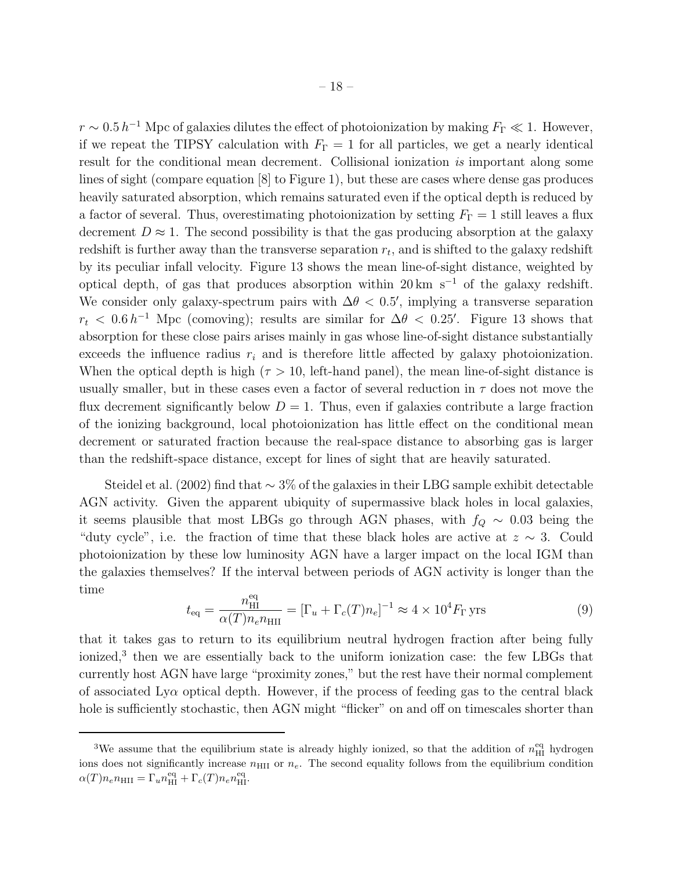$r \sim 0.5 h^{-1}$  Mpc of galaxies dilutes the effect of photoionization by making  $F_{\Gamma} \ll 1$ . However, if we repeat the TIPSY calculation with  $F_{\Gamma} = 1$  for all particles, we get a nearly identical result for the conditional mean decrement. Collisional ionization is important along some lines of sight (compare equation [8] to Figure 1), but these are cases where dense gas produces heavily saturated absorption, which remains saturated even if the optical depth is reduced by a factor of several. Thus, overestimating photoionization by setting  $F_{\Gamma} = 1$  still leaves a flux decrement  $D \approx 1$ . The second possibility is that the gas producing absorption at the galaxy redshift is further away than the transverse separation  $r_t$ , and is shifted to the galaxy redshift by its peculiar infall velocity. Figure 13 shows the mean line-of-sight distance, weighted by optical depth, of gas that produces absorption within 20 km s<sup>-1</sup> of the galaxy redshift. We consider only galaxy-spectrum pairs with  $\Delta \theta < 0.5'$ , implying a transverse separation  $r_t < 0.6 h^{-1}$  Mpc (comoving); results are similar for  $\Delta\theta < 0.25'$ . Figure 13 shows that absorption for these close pairs arises mainly in gas whose line-of-sight distance substantially exceeds the influence radius  $r_i$  and is therefore little affected by galaxy photoionization. When the optical depth is high ( $\tau > 10$ , left-hand panel), the mean line-of-sight distance is usually smaller, but in these cases even a factor of several reduction in  $\tau$  does not move the flux decrement significantly below  $D = 1$ . Thus, even if galaxies contribute a large fraction of the ionizing background, local photoionization has little effect on the conditional mean decrement or saturated fraction because the real-space distance to absorbing gas is larger than the redshift-space distance, except for lines of sight that are heavily saturated.

Steidel et al. (2002) find that ∼ 3% of the galaxies in their LBG sample exhibit detectable AGN activity. Given the apparent ubiquity of supermassive black holes in local galaxies, it seems plausible that most LBGs go through AGN phases, with  $f_Q \sim 0.03$  being the "duty cycle", i.e. the fraction of time that these black holes are active at  $z \sim 3$ . Could photoionization by these low luminosity AGN have a larger impact on the local IGM than the galaxies themselves? If the interval between periods of AGN activity is longer than the time

$$
t_{\text{eq}} = \frac{n_{\text{HI}}^{\text{eq}}}{\alpha(T)n_e n_{\text{HII}}} = [\Gamma_u + \Gamma_c(T)n_e]^{-1} \approx 4 \times 10^4 F_\Gamma \text{yrs}
$$
(9)

that it takes gas to return to its equilibrium neutral hydrogen fraction after being fully ionized,<sup>3</sup> then we are essentially back to the uniform ionization case: the few LBGs that currently host AGN have large "proximity zones," but the rest have their normal complement of associated  $Ly\alpha$  optical depth. However, if the process of feeding gas to the central black hole is sufficiently stochastic, then AGN might "flicker" on and off on timescales shorter than

<sup>&</sup>lt;sup>3</sup>We assume that the equilibrium state is already highly ionized, so that the addition of  $n_{\rm HI}^{\rm eq}$  hydrogen ions does not significantly increase  $n<sub>HII</sub>$  or  $n<sub>e</sub>$ . The second equality follows from the equilibrium condition  $\alpha(T) n_e n_{\rm HII} = \Gamma_u n_{\rm HI}^{\rm eq} + \Gamma_c(T) n_e n_{\rm HI}^{\rm eq}.$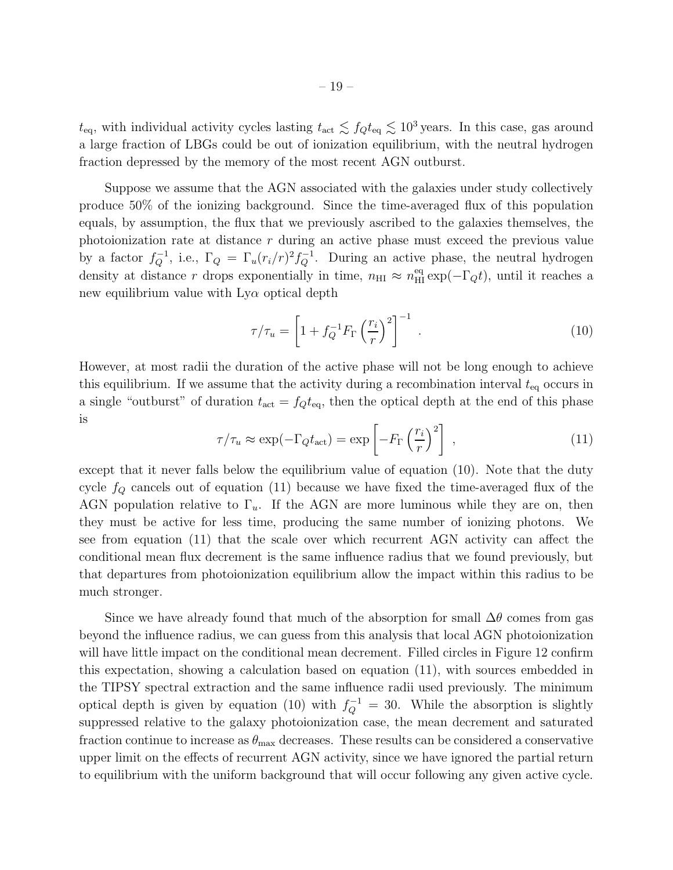Suppose we assume that the AGN associated with the galaxies under study collectively produce 50% of the ionizing background. Since the time-averaged flux of this population equals, by assumption, the flux that we previously ascribed to the galaxies themselves, the photoionization rate at distance r during an active phase must exceed the previous value by a factor  $f_Q^{-1}$ , i.e.,  $\Gamma_Q = \Gamma_u (r_i/r)^2 f_Q^{-1}$ . During an active phase, the neutral hydrogen density at distance r drops exponentially in time,  $n_{\text{HI}} \approx n_{\text{HI}}^{\text{eq}} \exp(-\Gamma_Q t)$ , until it reaches a new equilibrium value with  $Ly\alpha$  optical depth

$$
\tau/\tau_u = \left[1 + f_Q^{-1} F_\Gamma \left(\frac{r_i}{r}\right)^2\right]^{-1} \tag{10}
$$

However, at most radii the duration of the active phase will not be long enough to achieve this equilibrium. If we assume that the activity during a recombination interval  $t_{\text{eq}}$  occurs in a single "outburst" of duration  $t_{\text{act}} = f_Q t_{\text{eq}}$ , then the optical depth at the end of this phase is

$$
\tau/\tau_u \approx \exp(-\Gamma_Q t_{\rm act}) = \exp\left[-F_\Gamma \left(\frac{r_i}{r}\right)^2\right] \,,\tag{11}
$$

except that it never falls below the equilibrium value of equation (10). Note that the duty cycle  $f_Q$  cancels out of equation (11) because we have fixed the time-averaged flux of the AGN population relative to  $\Gamma_u$ . If the AGN are more luminous while they are on, then they must be active for less time, producing the same number of ionizing photons. We see from equation (11) that the scale over which recurrent AGN activity can affect the conditional mean flux decrement is the same influence radius that we found previously, but that departures from photoionization equilibrium allow the impact within this radius to be much stronger.

Since we have already found that much of the absorption for small  $\Delta\theta$  comes from gas beyond the influence radius, we can guess from this analysis that local AGN photoionization will have little impact on the conditional mean decrement. Filled circles in Figure 12 confirm this expectation, showing a calculation based on equation (11), with sources embedded in the TIPSY spectral extraction and the same influence radii used previously. The minimum optical depth is given by equation (10) with  $f_Q^{-1} = 30$ . While the absorption is slightly suppressed relative to the galaxy photoionization case, the mean decrement and saturated fraction continue to increase as  $\theta_{\text{max}}$  decreases. These results can be considered a conservative upper limit on the effects of recurrent AGN activity, since we have ignored the partial return to equilibrium with the uniform background that will occur following any given active cycle.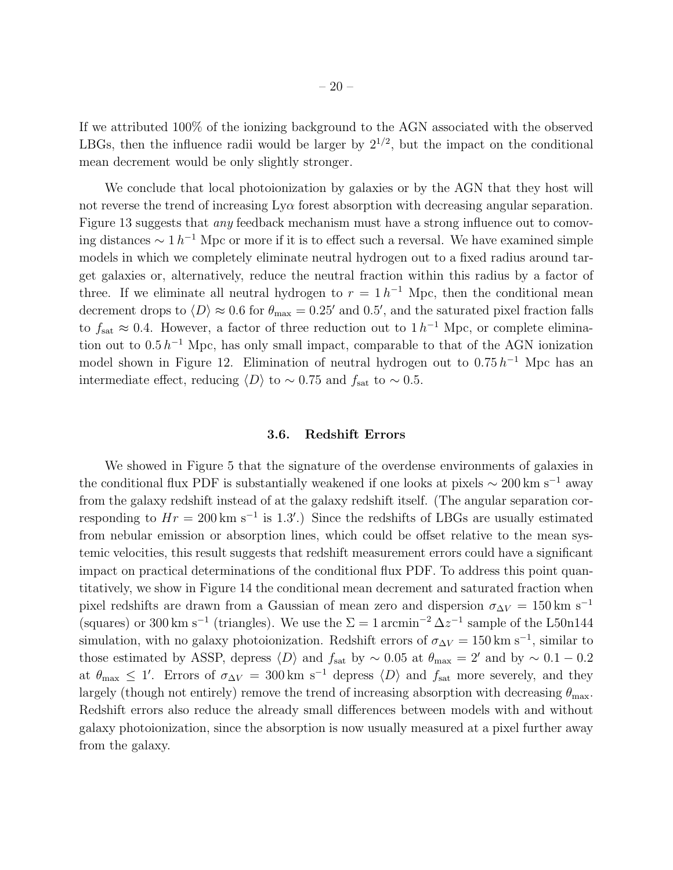If we attributed 100% of the ionizing background to the AGN associated with the observed LBGs, then the influence radii would be larger by  $2^{1/2}$ , but the impact on the conditional mean decrement would be only slightly stronger.

We conclude that local photoionization by galaxies or by the AGN that they host will not reverse the trend of increasing  $Ly\alpha$  forest absorption with decreasing angular separation. Figure 13 suggests that *any* feedback mechanism must have a strong influence out to comoving distances  $\sim 1 h^{-1}$  Mpc or more if it is to effect such a reversal. We have examined simple models in which we completely eliminate neutral hydrogen out to a fixed radius around target galaxies or, alternatively, reduce the neutral fraction within this radius by a factor of three. If we eliminate all neutral hydrogen to  $r = 1 h^{-1}$  Mpc, then the conditional mean decrement drops to  $\langle D \rangle \approx 0.6$  for  $\theta_{\text{max}} = 0.25'$  and 0.5', and the saturated pixel fraction falls to  $f_{\rm sat} \approx 0.4$ . However, a factor of three reduction out to  $1 h^{-1}$  Mpc, or complete elimination out to  $0.5 h^{-1}$  Mpc, has only small impact, comparable to that of the AGN ionization model shown in Figure 12. Elimination of neutral hydrogen out to  $0.75 h^{-1}$  Mpc has an intermediate effect, reducing  $\langle D \rangle$  to ~ 0.75 and  $f_{\rm sat}$  to ~ 0.5.

#### 3.6. Redshift Errors

We showed in Figure 5 that the signature of the overdense environments of galaxies in the conditional flux PDF is substantially weakened if one looks at pixels  $\sim 200 \, \mathrm{km \ s^{-1}}$  away from the galaxy redshift instead of at the galaxy redshift itself. (The angular separation corresponding to  $Hr = 200 \text{ km s}^{-1}$  is 1.3'.) Since the redshifts of LBGs are usually estimated from nebular emission or absorption lines, which could be offset relative to the mean systemic velocities, this result suggests that redshift measurement errors could have a significant impact on practical determinations of the conditional flux PDF. To address this point quantitatively, we show in Figure 14 the conditional mean decrement and saturated fraction when pixel redshifts are drawn from a Gaussian of mean zero and dispersion  $\sigma_{\Delta V} = 150 \text{ km s}^{-1}$ (squares) or 300 km s<sup>-1</sup> (triangles). We use the  $\Sigma = 1 \arcsin^{-2} \Delta z^{-1}$  sample of the L50n144 simulation, with no galaxy photoionization. Redshift errors of  $\sigma_{\Delta V} = 150 \text{ km s}^{-1}$ , similar to those estimated by ASSP, depress  $\langle D \rangle$  and  $f_{\rm sat}$  by ~ 0.05 at  $\theta_{\rm max} = 2'$  and by ~ 0.1 − 0.2 at  $\theta_{\text{max}} \leq 1'$ . Errors of  $\sigma_{\Delta V} = 300 \text{ km s}^{-1}$  depress  $\langle D \rangle$  and  $f_{\text{sat}}$  more severely, and they largely (though not entirely) remove the trend of increasing absorption with decreasing  $\theta_{\text{max}}$ . Redshift errors also reduce the already small differences between models with and without galaxy photoionization, since the absorption is now usually measured at a pixel further away from the galaxy.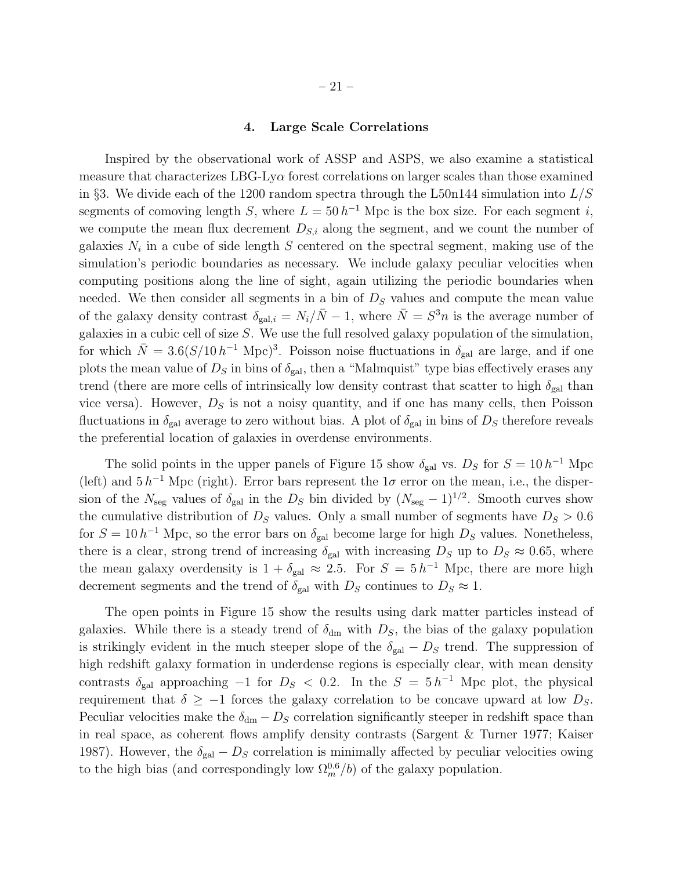#### 4. Large Scale Correlations

Inspired by the observational work of ASSP and ASPS, we also examine a statistical measure that characterizes LBG-Ly $\alpha$  forest correlations on larger scales than those examined in §3. We divide each of the 1200 random spectra through the L50n144 simulation into  $L/S$ segments of comoving length S, where  $L = 50 h^{-1}$  Mpc is the box size. For each segment i, we compute the mean flux decrement  $D_{S,i}$  along the segment, and we count the number of galaxies  $N_i$  in a cube of side length S centered on the spectral segment, making use of the simulation's periodic boundaries as necessary. We include galaxy peculiar velocities when computing positions along the line of sight, again utilizing the periodic boundaries when needed. We then consider all segments in a bin of  $D<sub>S</sub>$  values and compute the mean value of the galaxy density contrast  $\delta_{gal,i} = N_i/\bar{N} - 1$ , where  $\bar{N} = S^3 n$  is the average number of galaxies in a cubic cell of size  $S$ . We use the full resolved galaxy population of the simulation, for which  $\bar{N} = 3.6(S/10 h^{-1} \text{ Mpc})^3$ . Poisson noise fluctuations in  $\delta_{gal}$  are large, and if one plots the mean value of  $D<sub>S</sub>$  in bins of  $\delta_{\rm gal}$ , then a "Malmquist" type bias effectively erases any trend (there are more cells of intrinsically low density contrast that scatter to high  $\delta_{gal}$  than vice versa). However,  $D<sub>S</sub>$  is not a noisy quantity, and if one has many cells, then Poisson fluctuations in  $\delta_{gal}$  average to zero without bias. A plot of  $\delta_{gal}$  in bins of  $D_S$  therefore reveals the preferential location of galaxies in overdense environments.

The solid points in the upper panels of Figure 15 show  $\delta_{\text{gal}}$  vs.  $D_S$  for  $S = 10 h^{-1}$  Mpc (left) and  $5 h^{-1}$  Mpc (right). Error bars represent the  $1\sigma$  error on the mean, i.e., the dispersion of the  $N_{\text{seg}}$  values of  $\delta_{\text{gal}}$  in the  $D_S$  bin divided by  $(N_{\text{seg}}-1)^{1/2}$ . Smooth curves show the cumulative distribution of  $D<sub>S</sub>$  values. Only a small number of segments have  $D<sub>S</sub> > 0.6$ for  $S = 10 h^{-1}$  Mpc, so the error bars on  $\delta_{gal}$  become large for high  $D_S$  values. Nonetheless, there is a clear, strong trend of increasing  $\delta_{\rm gal}$  with increasing  $D_S$  up to  $D_S \approx 0.65$ , where the mean galaxy overdensity is  $1 + \delta_{gal} \approx 2.5$ . For  $S = 5 h^{-1}$  Mpc, there are more high decrement segments and the trend of  $\delta_{\text{gal}}$  with  $D_S$  continues to  $D_S \approx 1$ .

The open points in Figure 15 show the results using dark matter particles instead of galaxies. While there is a steady trend of  $\delta_{dm}$  with  $D_s$ , the bias of the galaxy population is strikingly evident in the much steeper slope of the  $\delta_{gal} - D_S$  trend. The suppression of high redshift galaxy formation in underdense regions is especially clear, with mean density contrasts  $\delta_{gal}$  approaching  $-1$  for  $D_S < 0.2$ . In the  $S = 5 h^{-1}$  Mpc plot, the physical requirement that  $\delta \geq -1$  forces the galaxy correlation to be concave upward at low  $D_S$ . Peculiar velocities make the  $\delta_{dm} - D_S$  correlation significantly steeper in redshift space than in real space, as coherent flows amplify density contrasts (Sargent & Turner 1977; Kaiser 1987). However, the  $\delta_{gal} - D_S$  correlation is minimally affected by peculiar velocities owing to the high bias (and correspondingly low  $\Omega_m^{0.6}/b$ ) of the galaxy population.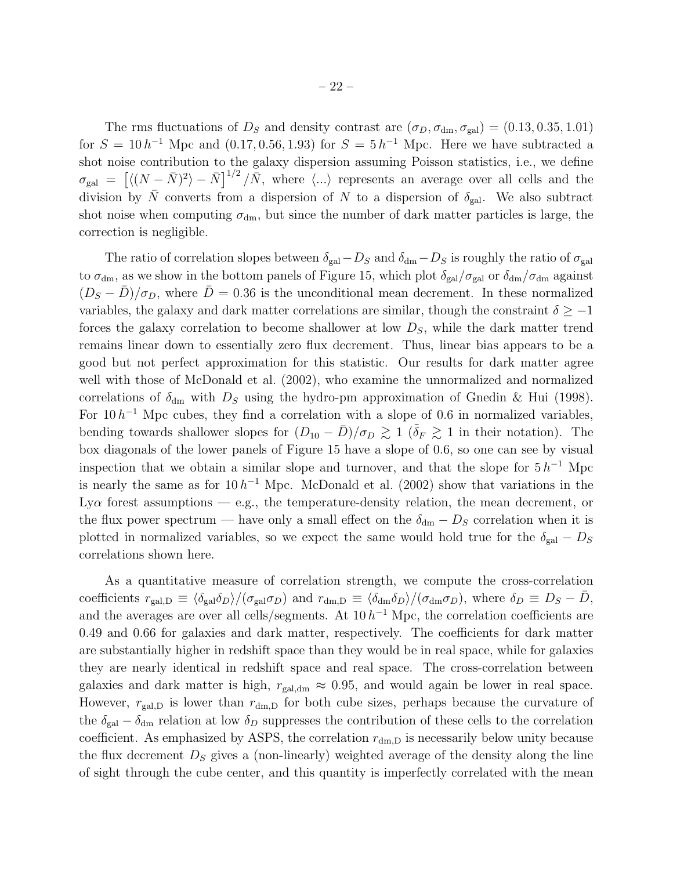The rms fluctuations of  $D<sub>S</sub>$  and density contrast are  $(\sigma_D, \sigma_{dm}, \sigma_{gal}) = (0.13, 0.35, 1.01)$ for  $S = 10 h^{-1}$  Mpc and  $(0.17, 0.56, 1.93)$  for  $S = 5 h^{-1}$  Mpc. Here we have subtracted a shot noise contribution to the galaxy dispersion assuming Poisson statistics, i.e., we define  $\sigma_{\text{gal}} = \left[ \langle (N - \bar{N})^2 \rangle - \bar{N} \right]^{1/2} / \bar{N}$ , where  $\langle ... \rangle$  represents an average over all cells and the division by  $\bar{N}$  converts from a dispersion of N to a dispersion of  $\delta_{gal}$ . We also subtract shot noise when computing  $\sigma_{dm}$ , but since the number of dark matter particles is large, the correction is negligible.

The ratio of correlation slopes between  $\delta_{gal}-D_S$  and  $\delta_{dm}-D_S$  is roughly the ratio of  $\sigma_{gal}$ to  $\sigma_{dm}$ , as we show in the bottom panels of Figure 15, which plot  $\delta_{gal}/\sigma_{gal}$  or  $\delta_{dm}/\sigma_{dm}$  against  $(D<sub>S</sub> - \bar{D})/\sigma_D$ , where  $\bar{D} = 0.36$  is the unconditional mean decrement. In these normalized variables, the galaxy and dark matter correlations are similar, though the constraint  $\delta \geq -1$ forces the galaxy correlation to become shallower at low  $D<sub>S</sub>$ , while the dark matter trend remains linear down to essentially zero flux decrement. Thus, linear bias appears to be a good but not perfect approximation for this statistic. Our results for dark matter agree well with those of McDonald et al. (2002), who examine the unnormalized and normalized correlations of  $\delta_{dm}$  with  $D_S$  using the hydro-pm approximation of Gnedin & Hui (1998). For  $10 h^{-1}$  Mpc cubes, they find a correlation with a slope of 0.6 in normalized variables, bending towards shallower slopes for  $(D_{10} - \bar{D})/\sigma_D \gtrsim 1$  ( $\tilde{\delta}_F \gtrsim 1$  in their notation). The box diagonals of the lower panels of Figure 15 have a slope of 0.6, so one can see by visual inspection that we obtain a similar slope and turnover, and that the slope for  $5 h^{-1}$  Mpc is nearly the same as for  $10 h^{-1}$  Mpc. McDonald et al. (2002) show that variations in the Ly $\alpha$  forest assumptions — e.g., the temperature-density relation, the mean decrement, or the flux power spectrum — have only a small effect on the  $\delta_{dm} - D_S$  correlation when it is plotted in normalized variables, so we expect the same would hold true for the  $\delta_{\rm gal} - D_S$ correlations shown here.

As a quantitative measure of correlation strength, we compute the cross-correlation coefficients  $r_{\text{gal},D} \equiv \langle \delta_{\text{gal}} \delta_D \rangle / (\sigma_{\text{gal}} \sigma_D)$  and  $r_{\text{dm},D} \equiv \langle \delta_{\text{dm}} \delta_D \rangle / (\sigma_{\text{dm}} \sigma_D)$ , where  $\delta_D \equiv D_S - \bar{D}$ , and the averages are over all cells/segments. At  $10 h^{-1}$  Mpc, the correlation coefficients are 0.49 and 0.66 for galaxies and dark matter, respectively. The coefficients for dark matter are substantially higher in redshift space than they would be in real space, while for galaxies they are nearly identical in redshift space and real space. The cross-correlation between galaxies and dark matter is high,  $r_{\text{gal,dm}} \approx 0.95$ , and would again be lower in real space. However,  $r_{\text{gal},D}$  is lower than  $r_{\text{dm},D}$  for both cube sizes, perhaps because the curvature of the  $\delta_{gal} - \delta_{dm}$  relation at low  $\delta_D$  suppresses the contribution of these cells to the correlation coefficient. As emphasized by ASPS, the correlation  $r_{dm,D}$  is necessarily below unity because the flux decrement  $D<sub>S</sub>$  gives a (non-linearly) weighted average of the density along the line of sight through the cube center, and this quantity is imperfectly correlated with the mean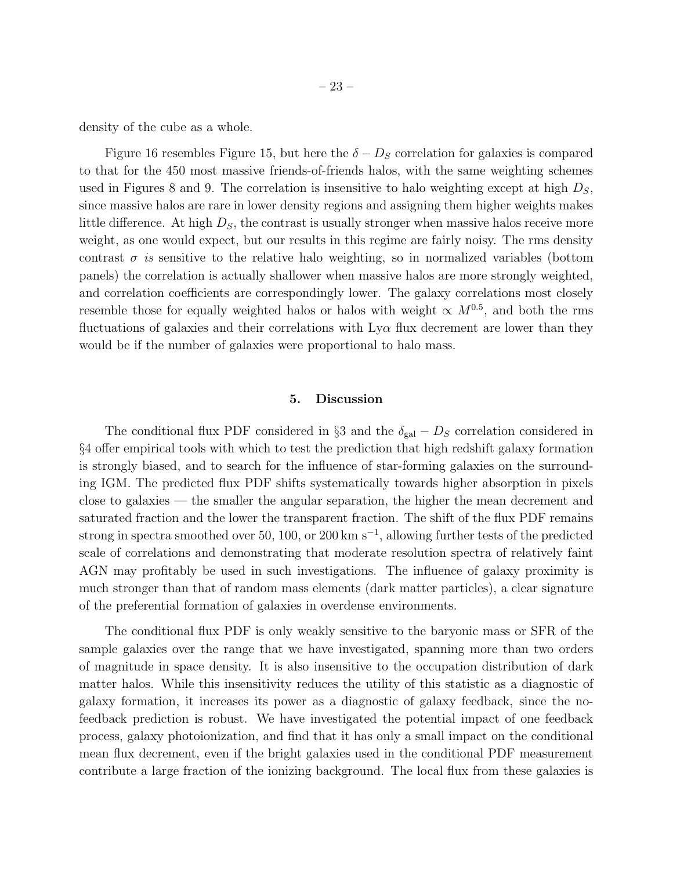density of the cube as a whole.

Figure 16 resembles Figure 15, but here the  $\delta - D_S$  correlation for galaxies is compared to that for the 450 most massive friends-of-friends halos, with the same weighting schemes used in Figures 8 and 9. The correlation is insensitive to halo weighting except at high  $D<sub>S</sub>$ , since massive halos are rare in lower density regions and assigning them higher weights makes little difference. At high  $D<sub>S</sub>$ , the contrast is usually stronger when massive halos receive more weight, as one would expect, but our results in this regime are fairly noisy. The rms density contrast  $\sigma$  is sensitive to the relative halo weighting, so in normalized variables (bottom panels) the correlation is actually shallower when massive halos are more strongly weighted, and correlation coefficients are correspondingly lower. The galaxy correlations most closely resemble those for equally weighted halos or halos with weight  $\propto M^{0.5}$ , and both the rms fluctuations of galaxies and their correlations with  $Ly\alpha$  flux decrement are lower than they would be if the number of galaxies were proportional to halo mass.

#### 5. Discussion

The conditional flux PDF considered in §3 and the  $\delta_{gal} - D_S$  correlation considered in §4 offer empirical tools with which to test the prediction that high redshift galaxy formation is strongly biased, and to search for the influence of star-forming galaxies on the surrounding IGM. The predicted flux PDF shifts systematically towards higher absorption in pixels close to galaxies — the smaller the angular separation, the higher the mean decrement and saturated fraction and the lower the transparent fraction. The shift of the flux PDF remains strong in spectra smoothed over 50, 100, or 200 km s<sup>-1</sup>, allowing further tests of the predicted scale of correlations and demonstrating that moderate resolution spectra of relatively faint AGN may profitably be used in such investigations. The influence of galaxy proximity is much stronger than that of random mass elements (dark matter particles), a clear signature of the preferential formation of galaxies in overdense environments.

The conditional flux PDF is only weakly sensitive to the baryonic mass or SFR of the sample galaxies over the range that we have investigated, spanning more than two orders of magnitude in space density. It is also insensitive to the occupation distribution of dark matter halos. While this insensitivity reduces the utility of this statistic as a diagnostic of galaxy formation, it increases its power as a diagnostic of galaxy feedback, since the nofeedback prediction is robust. We have investigated the potential impact of one feedback process, galaxy photoionization, and find that it has only a small impact on the conditional mean flux decrement, even if the bright galaxies used in the conditional PDF measurement contribute a large fraction of the ionizing background. The local flux from these galaxies is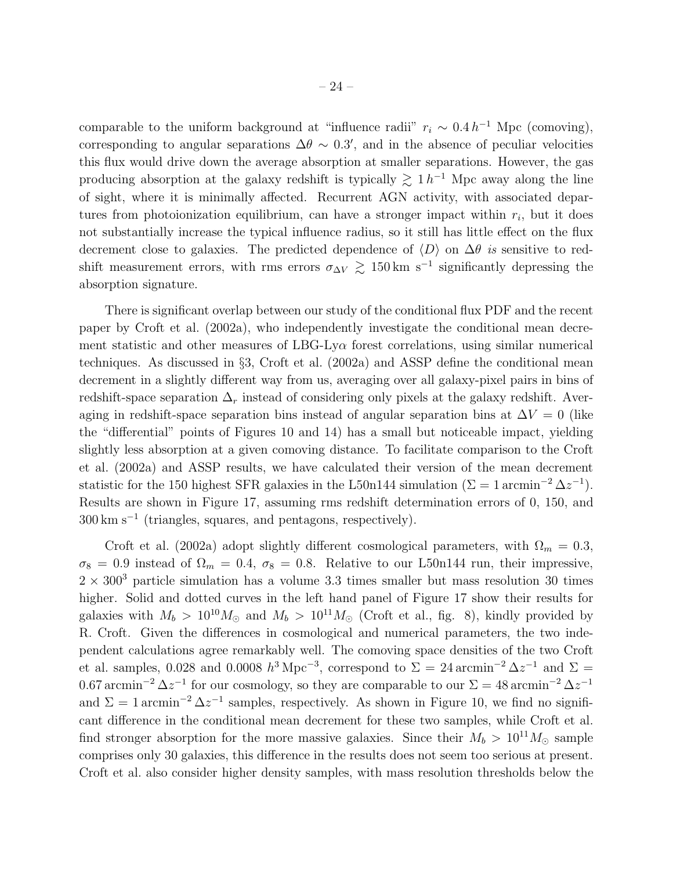comparable to the uniform background at "influence radii"  $r_i \sim 0.4 h^{-1}$  Mpc (comoving), corresponding to angular separations  $\Delta\theta \sim 0.3'$ , and in the absence of peculiar velocities this flux would drive down the average absorption at smaller separations. However, the gas producing absorption at the galaxy redshift is typically  $\gtrsim 1 h^{-1}$  Mpc away along the line of sight, where it is minimally affected. Recurrent AGN activity, with associated departures from photoionization equilibrium, can have a stronger impact within  $r_i$ , but it does not substantially increase the typical influence radius, so it still has little effect on the flux decrement close to galaxies. The predicted dependence of  $\langle D \rangle$  on  $\Delta\theta$  is sensitive to redshift measurement errors, with rms errors  $\sigma_{\Delta V} \gtrsim 150 \,\mathrm{km \ s^{-1}}$  significantly depressing the absorption signature.

There is significant overlap between our study of the conditional flux PDF and the recent paper by Croft et al. (2002a), who independently investigate the conditional mean decrement statistic and other measures of LBG-Ly $\alpha$  forest correlations, using similar numerical techniques. As discussed in §3, Croft et al. (2002a) and ASSP define the conditional mean decrement in a slightly different way from us, averaging over all galaxy-pixel pairs in bins of redshift-space separation  $\Delta_r$  instead of considering only pixels at the galaxy redshift. Averaging in redshift-space separation bins instead of angular separation bins at  $\Delta V = 0$  (like the "differential" points of Figures 10 and 14) has a small but noticeable impact, yielding slightly less absorption at a given comoving distance. To facilitate comparison to the Croft et al. (2002a) and ASSP results, we have calculated their version of the mean decrement statistic for the 150 highest SFR galaxies in the L50n144 simulation ( $\Sigma = 1$  arcmin<sup>-2</sup>  $\Delta z^{-1}$ ). Results are shown in Figure 17, assuming rms redshift determination errors of 0, 150, and 300 km s<sup>−</sup><sup>1</sup> (triangles, squares, and pentagons, respectively).

Croft et al. (2002a) adopt slightly different cosmological parameters, with  $\Omega_m = 0.3$ ,  $\sigma_8 = 0.9$  instead of  $\Omega_m = 0.4$ ,  $\sigma_8 = 0.8$ . Relative to our L50n144 run, their impressive,  $2 \times 300^3$  particle simulation has a volume 3.3 times smaller but mass resolution 30 times higher. Solid and dotted curves in the left hand panel of Figure 17 show their results for galaxies with  $M_b > 10^{10} M_{\odot}$  and  $M_b > 10^{11} M_{\odot}$  (Croft et al., fig. 8), kindly provided by R. Croft. Given the differences in cosmological and numerical parameters, the two independent calculations agree remarkably well. The comoving space densities of the two Croft et al. samples, 0.028 and 0.0008  $h^3 \text{ Mpc}^{-3}$ , correspond to  $\Sigma = 24 \text{ arcmin}^{-2} \Delta z^{-1}$  and  $\Sigma =$ 0.67 arcmin<sup>-2</sup>  $\Delta z^{-1}$  for our cosmology, so they are comparable to our  $\Sigma = 48 \text{ arcmin}^{-2} \Delta z^{-1}$ and  $\Sigma = 1$  arcmin<sup>-2</sup>  $\Delta z^{-1}$  samples, respectively. As shown in Figure 10, we find no significant difference in the conditional mean decrement for these two samples, while Croft et al. find stronger absorption for the more massive galaxies. Since their  $M_b > 10^{11} M_{\odot}$  sample comprises only 30 galaxies, this difference in the results does not seem too serious at present. Croft et al. also consider higher density samples, with mass resolution thresholds below the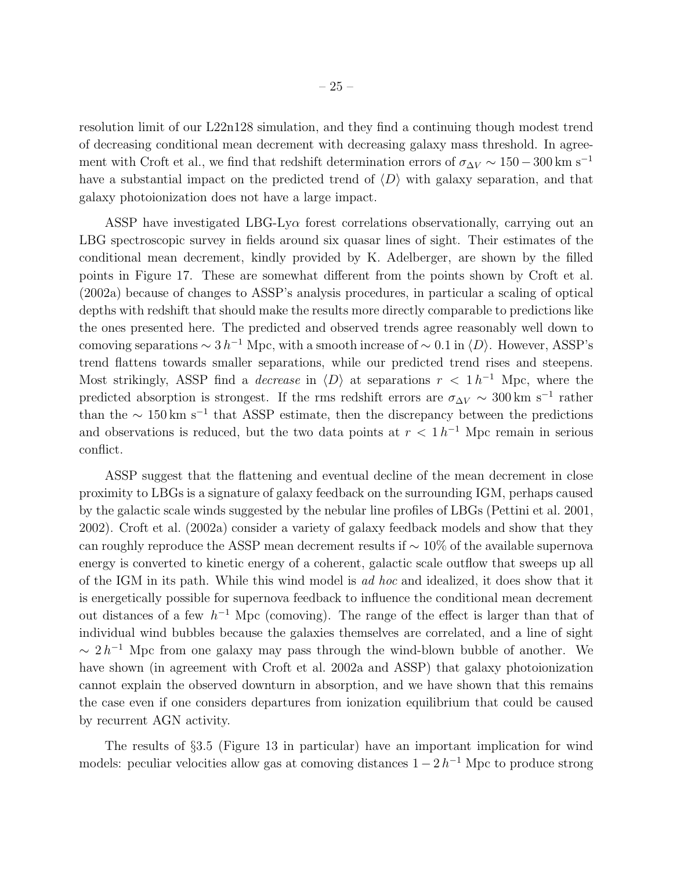resolution limit of our L22n128 simulation, and they find a continuing though modest trend of decreasing conditional mean decrement with decreasing galaxy mass threshold. In agreement with Croft et al., we find that redshift determination errors of  $\sigma_{\Delta V} \sim 150-300 \,\mathrm{km \ s^{-1}}$ have a substantial impact on the predicted trend of  $\langle D \rangle$  with galaxy separation, and that galaxy photoionization does not have a large impact.

ASSP have investigated LBG-Ly $\alpha$  forest correlations observationally, carrying out an LBG spectroscopic survey in fields around six quasar lines of sight. Their estimates of the conditional mean decrement, kindly provided by K. Adelberger, are shown by the filled points in Figure 17. These are somewhat different from the points shown by Croft et al. (2002a) because of changes to ASSP's analysis procedures, in particular a scaling of optical depths with redshift that should make the results more directly comparable to predictions like the ones presented here. The predicted and observed trends agree reasonably well down to comoving separations  $\sim 3 h^{-1}$  Mpc, with a smooth increase of  $\sim 0.1$  in  $\langle D \rangle$ . However, ASSP's trend flattens towards smaller separations, while our predicted trend rises and steepens. Most strikingly, ASSP find a *decrease* in  $\langle D \rangle$  at separations  $r < 1 h^{-1}$  Mpc, where the predicted absorption is strongest. If the rms redshift errors are  $\sigma_{\Delta V} \sim 300 \,\mathrm{km \ s^{-1}}$  rather than the  $\sim 150 \,\mathrm{km \ s^{-1}}$  that ASSP estimate, then the discrepancy between the predictions and observations is reduced, but the two data points at  $r < 1 h^{-1}$  Mpc remain in serious conflict.

ASSP suggest that the flattening and eventual decline of the mean decrement in close proximity to LBGs is a signature of galaxy feedback on the surrounding IGM, perhaps caused by the galactic scale winds suggested by the nebular line profiles of LBGs (Pettini et al. 2001, 2002). Croft et al. (2002a) consider a variety of galaxy feedback models and show that they can roughly reproduce the ASSP mean decrement results if ∼ 10% of the available supernova energy is converted to kinetic energy of a coherent, galactic scale outflow that sweeps up all of the IGM in its path. While this wind model is ad hoc and idealized, it does show that it is energetically possible for supernova feedback to influence the conditional mean decrement out distances of a few  $h^{-1}$  Mpc (comoving). The range of the effect is larger than that of individual wind bubbles because the galaxies themselves are correlated, and a line of sight  $\sim 2 h^{-1}$  Mpc from one galaxy may pass through the wind-blown bubble of another. We have shown (in agreement with Croft et al. 2002a and ASSP) that galaxy photoionization cannot explain the observed downturn in absorption, and we have shown that this remains the case even if one considers departures from ionization equilibrium that could be caused by recurrent AGN activity.

The results of §3.5 (Figure 13 in particular) have an important implication for wind models: peculiar velocities allow gas at comoving distances  $1 - 2h^{-1}$  Mpc to produce strong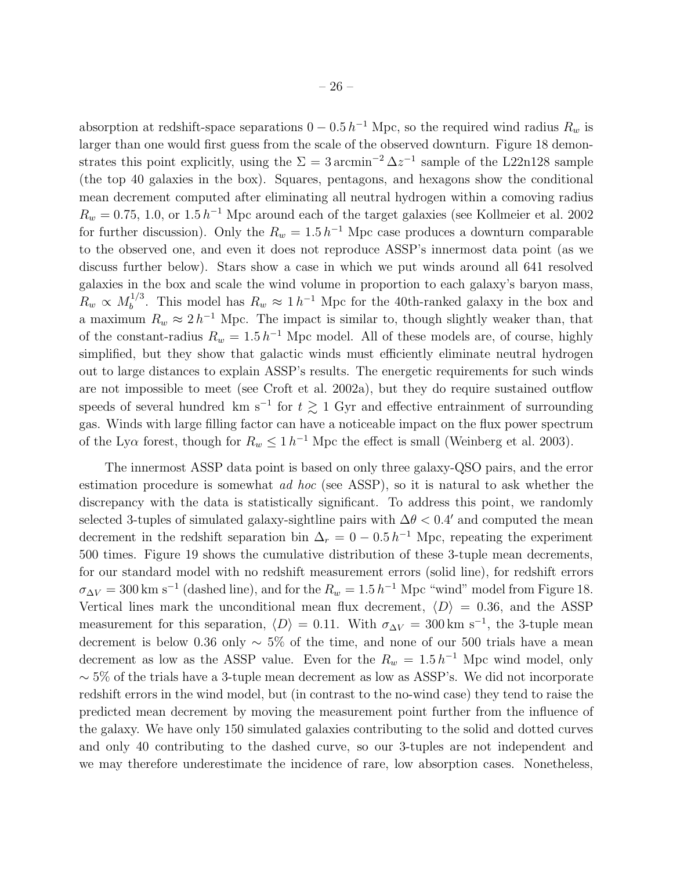absorption at redshift-space separations  $0 - 0.5 h^{-1}$  Mpc, so the required wind radius  $R_w$  is larger than one would first guess from the scale of the observed downturn. Figure 18 demonstrates this point explicitly, using the  $\Sigma = 3 \text{ arcmin}^{-2} \Delta z^{-1}$  sample of the L22n128 sample (the top 40 galaxies in the box). Squares, pentagons, and hexagons show the conditional mean decrement computed after eliminating all neutral hydrogen within a comoving radius  $R_w = 0.75, 1.0,$  or  $1.5 h^{-1}$  Mpc around each of the target galaxies (see Kollmeier et al. 2002) for further discussion). Only the  $R_w = 1.5 h^{-1}$  Mpc case produces a downturn comparable to the observed one, and even it does not reproduce ASSP's innermost data point (as we discuss further below). Stars show a case in which we put winds around all 641 resolved galaxies in the box and scale the wind volume in proportion to each galaxy's baryon mass,  $R_w \propto M_b^{1/3}$ <sup>1/3</sup>. This model has  $R_w \approx 1 h^{-1}$  Mpc for the 40th-ranked galaxy in the box and a maximum  $R_w \approx 2 h^{-1}$  Mpc. The impact is similar to, though slightly weaker than, that of the constant-radius  $R_w = 1.5 h^{-1}$  Mpc model. All of these models are, of course, highly simplified, but they show that galactic winds must efficiently eliminate neutral hydrogen out to large distances to explain ASSP's results. The energetic requirements for such winds are not impossible to meet (see Croft et al. 2002a), but they do require sustained outflow speeds of several hundred km s<sup>-1</sup> for  $t \gtrsim 1$  Gyr and effective entrainment of surrounding gas. Winds with large filling factor can have a noticeable impact on the flux power spectrum of the Ly $\alpha$  forest, though for  $R_w \leq 1 h^{-1}$  Mpc the effect is small (Weinberg et al. 2003).

The innermost ASSP data point is based on only three galaxy-QSO pairs, and the error estimation procedure is somewhat *ad hoc* (see ASSP), so it is natural to ask whether the discrepancy with the data is statistically significant. To address this point, we randomly selected 3-tuples of simulated galaxy-sightline pairs with  $\Delta\theta$  < 0.4' and computed the mean decrement in the redshift separation bin  $\Delta_r = 0 - 0.5 h^{-1}$  Mpc, repeating the experiment 500 times. Figure 19 shows the cumulative distribution of these 3-tuple mean decrements, for our standard model with no redshift measurement errors (solid line), for redshift errors  $\sigma_{\Delta V} = 300 \text{ km s}^{-1}$  (dashed line), and for the  $R_w = 1.5 h^{-1}$  Mpc "wind" model from Figure 18. Vertical lines mark the unconditional mean flux decrement,  $\langle D \rangle = 0.36$ , and the ASSP measurement for this separation,  $\langle D \rangle = 0.11$ . With  $\sigma_{\Delta V} = 300 \text{ km s}^{-1}$ , the 3-tuple mean decrement is below 0.36 only  $\sim$  5% of the time, and none of our 500 trials have a mean decrement as low as the ASSP value. Even for the  $R_w = 1.5 h^{-1}$  Mpc wind model, only  $\sim$  5% of the trials have a 3-tuple mean decrement as low as ASSP's. We did not incorporate redshift errors in the wind model, but (in contrast to the no-wind case) they tend to raise the predicted mean decrement by moving the measurement point further from the influence of the galaxy. We have only 150 simulated galaxies contributing to the solid and dotted curves and only 40 contributing to the dashed curve, so our 3-tuples are not independent and we may therefore underestimate the incidence of rare, low absorption cases. Nonetheless,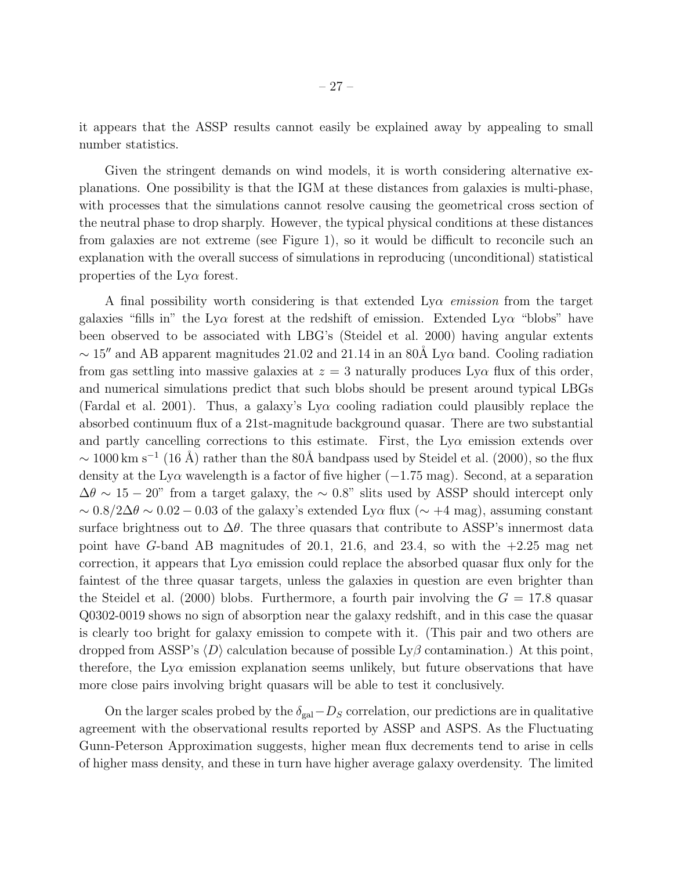it appears that the ASSP results cannot easily be explained away by appealing to small number statistics.

Given the stringent demands on wind models, it is worth considering alternative explanations. One possibility is that the IGM at these distances from galaxies is multi-phase, with processes that the simulations cannot resolve causing the geometrical cross section of the neutral phase to drop sharply. However, the typical physical conditions at these distances from galaxies are not extreme (see Figure 1), so it would be difficult to reconcile such an explanation with the overall success of simulations in reproducing (unconditional) statistical properties of the  $Ly\alpha$  forest.

A final possibility worth considering is that extended  $Ly\alpha$  emission from the target galaxies "fills in" the Ly $\alpha$  forest at the redshift of emission. Extended Ly $\alpha$  "blobs" have been observed to be associated with LBG's (Steidel et al. 2000) having angular extents  $\sim 15''$  and AB apparent magnitudes 21.02 and 21.14 in an 80Å Ly $\alpha$  band. Cooling radiation from gas settling into massive galaxies at  $z = 3$  naturally produces Ly $\alpha$  flux of this order, and numerical simulations predict that such blobs should be present around typical LBGs (Fardal et al. 2001). Thus, a galaxy's  $Ly\alpha$  cooling radiation could plausibly replace the absorbed continuum flux of a 21st-magnitude background quasar. There are two substantial and partly cancelling corrections to this estimate. First, the  $Ly\alpha$  emission extends over  $\sim 1000 \,\mathrm{km \ s^{-1}}$  (16 Å) rather than the 80Å bandpass used by Steidel et al. (2000), so the flux density at the Ly $\alpha$  wavelength is a factor of five higher ( $-1.75$  mag). Second, at a separation  $\Delta\theta \sim 15 - 20$ " from a target galaxy, the  $\sim 0.8$ " slits used by ASSP should intercept only  $\sim 0.8/2\Delta\theta \sim 0.02 - 0.03$  of the galaxy's extended Ly $\alpha$  flux ( $\sim +4$  mag), assuming constant surface brightness out to  $\Delta\theta$ . The three quasars that contribute to ASSP's innermost data point have G-band AB magnitudes of 20.1, 21.6, and 23.4, so with the  $+2.25$  mag net correction, it appears that  $Ly\alpha$  emission could replace the absorbed quasar flux only for the faintest of the three quasar targets, unless the galaxies in question are even brighter than the Steidel et al. (2000) blobs. Furthermore, a fourth pair involving the  $G = 17.8$  quasar Q0302-0019 shows no sign of absorption near the galaxy redshift, and in this case the quasar is clearly too bright for galaxy emission to compete with it. (This pair and two others are dropped from ASSP's  $\langle D \rangle$  calculation because of possible Ly $\beta$  contamination.) At this point, therefore, the  $Ly\alpha$  emission explanation seems unlikely, but future observations that have more close pairs involving bright quasars will be able to test it conclusively.

On the larger scales probed by the  $\delta_{gal}-D_S$  correlation, our predictions are in qualitative agreement with the observational results reported by ASSP and ASPS. As the Fluctuating Gunn-Peterson Approximation suggests, higher mean flux decrements tend to arise in cells of higher mass density, and these in turn have higher average galaxy overdensity. The limited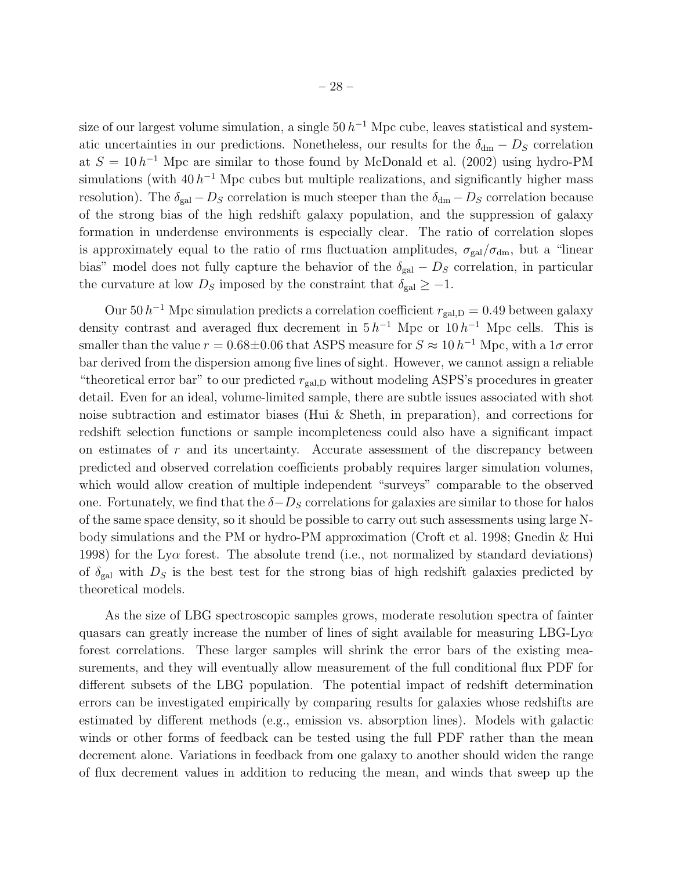size of our largest volume simulation, a single  $50 h^{-1}$  Mpc cube, leaves statistical and systematic uncertainties in our predictions. Nonetheless, our results for the  $\delta_{dm} - D_S$  correlation at  $S = 10 h^{-1}$  Mpc are similar to those found by McDonald et al. (2002) using hydro-PM simulations (with  $40 h^{-1}$  Mpc cubes but multiple realizations, and significantly higher mass resolution). The  $\delta_{gal} - D_S$  correlation is much steeper than the  $\delta_{dm} - D_S$  correlation because of the strong bias of the high redshift galaxy population, and the suppression of galaxy formation in underdense environments is especially clear. The ratio of correlation slopes is approximately equal to the ratio of rms fluctuation amplitudes,  $\sigma_{gal}/\sigma_{dm}$ , but a "linear bias" model does not fully capture the behavior of the  $\delta_{gal} - D_S$  correlation, in particular the curvature at low  $D<sub>S</sub>$  imposed by the constraint that  $\delta_{gal} \geq -1$ .

Our 50  $h^{-1}$  Mpc simulation predicts a correlation coefficient  $r_{\text{gal,D}} = 0.49$  between galaxy density contrast and averaged flux decrement in  $5 h^{-1}$  Mpc or  $10 h^{-1}$  Mpc cells. This is smaller than the value  $r = 0.68 \pm 0.06$  that ASPS measure for  $S \approx 10 h^{-1}$  Mpc, with a  $1\sigma$  error bar derived from the dispersion among five lines of sight. However, we cannot assign a reliable "theoretical error bar" to our predicted  $r_{\text{gal,D}}$  without modeling ASPS's procedures in greater detail. Even for an ideal, volume-limited sample, there are subtle issues associated with shot noise subtraction and estimator biases (Hui & Sheth, in preparation), and corrections for redshift selection functions or sample incompleteness could also have a significant impact on estimates of r and its uncertainty. Accurate assessment of the discrepancy between predicted and observed correlation coefficients probably requires larger simulation volumes, which would allow creation of multiple independent "surveys" comparable to the observed one. Fortunately, we find that the  $\delta - D_S$  correlations for galaxies are similar to those for halos of the same space density, so it should be possible to carry out such assessments using large Nbody simulations and the PM or hydro-PM approximation (Croft et al. 1998; Gnedin & Hui 1998) for the Ly $\alpha$  forest. The absolute trend (i.e., not normalized by standard deviations) of  $\delta_{\rm gal}$  with  $D_S$  is the best test for the strong bias of high redshift galaxies predicted by theoretical models.

As the size of LBG spectroscopic samples grows, moderate resolution spectra of fainter quasars can greatly increase the number of lines of sight available for measuring LBG-Ly $\alpha$ forest correlations. These larger samples will shrink the error bars of the existing measurements, and they will eventually allow measurement of the full conditional flux PDF for different subsets of the LBG population. The potential impact of redshift determination errors can be investigated empirically by comparing results for galaxies whose redshifts are estimated by different methods (e.g., emission vs. absorption lines). Models with galactic winds or other forms of feedback can be tested using the full PDF rather than the mean decrement alone. Variations in feedback from one galaxy to another should widen the range of flux decrement values in addition to reducing the mean, and winds that sweep up the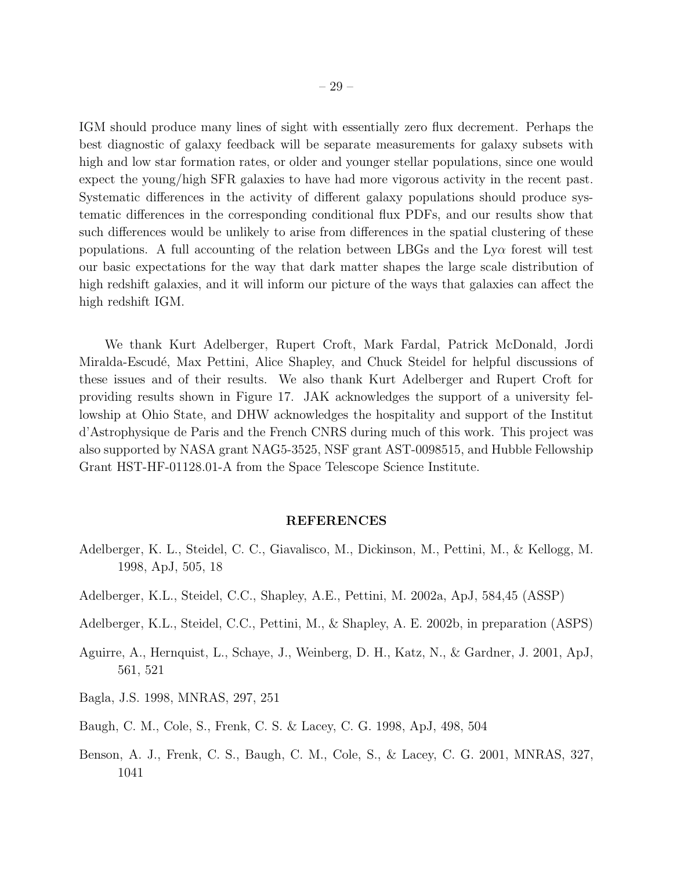IGM should produce many lines of sight with essentially zero flux decrement. Perhaps the best diagnostic of galaxy feedback will be separate measurements for galaxy subsets with high and low star formation rates, or older and younger stellar populations, since one would expect the young/high SFR galaxies to have had more vigorous activity in the recent past. Systematic differences in the activity of different galaxy populations should produce systematic differences in the corresponding conditional flux PDFs, and our results show that such differences would be unlikely to arise from differences in the spatial clustering of these populations. A full accounting of the relation between LBGs and the  $Ly\alpha$  forest will test our basic expectations for the way that dark matter shapes the large scale distribution of high redshift galaxies, and it will inform our picture of the ways that galaxies can affect the high redshift IGM.

We thank Kurt Adelberger, Rupert Croft, Mark Fardal, Patrick McDonald, Jordi Miralda-Escudé, Max Pettini, Alice Shapley, and Chuck Steidel for helpful discussions of these issues and of their results. We also thank Kurt Adelberger and Rupert Croft for providing results shown in Figure 17. JAK acknowledges the support of a university fellowship at Ohio State, and DHW acknowledges the hospitality and support of the Institut d'Astrophysique de Paris and the French CNRS during much of this work. This project was also supported by NASA grant NAG5-3525, NSF grant AST-0098515, and Hubble Fellowship Grant HST-HF-01128.01-A from the Space Telescope Science Institute.

#### REFERENCES

- Adelberger, K. L., Steidel, C. C., Giavalisco, M., Dickinson, M., Pettini, M., & Kellogg, M. 1998, ApJ, 505, 18
- Adelberger, K.L., Steidel, C.C., Shapley, A.E., Pettini, M. 2002a, ApJ, 584,45 (ASSP)
- Adelberger, K.L., Steidel, C.C., Pettini, M., & Shapley, A. E. 2002b, in preparation (ASPS)
- Aguirre, A., Hernquist, L., Schaye, J., Weinberg, D. H., Katz, N., & Gardner, J. 2001, ApJ, 561, 521
- Bagla, J.S. 1998, MNRAS, 297, 251
- Baugh, C. M., Cole, S., Frenk, C. S. & Lacey, C. G. 1998, ApJ, 498, 504
- Benson, A. J., Frenk, C. S., Baugh, C. M., Cole, S., & Lacey, C. G. 2001, MNRAS, 327, 1041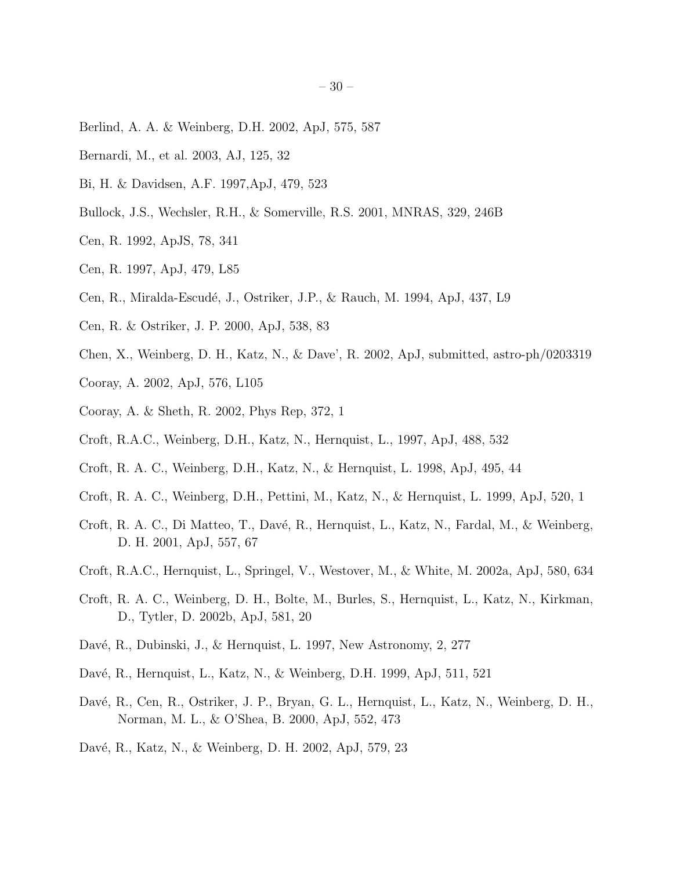- Berlind, A. A. & Weinberg, D.H. 2002, ApJ, 575, 587
- Bernardi, M., et al. 2003, AJ, 125, 32
- Bi, H. & Davidsen, A.F. 1997,ApJ, 479, 523
- Bullock, J.S., Wechsler, R.H., & Somerville, R.S. 2001, MNRAS, 329, 246B
- Cen, R. 1992, ApJS, 78, 341
- Cen, R. 1997, ApJ, 479, L85
- Cen, R., Miralda-Escudé, J., Ostriker, J.P., & Rauch, M. 1994, ApJ, 437, L9
- Cen, R. & Ostriker, J. P. 2000, ApJ, 538, 83
- Chen, X., Weinberg, D. H., Katz, N., & Dave', R. 2002, ApJ, submitted, astro-ph/0203319
- Cooray, A. 2002, ApJ, 576, L105
- Cooray, A. & Sheth, R. 2002, Phys Rep, 372, 1
- Croft, R.A.C., Weinberg, D.H., Katz, N., Hernquist, L., 1997, ApJ, 488, 532
- Croft, R. A. C., Weinberg, D.H., Katz, N., & Hernquist, L. 1998, ApJ, 495, 44
- Croft, R. A. C., Weinberg, D.H., Pettini, M., Katz, N., & Hernquist, L. 1999, ApJ, 520, 1
- Croft, R. A. C., Di Matteo, T., Davé, R., Hernquist, L., Katz, N., Fardal, M., & Weinberg, D. H. 2001, ApJ, 557, 67
- Croft, R.A.C., Hernquist, L., Springel, V., Westover, M., & White, M. 2002a, ApJ, 580, 634
- Croft, R. A. C., Weinberg, D. H., Bolte, M., Burles, S., Hernquist, L., Katz, N., Kirkman, D., Tytler, D. 2002b, ApJ, 581, 20
- Davé, R., Dubinski, J., & Hernquist, L. 1997, New Astronomy, 2, 277
- Davé, R., Hernquist, L., Katz, N., & Weinberg, D.H. 1999, ApJ, 511, 521
- Davé, R., Cen, R., Ostriker, J. P., Bryan, G. L., Hernquist, L., Katz, N., Weinberg, D. H., Norman, M. L., & O'Shea, B. 2000, ApJ, 552, 473
- Davé, R., Katz, N., & Weinberg, D. H. 2002, ApJ, 579, 23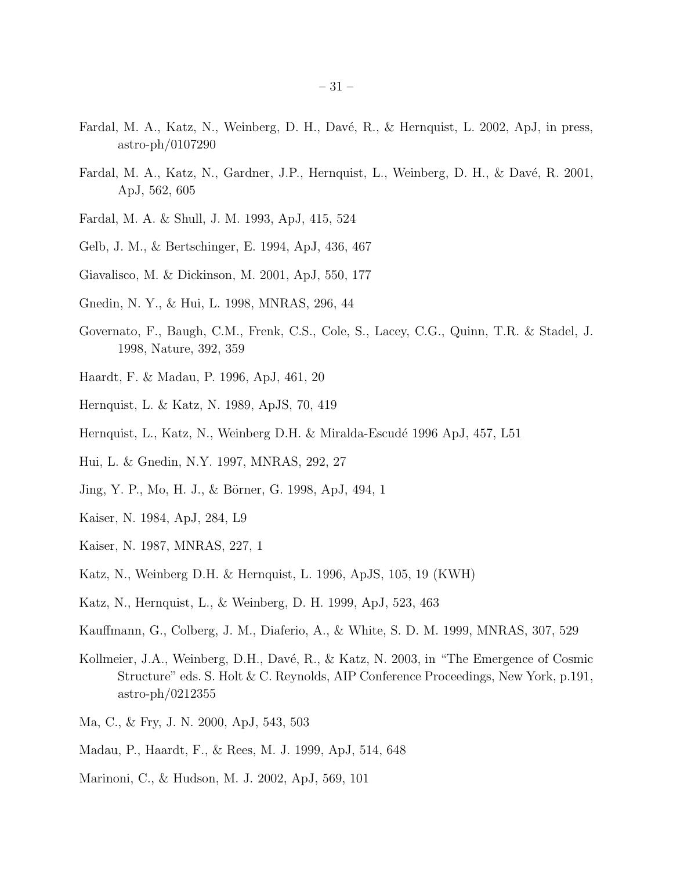- Fardal, M. A., Katz, N., Weinberg, D. H., Davé, R., & Hernquist, L. 2002, ApJ, in press, astro-ph/0107290
- Fardal, M. A., Katz, N., Gardner, J.P., Hernquist, L., Weinberg, D. H., & Davé, R. 2001, ApJ, 562, 605
- Fardal, M. A. & Shull, J. M. 1993, ApJ, 415, 524
- Gelb, J. M., & Bertschinger, E. 1994, ApJ, 436, 467
- Giavalisco, M. & Dickinson, M. 2001, ApJ, 550, 177
- Gnedin, N. Y., & Hui, L. 1998, MNRAS, 296, 44
- Governato, F., Baugh, C.M., Frenk, C.S., Cole, S., Lacey, C.G., Quinn, T.R. & Stadel, J. 1998, Nature, 392, 359
- Haardt, F. & Madau, P. 1996, ApJ, 461, 20
- Hernquist, L. & Katz, N. 1989, ApJS, 70, 419
- Hernquist, L., Katz, N., Weinberg D.H. & Miralda-Escudé 1996 ApJ, 457, L51
- Hui, L. & Gnedin, N.Y. 1997, MNRAS, 292, 27
- Jing, Y. P., Mo, H. J., & Börner, G. 1998, ApJ, 494, 1
- Kaiser, N. 1984, ApJ, 284, L9
- Kaiser, N. 1987, MNRAS, 227, 1
- Katz, N., Weinberg D.H. & Hernquist, L. 1996, ApJS, 105, 19 (KWH)
- Katz, N., Hernquist, L., & Weinberg, D. H. 1999, ApJ, 523, 463
- Kauffmann, G., Colberg, J. M., Diaferio, A., & White, S. D. M. 1999, MNRAS, 307, 529
- Kollmeier, J.A., Weinberg, D.H., Davé, R., & Katz, N. 2003, in "The Emergence of Cosmic Structure" eds. S. Holt & C. Reynolds, AIP Conference Proceedings, New York, p.191, astro-ph/0212355
- Ma, C., & Fry, J. N. 2000, ApJ, 543, 503
- Madau, P., Haardt, F., & Rees, M. J. 1999, ApJ, 514, 648
- Marinoni, C., & Hudson, M. J. 2002, ApJ, 569, 101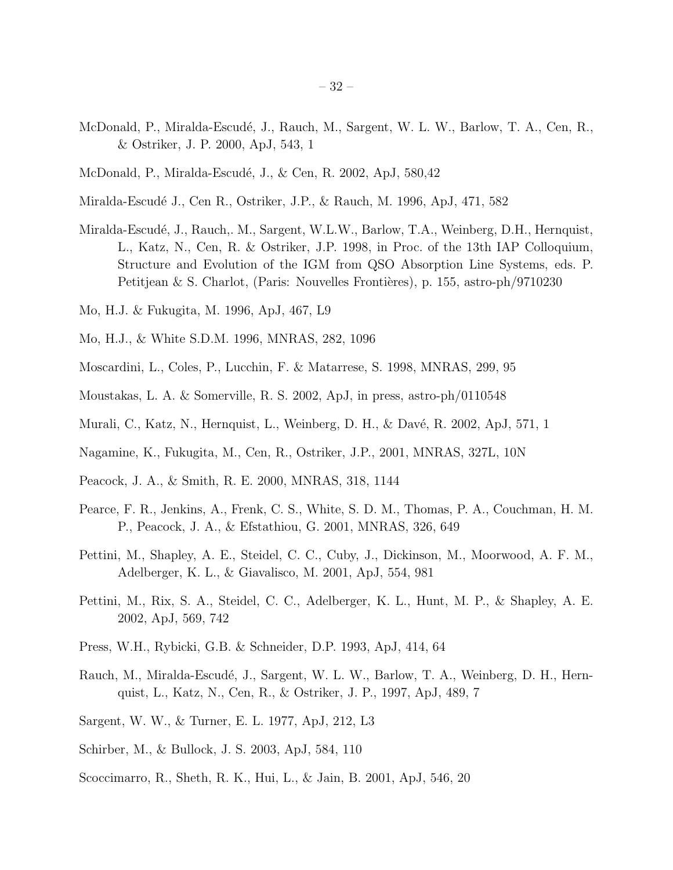- McDonald, P., Miralda-Escudé, J., Rauch, M., Sargent, W. L. W., Barlow, T. A., Cen, R., & Ostriker, J. P. 2000, ApJ, 543, 1
- McDonald, P., Miralda-Escudé, J., & Cen, R. 2002, ApJ, 580,42
- Miralda-Escudé J., Cen R., Ostriker, J.P., & Rauch, M. 1996, ApJ, 471, 582
- Miralda-Escudé, J., Rauch,. M., Sargent, W.L.W., Barlow, T.A., Weinberg, D.H., Hernquist, L., Katz, N., Cen, R. & Ostriker, J.P. 1998, in Proc. of the 13th IAP Colloquium, Structure and Evolution of the IGM from QSO Absorption Line Systems, eds. P. Petitjean & S. Charlot, (Paris: Nouvelles Frontières), p. 155, astro-ph/9710230
- Mo, H.J. & Fukugita, M. 1996, ApJ, 467, L9
- Mo, H.J., & White S.D.M. 1996, MNRAS, 282, 1096
- Moscardini, L., Coles, P., Lucchin, F. & Matarrese, S. 1998, MNRAS, 299, 95
- Moustakas, L. A. & Somerville, R. S. 2002, ApJ, in press, astro-ph/0110548
- Murali, C., Katz, N., Hernquist, L., Weinberg, D. H., & Davé, R. 2002, ApJ, 571, 1
- Nagamine, K., Fukugita, M., Cen, R., Ostriker, J.P., 2001, MNRAS, 327L, 10N
- Peacock, J. A., & Smith, R. E. 2000, MNRAS, 318, 1144
- Pearce, F. R., Jenkins, A., Frenk, C. S., White, S. D. M., Thomas, P. A., Couchman, H. M. P., Peacock, J. A., & Efstathiou, G. 2001, MNRAS, 326, 649
- Pettini, M., Shapley, A. E., Steidel, C. C., Cuby, J., Dickinson, M., Moorwood, A. F. M., Adelberger, K. L., & Giavalisco, M. 2001, ApJ, 554, 981
- Pettini, M., Rix, S. A., Steidel, C. C., Adelberger, K. L., Hunt, M. P., & Shapley, A. E. 2002, ApJ, 569, 742
- Press, W.H., Rybicki, G.B. & Schneider, D.P. 1993, ApJ, 414, 64
- Rauch, M., Miralda-Escudé, J., Sargent, W. L. W., Barlow, T. A., Weinberg, D. H., Hernquist, L., Katz, N., Cen, R., & Ostriker, J. P., 1997, ApJ, 489, 7
- Sargent, W. W., & Turner, E. L. 1977, ApJ, 212, L3
- Schirber, M., & Bullock, J. S. 2003, ApJ, 584, 110
- Scoccimarro, R., Sheth, R. K., Hui, L., & Jain, B. 2001, ApJ, 546, 20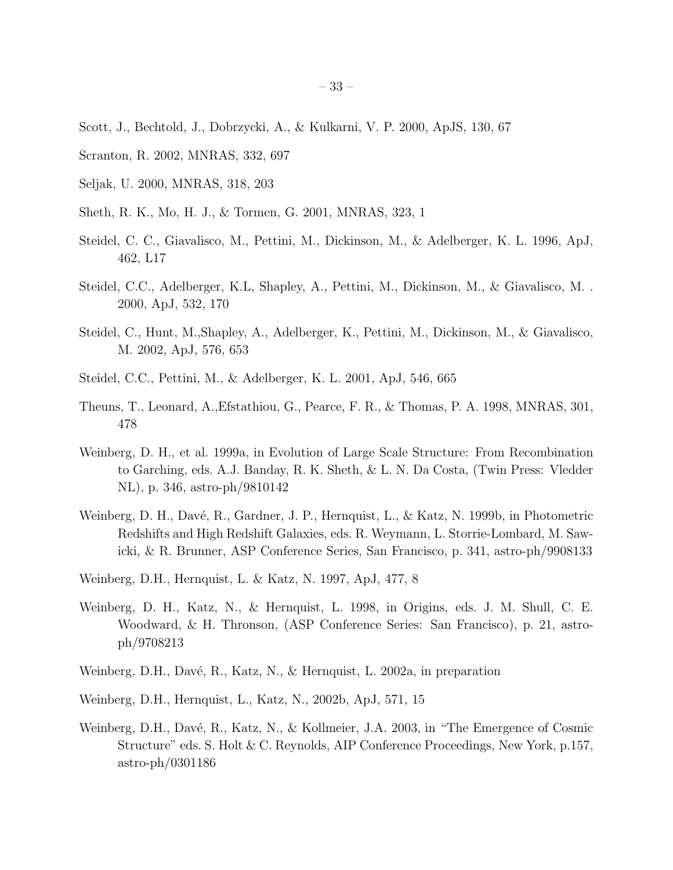- Scott, J., Bechtold, J., Dobrzycki, A., & Kulkarni, V. P. 2000, ApJS, 130, 67
- Scranton, R. 2002, MNRAS, 332, 697
- Seljak, U. 2000, MNRAS, 318, 203
- Sheth, R. K., Mo, H. J., & Tormen, G. 2001, MNRAS, 323, 1
- Steidel, C. C., Giavalisco, M., Pettini, M., Dickinson, M., & Adelberger, K. L. 1996, ApJ, 462, L17
- Steidel, C.C., Adelberger, K.L, Shapley, A., Pettini, M., Dickinson, M., & Giavalisco, M. . 2000, ApJ, 532, 170
- Steidel, C., Hunt, M.,Shapley, A., Adelberger, K., Pettini, M., Dickinson, M., & Giavalisco, M. 2002, ApJ, 576, 653
- Steidel, C.C., Pettini, M., & Adelberger, K. L. 2001, ApJ, 546, 665
- Theuns, T., Leonard, A.,Efstathiou, G., Pearce, F. R., & Thomas, P. A. 1998, MNRAS, 301, 478
- Weinberg, D. H., et al. 1999a, in Evolution of Large Scale Structure: From Recombination to Garching, eds. A.J. Banday, R. K. Sheth, & L. N. Da Costa, (Twin Press: Vledder NL), p. 346, astro-ph/9810142
- Weinberg, D. H., Davé, R., Gardner, J. P., Hernquist, L., & Katz, N. 1999b, in Photometric Redshifts and High Redshift Galaxies, eds. R. Weymann, L. Storrie-Lombard, M. Sawicki, & R. Brunner, ASP Conference Series, San Francisco, p. 341, astro-ph/9908133
- Weinberg, D.H., Hernquist, L. & Katz, N. 1997, ApJ, 477, 8
- Weinberg, D. H., Katz, N., & Hernquist, L. 1998, in Origins, eds. J. M. Shull, C. E. Woodward, & H. Thronson, (ASP Conference Series: San Francisco), p. 21, astroph/9708213
- Weinberg, D.H., Davé, R., Katz, N., & Hernquist, L. 2002a, in preparation
- Weinberg, D.H., Hernquist, L., Katz, N., 2002b, ApJ, 571, 15
- Weinberg, D.H., Davé, R., Katz, N., & Kollmeier, J.A. 2003, in "The Emergence of Cosmic Structure" eds. S. Holt & C. Reynolds, AIP Conference Proceedings, New York, p.157, astro-ph/0301186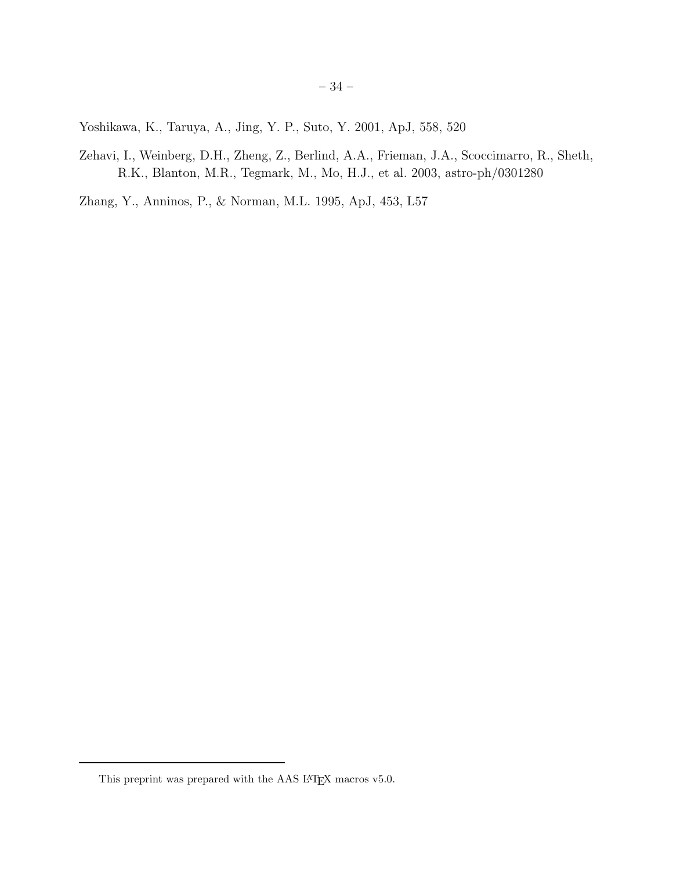Yoshikawa, K., Taruya, A., Jing, Y. P., Suto, Y. 2001, ApJ, 558, 520

Zehavi, I., Weinberg, D.H., Zheng, Z., Berlind, A.A., Frieman, J.A., Scoccimarro, R., Sheth, R.K., Blanton, M.R., Tegmark, M., Mo, H.J., et al. 2003, astro-ph/0301280

Zhang, Y., Anninos, P., & Norman, M.L. 1995, ApJ, 453, L57

This preprint was prepared with the AAS  $\rm \emph{L4}$  macros v5.0.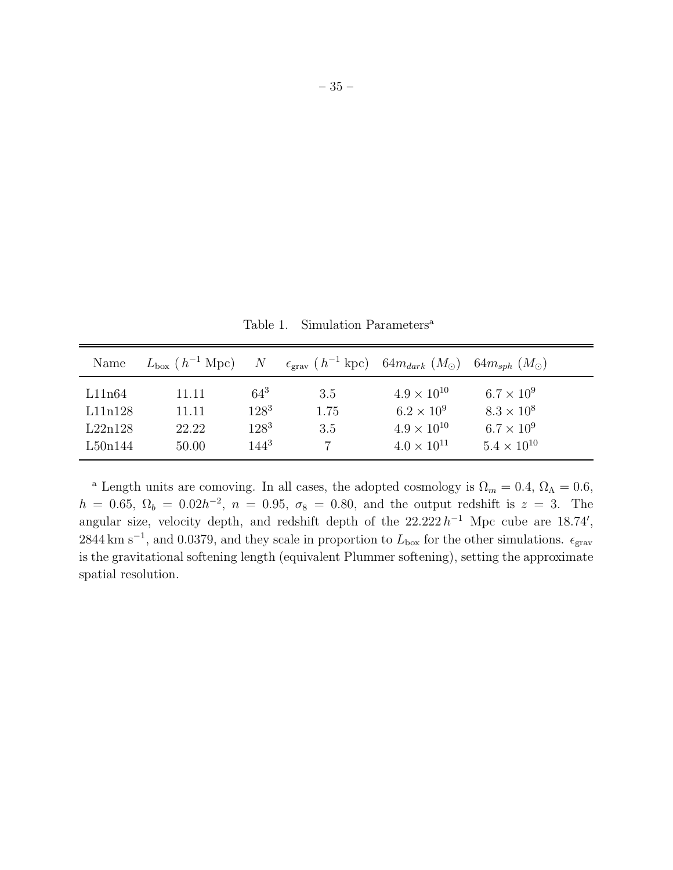Table 1. Simulation Parameters<sup>a</sup>

| Name                                    | $L_{\rm box}$ ( $h^{-1}$ Mpc)    | N                                           | $\epsilon_{\text{grav}}$ (h <sup>-1</sup> kpc) 64m <sub>dark</sub> (M <sub>o</sub> ) 64m <sub>sph</sub> (M <sub>o</sub> ) |                                                                                             |                                                                                       |
|-----------------------------------------|----------------------------------|---------------------------------------------|---------------------------------------------------------------------------------------------------------------------------|---------------------------------------------------------------------------------------------|---------------------------------------------------------------------------------------|
| L11n64<br>L11n128<br>L22n128<br>L50n144 | 11.11<br>11.11<br>22.22<br>50.00 | $64^3$<br>$128^3$<br>$128^{3}$<br>$144^{3}$ | 3.5<br>1.75<br>3.5                                                                                                        | $4.9 \times 10^{10}$<br>$6.2 \times 10^{9}$<br>$4.9 \times 10^{10}$<br>$4.0 \times 10^{11}$ | $6.7 \times 10^9$<br>$8.3 \times 10^8$<br>$6.7 \times 10^{9}$<br>$5.4 \times 10^{10}$ |

<sup>a</sup> Length units are comoving. In all cases, the adopted cosmology is  $\Omega_m = 0.4$ ,  $\Omega_{\Lambda} = 0.6$ ,  $h = 0.65, \ \Omega_b = 0.02h^{-2}, \ n = 0.95, \ \sigma_8 = 0.80, \text{ and the output redshift is } z = 3.$  The angular size, velocity depth, and redshift depth of the  $22.222 h^{-1}$  Mpc cube are 18.74', 2844 km s<sup>-1</sup>, and 0.0379, and they scale in proportion to  $L_{\text{box}}$  for the other simulations.  $\epsilon_{\text{grav}}$ is the gravitational softening length (equivalent Plummer softening), setting the approximate spatial resolution.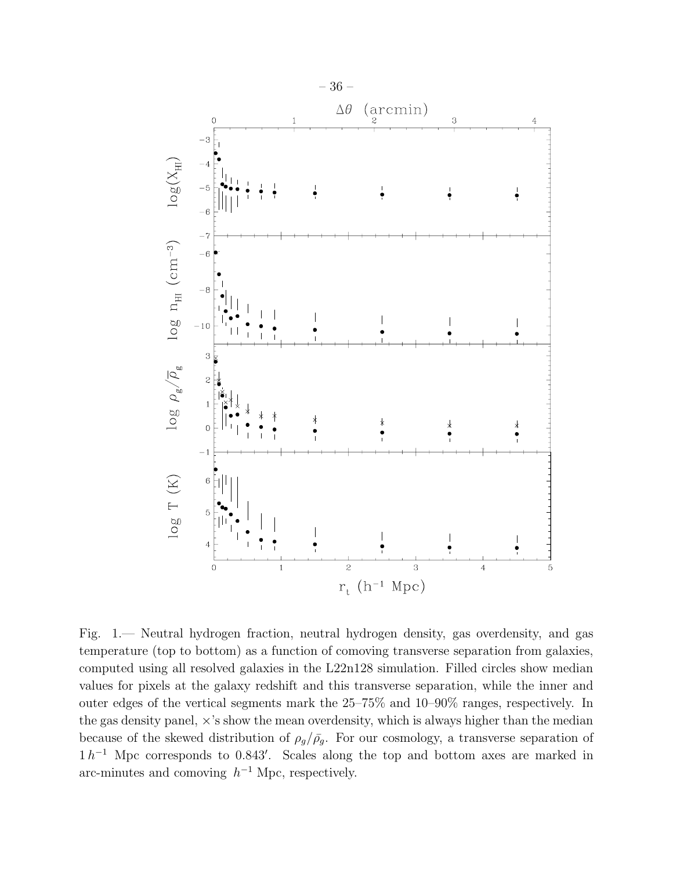

Fig. 1.— Neutral hydrogen fraction, neutral hydrogen density, gas overdensity, and gas temperature (top to bottom) as a function of comoving transverse separation from galaxies, computed using all resolved galaxies in the L22n128 simulation. Filled circles show median values for pixels at the galaxy redshift and this transverse separation, while the inner and outer edges of the vertical segments mark the 25–75% and 10–90% ranges, respectively. In the gas density panel,  $\times$ 's show the mean overdensity, which is always higher than the median because of the skewed distribution of  $\rho_g/\bar{\rho_g}$ . For our cosmology, a transverse separation of  $1 h^{-1}$  Mpc corresponds to 0.843'. Scales along the top and bottom axes are marked in arc-minutes and comoving  $h^{-1}$  Mpc, respectively.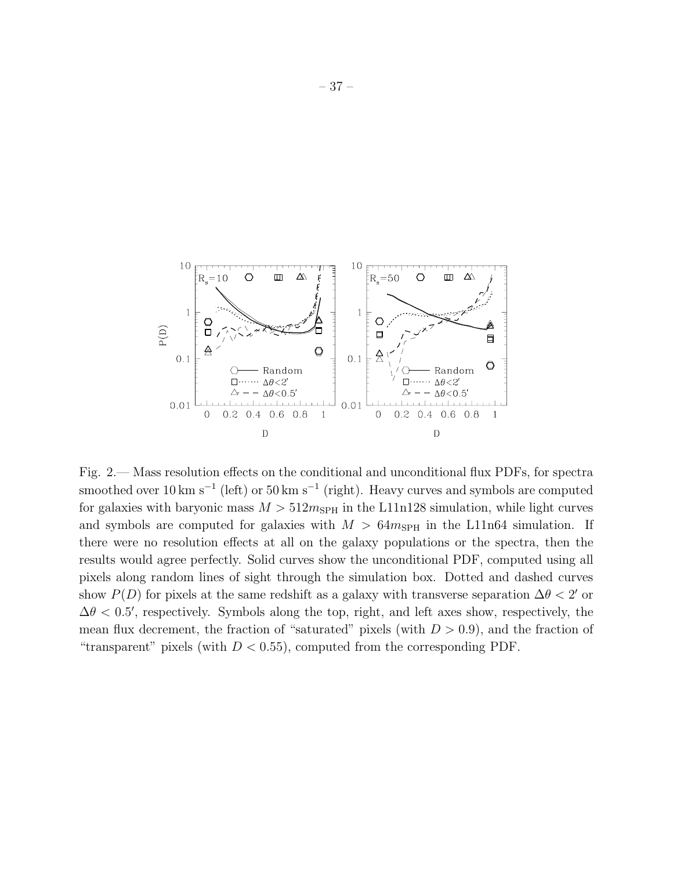

Fig. 2.— Mass resolution effects on the conditional and unconditional flux PDFs, for spectra smoothed over 10 km s<sup>-1</sup> (left) or 50 km s<sup>-1</sup> (right). Heavy curves and symbols are computed for galaxies with baryonic mass  $M > 512 m_{SPH}$  in the L11n128 simulation, while light curves and symbols are computed for galaxies with  $M > 64m_{SPH}$  in the L11n64 simulation. If there were no resolution effects at all on the galaxy populations or the spectra, then the results would agree perfectly. Solid curves show the unconditional PDF, computed using all pixels along random lines of sight through the simulation box. Dotted and dashed curves show  $P(D)$  for pixels at the same redshift as a galaxy with transverse separation  $\Delta\theta < 2'$  or  $\Delta\theta$  < 0.5', respectively. Symbols along the top, right, and left axes show, respectively, the mean flux decrement, the fraction of "saturated" pixels (with  $D > 0.9$ ), and the fraction of "transparent" pixels (with  $D < 0.55$ ), computed from the corresponding PDF.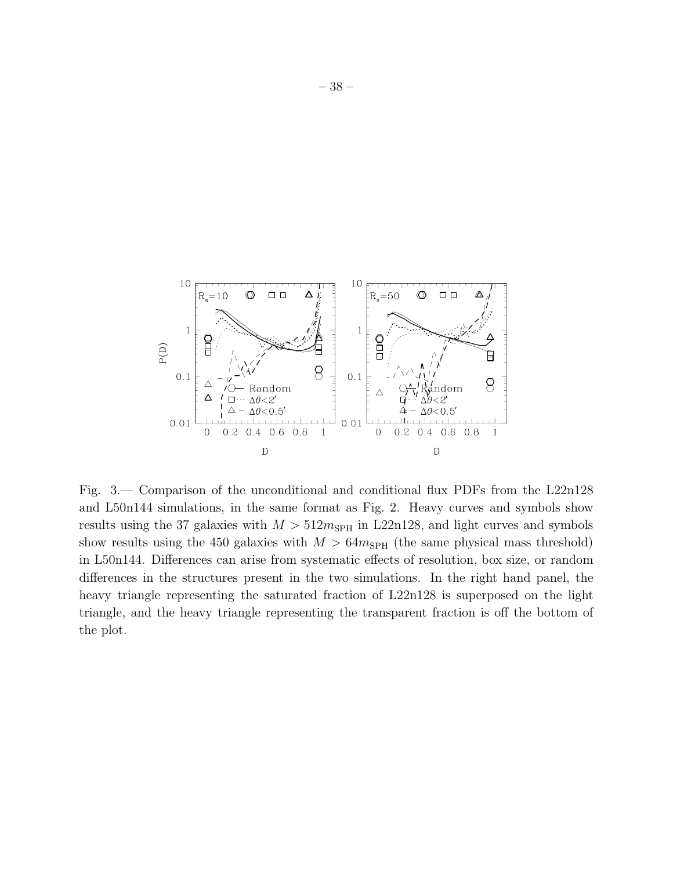

Fig. 3.— Comparison of the unconditional and conditional flux PDFs from the L22n128 and L50n144 simulations, in the same format as Fig. 2. Heavy curves and symbols show results using the 37 galaxies with  $M > 512 m_{SPH}$  in L22n128, and light curves and symbols show results using the 450 galaxies with  $M > 64m_{SPH}$  (the same physical mass threshold) in L50n144. Differences can arise from systematic effects of resolution, box size, or random differences in the structures present in the two simulations. In the right hand panel, the heavy triangle representing the saturated fraction of L22n128 is superposed on the light triangle, and the heavy triangle representing the transparent fraction is off the bottom of the plot.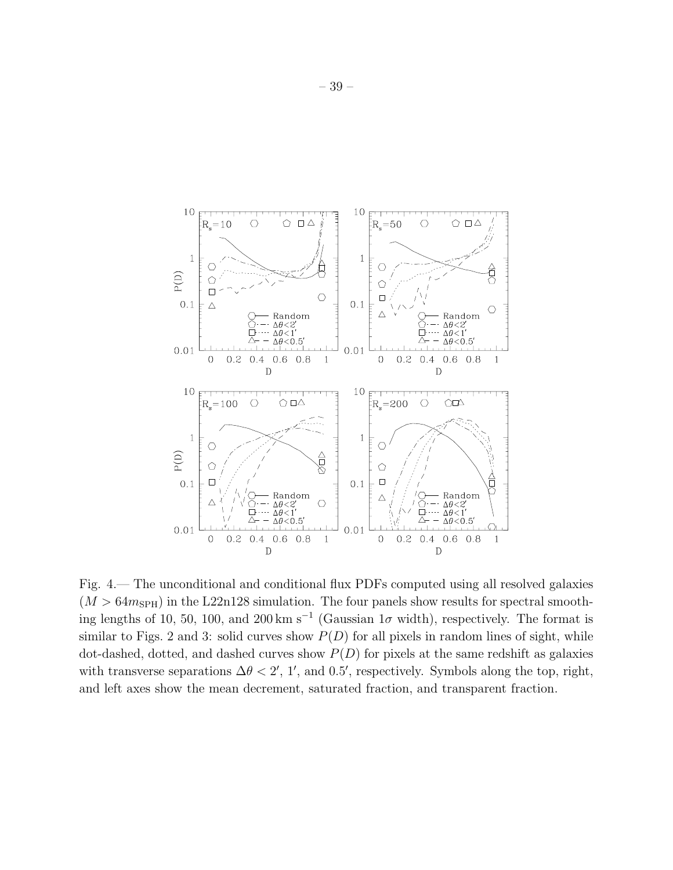

Fig. 4.— The unconditional and conditional flux PDFs computed using all resolved galaxies  $(M > 64m_{SPH})$  in the L22n128 simulation. The four panels show results for spectral smoothing lengths of 10, 50, 100, and 200 km s<sup>-1</sup> (Gaussian  $1\sigma$  width), respectively. The format is similar to Figs. 2 and 3: solid curves show  $P(D)$  for all pixels in random lines of sight, while dot-dashed, dotted, and dashed curves show  $P(D)$  for pixels at the same redshift as galaxies with transverse separations  $\Delta \theta < 2'$ , 1', and 0.5', respectively. Symbols along the top, right, and left axes show the mean decrement, saturated fraction, and transparent fraction.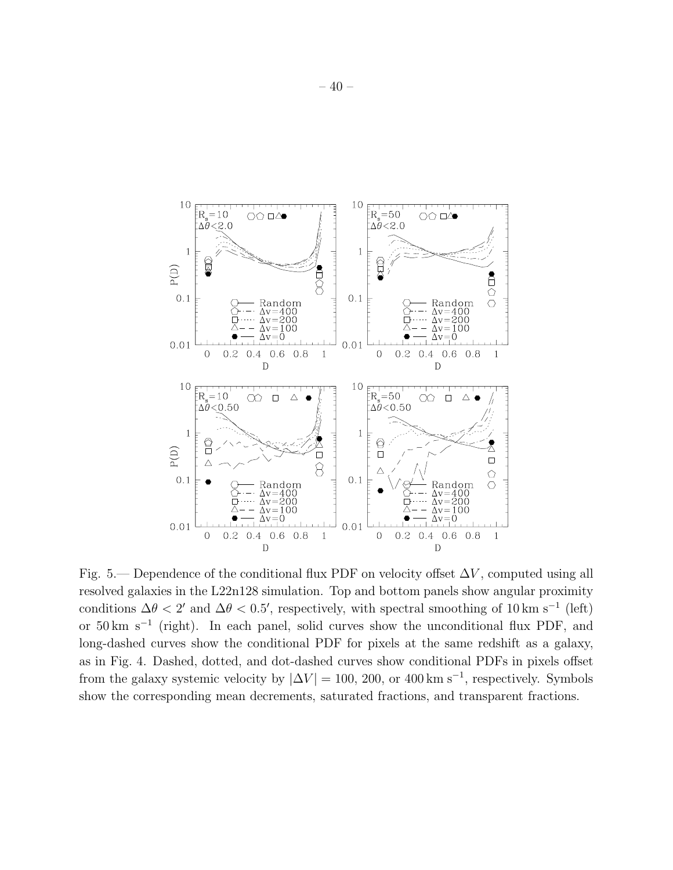

Fig. 5.— Dependence of the conditional flux PDF on velocity offset  $\Delta V$ , computed using all resolved galaxies in the L22n128 simulation. Top and bottom panels show angular proximity conditions  $\Delta\theta < 2'$  and  $\Delta\theta < 0.5'$ , respectively, with spectral smoothing of 10 km s<sup>-1</sup> (left) or 50 km s<sup>−</sup><sup>1</sup> (right). In each panel, solid curves show the unconditional flux PDF, and long-dashed curves show the conditional PDF for pixels at the same redshift as a galaxy, as in Fig. 4. Dashed, dotted, and dot-dashed curves show conditional PDFs in pixels offset from the galaxy systemic velocity by  $|\Delta V| = 100$ , 200, or 400 km s<sup>-1</sup>, respectively. Symbols show the corresponding mean decrements, saturated fractions, and transparent fractions.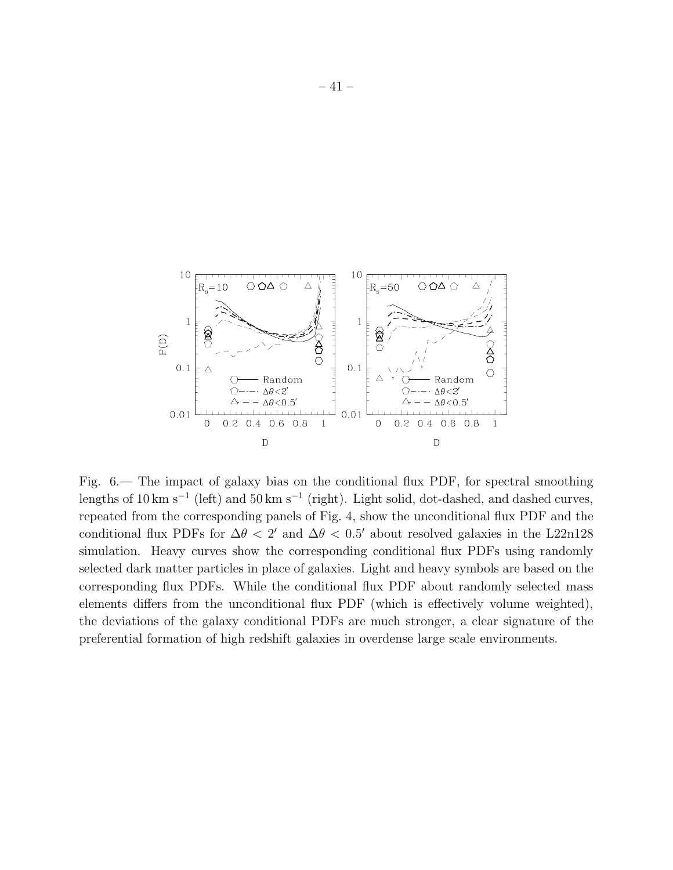

Fig. 6.— The impact of galaxy bias on the conditional flux PDF, for spectral smoothing lengths of 10 km s<sup>-1</sup> (left) and 50 km s<sup>-1</sup> (right). Light solid, dot-dashed, and dashed curves, repeated from the corresponding panels of Fig. 4, show the unconditional flux PDF and the conditional flux PDFs for  $\Delta\theta < 2'$  and  $\Delta\theta < 0.5'$  about resolved galaxies in the L22n128 simulation. Heavy curves show the corresponding conditional flux PDFs using randomly selected dark matter particles in place of galaxies. Light and heavy symbols are based on the corresponding flux PDFs. While the conditional flux PDF about randomly selected mass elements differs from the unconditional flux PDF (which is effectively volume weighted), the deviations of the galaxy conditional PDFs are much stronger, a clear signature of the preferential formation of high redshift galaxies in overdense large scale environments.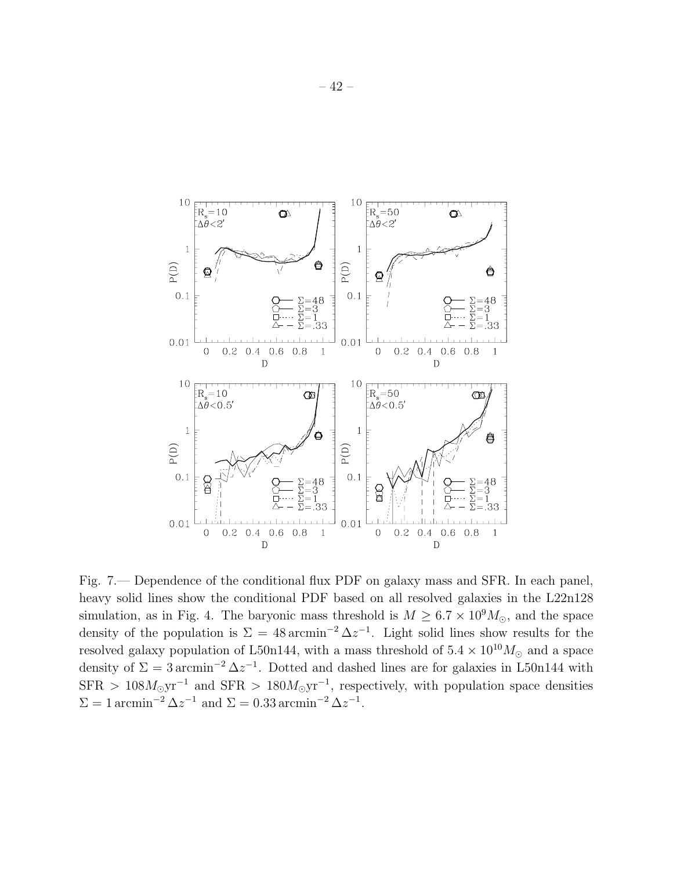

Fig. 7.— Dependence of the conditional flux PDF on galaxy mass and SFR. In each panel, heavy solid lines show the conditional PDF based on all resolved galaxies in the L22n128 simulation, as in Fig. 4. The baryonic mass threshold is  $M \geq 6.7 \times 10^9 M_{\odot}$ , and the space density of the population is  $\Sigma = 48 \text{ arcmin}^{-2} \Delta z^{-1}$ . Light solid lines show results for the resolved galaxy population of L50n144, with a mass threshold of  $5.4 \times 10^{10} M_{\odot}$  and a space density of  $\Sigma = 3 \arcsin^{-2} \Delta z^{-1}$ . Dotted and dashed lines are for galaxies in L50n144 with  $SFR > 108 M_{\odot} \text{yr}^{-1}$  and  $SFR > 180 M_{\odot} \text{yr}^{-1}$ , respectively, with population space densities  $\Sigma = 1$  arcmin<sup>-2</sup>  $\Delta z^{-1}$  and  $\Sigma = 0.33$  arcmin<sup>-2</sup>  $\Delta z^{-1}$ .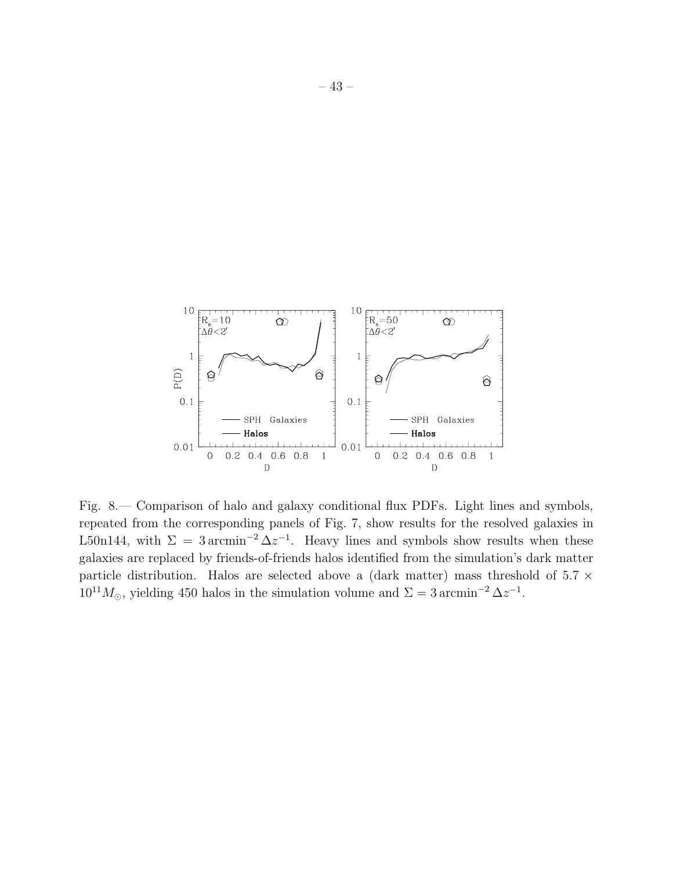

Fig. 8.— Comparison of halo and galaxy conditional flux PDFs. Light lines and symbols, repeated from the corresponding panels of Fig. 7, show results for the resolved galaxies in L50n144, with  $\Sigma = 3 \arcsin^{-2} \Delta z^{-1}$ . Heavy lines and symbols show results when these galaxies are replaced by friends-of-friends halos identified from the simulation's dark matter particle distribution. Halos are selected above a (dark matter) mass threshold of  $5.7 \times$  $10^{11} M_{\odot}$ , yielding 450 halos in the simulation volume and  $\Sigma = 3 \arcsin^{-2} \Delta z^{-1}$ .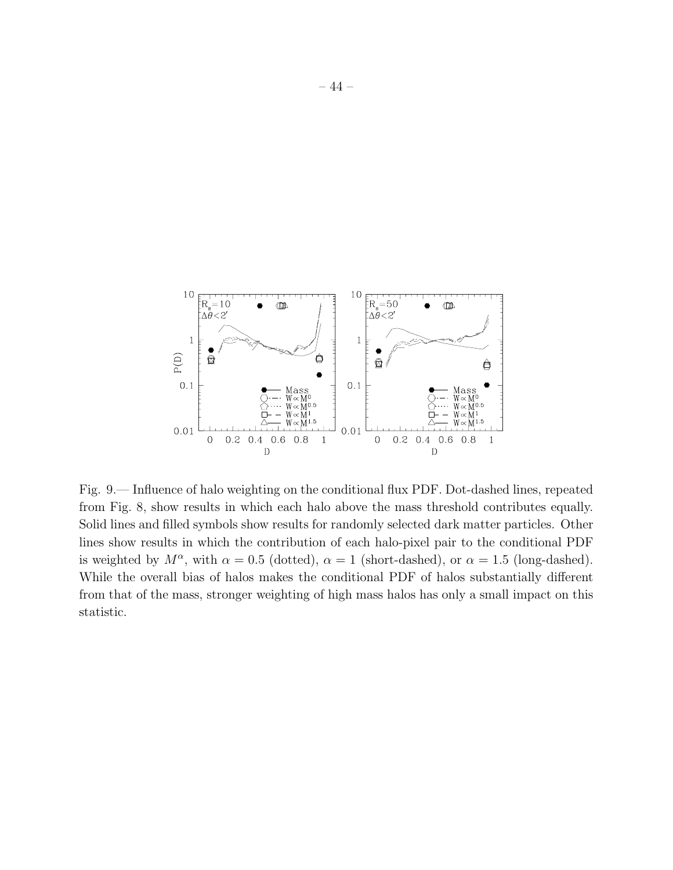

Fig. 9.— Influence of halo weighting on the conditional flux PDF. Dot-dashed lines, repeated from Fig. 8, show results in which each halo above the mass threshold contributes equally. Solid lines and filled symbols show results for randomly selected dark matter particles. Other lines show results in which the contribution of each halo-pixel pair to the conditional PDF is weighted by  $M^{\alpha}$ , with  $\alpha = 0.5$  (dotted),  $\alpha = 1$  (short-dashed), or  $\alpha = 1.5$  (long-dashed). While the overall bias of halos makes the conditional PDF of halos substantially different from that of the mass, stronger weighting of high mass halos has only a small impact on this statistic.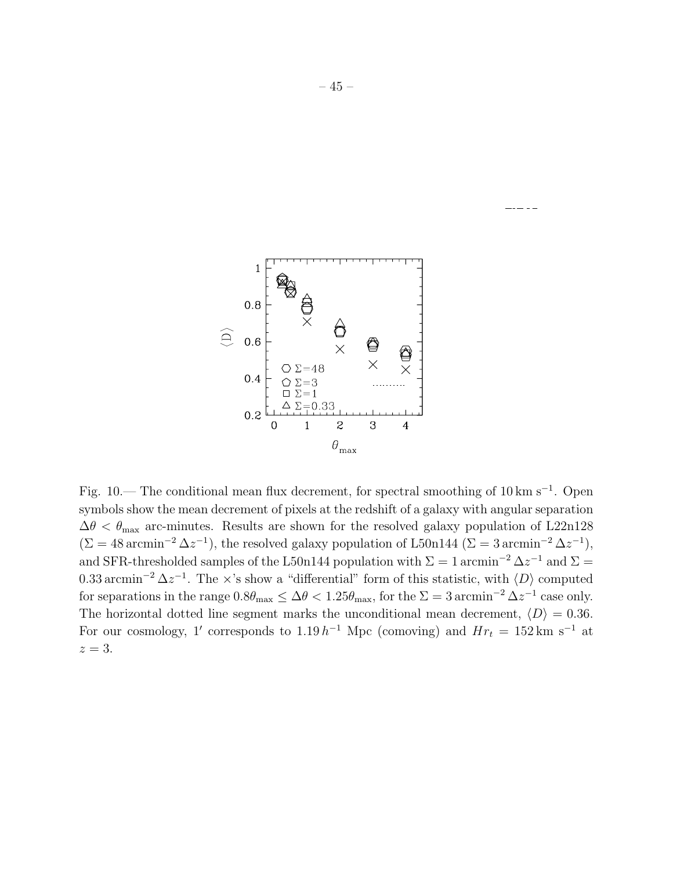

Fig. 10.— The conditional mean flux decrement, for spectral smoothing of 10 km s<sup>-1</sup>. Open symbols show the mean decrement of pixels at the redshift of a galaxy with angular separation  $\Delta\theta < \theta_{\text{max}}$  arc-minutes. Results are shown for the resolved galaxy population of L22n128  $(\Sigma = 48 \,\mathrm{arcmin}^{-2} \,\Delta z^{-1})$ , the resolved galaxy population of L50n144 ( $\Sigma = 3 \,\mathrm{arcmin}^{-2} \,\Delta z^{-1}$ ), and SFR-thresholded samples of the L50n144 population with  $\Sigma = 1$  arcmin<sup>-2</sup>  $\Delta z^{-1}$  and  $\Sigma =$ 0.33 arcmin<sup>-2</sup>  $\Delta z^{-1}$ . The ×'s show a "differential" form of this statistic, with  $\langle D \rangle$  computed for separations in the range  $0.8\theta_{\text{max}} \leq \Delta\theta < 1.25\theta_{\text{max}}$ , for the  $\Sigma = 3 \text{ arcmin}^{-2} \Delta z^{-1}$  case only. The horizontal dotted line segment marks the unconditional mean decrement,  $\langle D \rangle = 0.36$ . For our cosmology, 1' corresponds to  $1.19 h^{-1}$  Mpc (comoving) and  $Hr_t = 152 \text{ km s}^{-1}$  at  $z = 3$ .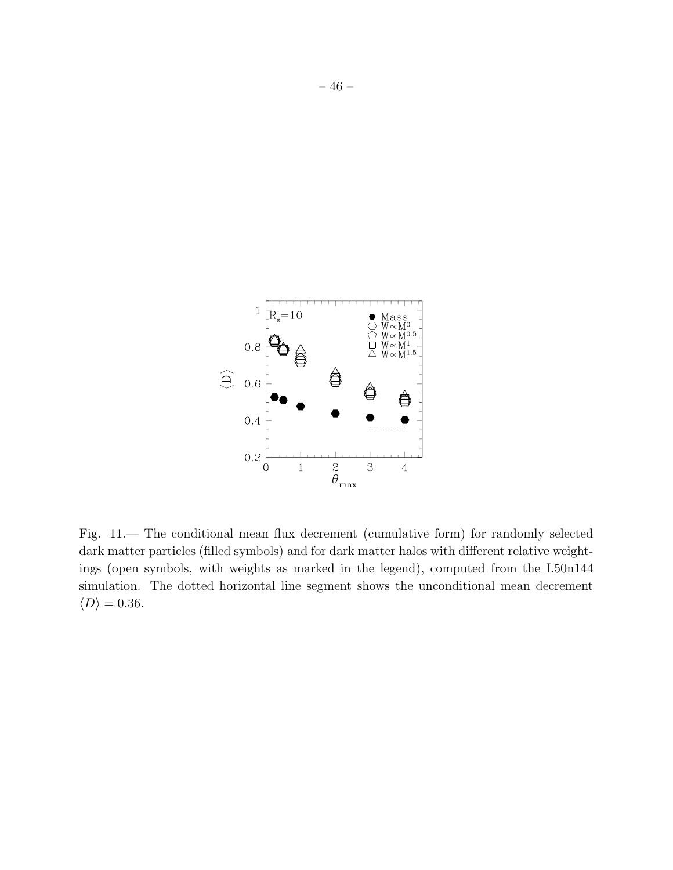

Fig. 11.— The conditional mean flux decrement (cumulative form) for randomly selected dark matter particles (filled symbols) and for dark matter halos with different relative weightings (open symbols, with weights as marked in the legend), computed from the L50n144 simulation. The dotted horizontal line segment shows the unconditional mean decrement  $\langle D \rangle = 0.36.$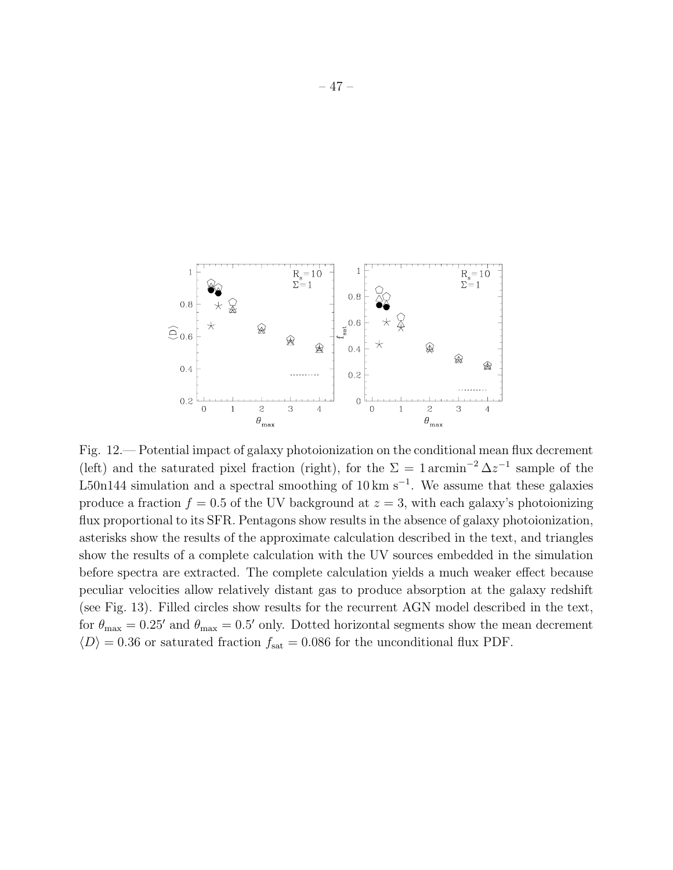

Fig. 12.— Potential impact of galaxy photoionization on the conditional mean flux decrement (left) and the saturated pixel fraction (right), for the  $\Sigma = 1 \arcsin^{-2} \Delta z^{-1}$  sample of the L50n144 simulation and a spectral smoothing of  $10 \text{ km s}^{-1}$ . We assume that these galaxies produce a fraction  $f = 0.5$  of the UV background at  $z = 3$ , with each galaxy's photoionizing flux proportional to its SFR. Pentagons show results in the absence of galaxy photoionization, asterisks show the results of the approximate calculation described in the text, and triangles show the results of a complete calculation with the UV sources embedded in the simulation before spectra are extracted. The complete calculation yields a much weaker effect because peculiar velocities allow relatively distant gas to produce absorption at the galaxy redshift (see Fig. 13). Filled circles show results for the recurrent AGN model described in the text, for  $\theta_{\text{max}} = 0.25'$  and  $\theta_{\text{max}} = 0.5'$  only. Dotted horizontal segments show the mean decrement  $\langle D \rangle = 0.36$  or saturated fraction  $f_{\rm sat} = 0.086$  for the unconditional flux PDF.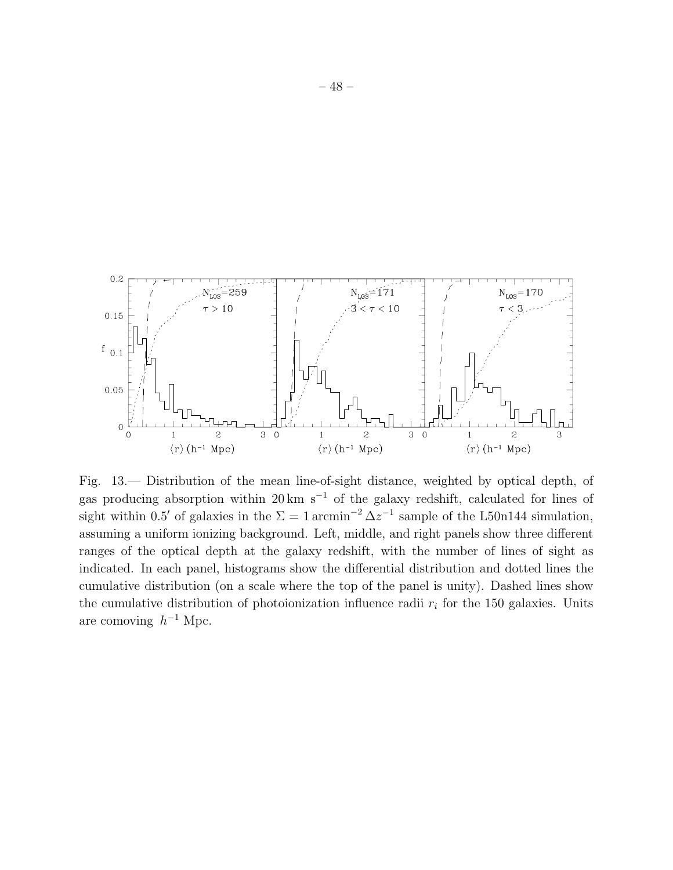

Fig. 13.— Distribution of the mean line-of-sight distance, weighted by optical depth, of gas producing absorption within 20 km s<sup> $-1$ </sup> of the galaxy redshift, calculated for lines of sight within 0.5' of galaxies in the  $\Sigma = 1 \arcsin^{-2} \Delta z^{-1}$  sample of the L50n144 simulation, assuming a uniform ionizing background. Left, middle, and right panels show three different ranges of the optical depth at the galaxy redshift, with the number of lines of sight as indicated. In each panel, histograms show the differential distribution and dotted lines the cumulative distribution (on a scale where the top of the panel is unity). Dashed lines show the cumulative distribution of photoionization influence radii  $r_i$  for the 150 galaxies. Units are comoving  $h^{-1}$  Mpc.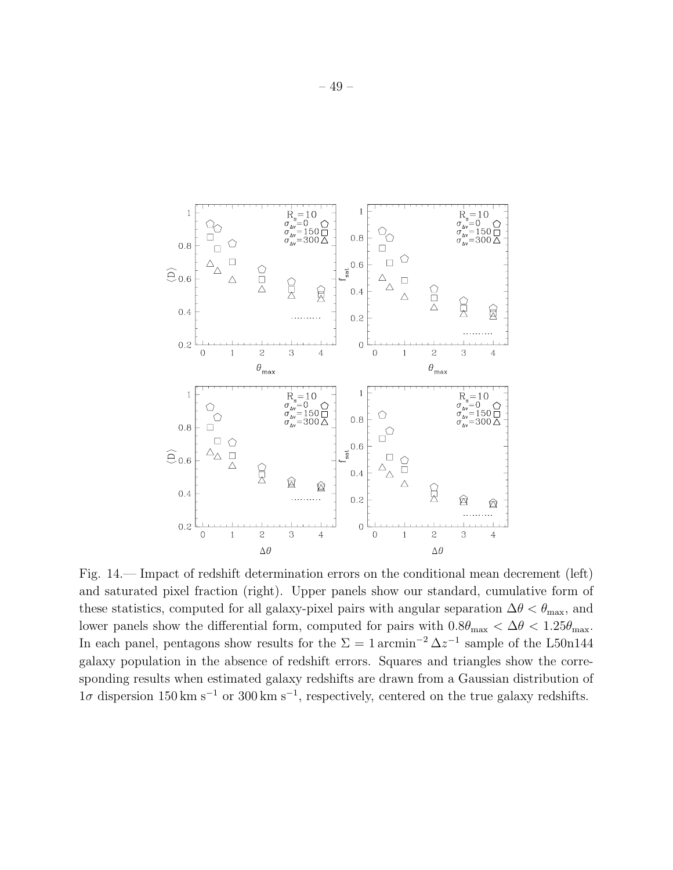

Fig. 14.— Impact of redshift determination errors on the conditional mean decrement (left) and saturated pixel fraction (right). Upper panels show our standard, cumulative form of these statistics, computed for all galaxy-pixel pairs with angular separation  $\Delta\theta < \theta_{\text{max}}$ , and lower panels show the differential form, computed for pairs with  $0.8\theta_{\text{max}} < \Delta\theta < 1.25\theta_{\text{max}}$ . In each panel, pentagons show results for the  $\Sigma = 1 \arcsin^{-2} \Delta z^{-1}$  sample of the L50n144 galaxy population in the absence of redshift errors. Squares and triangles show the corresponding results when estimated galaxy redshifts are drawn from a Gaussian distribution of  $1\sigma$  dispersion 150 km s<sup>-1</sup> or 300 km s<sup>-1</sup>, respectively, centered on the true galaxy redshifts.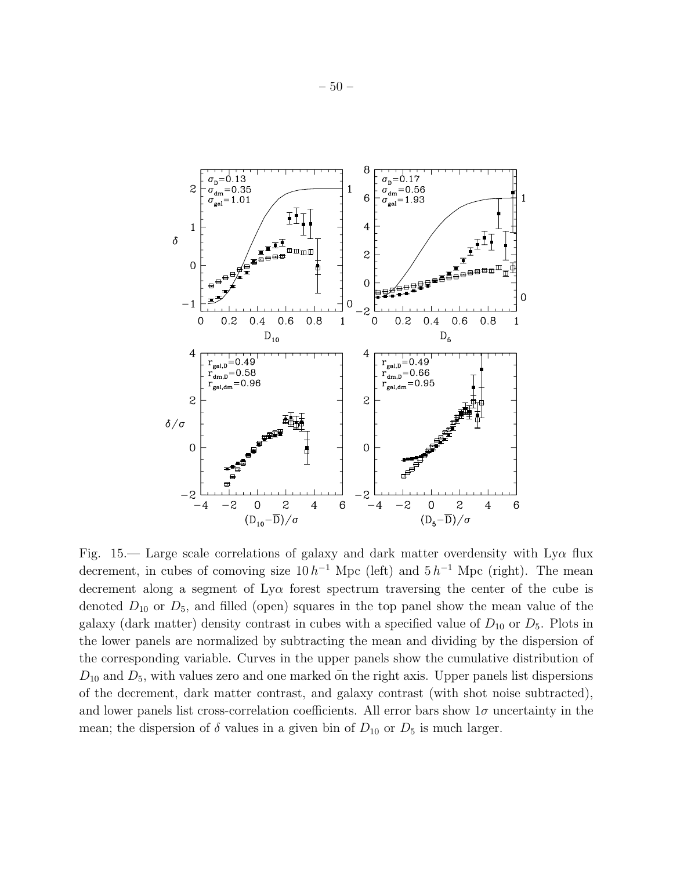

Fig. 15.— Large scale correlations of galaxy and dark matter overdensity with  $Ly\alpha$  flux decrement, in cubes of comoving size  $10 h^{-1}$  Mpc (left) and  $5 h^{-1}$  Mpc (right). The mean decrement along a segment of  $Ly\alpha$  forest spectrum traversing the center of the cube is denoted  $D_{10}$  or  $D_5$ , and filled (open) squares in the top panel show the mean value of the galaxy (dark matter) density contrast in cubes with a specified value of  $D_{10}$  or  $D_5$ . Plots in the lower panels are normalized by subtracting the mean and dividing by the dispersion of the corresponding variable. Curves in the upper panels show the cumulative distribution of  $D_{10}$  and  $D_5$ , with values zero and one marked on the right axis. Upper panels list dispersions of the decrement, dark matter contrast, and galaxy contrast (with shot noise subtracted), and lower panels list cross-correlation coefficients. All error bars show  $1\sigma$  uncertainty in the mean; the dispersion of  $\delta$  values in a given bin of  $D_{10}$  or  $D_5$  is much larger.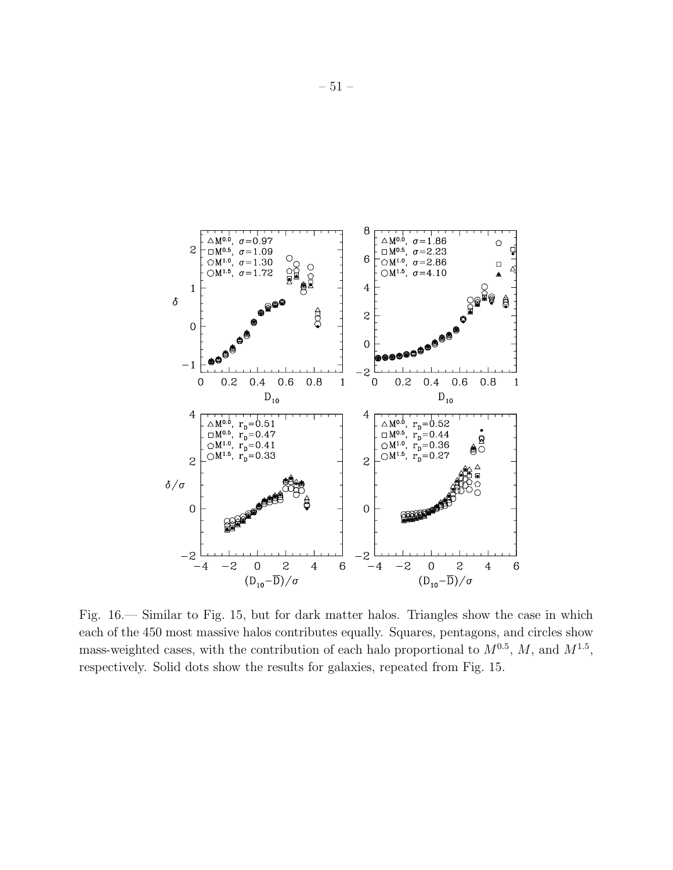

Fig. 16.— Similar to Fig. 15, but for dark matter halos. Triangles show the case in which each of the 450 most massive halos contributes equally. Squares, pentagons, and circles show mass-weighted cases, with the contribution of each halo proportional to  $M^{0.5}$ , M, and  $M^{1.5}$ , respectively. Solid dots show the results for galaxies, repeated from Fig. 15.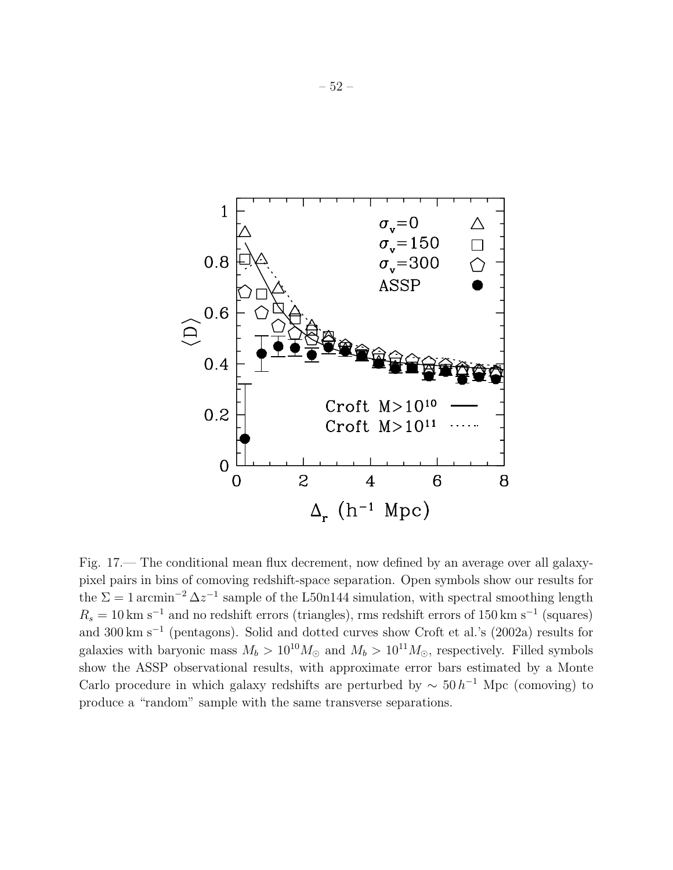

Fig. 17.— The conditional mean flux decrement, now defined by an average over all galaxypixel pairs in bins of comoving redshift-space separation. Open symbols show our results for the  $\Sigma = 1$  arcmin<sup>-2</sup>  $\Delta z^{-1}$  sample of the L50n144 simulation, with spectral smoothing length  $R_s = 10 \text{ km s}^{-1}$  and no redshift errors (triangles), rms redshift errors of 150 km s<sup>-1</sup> (squares) and 300 km s<sup>−</sup><sup>1</sup> (pentagons). Solid and dotted curves show Croft et al.'s (2002a) results for galaxies with baryonic mass  $M_b > 10^{10} M_{\odot}$  and  $M_b > 10^{11} M_{\odot}$ , respectively. Filled symbols show the ASSP observational results, with approximate error bars estimated by a Monte Carlo procedure in which galaxy redshifts are perturbed by  $\sim 50 h^{-1}$  Mpc (comoving) to produce a "random" sample with the same transverse separations.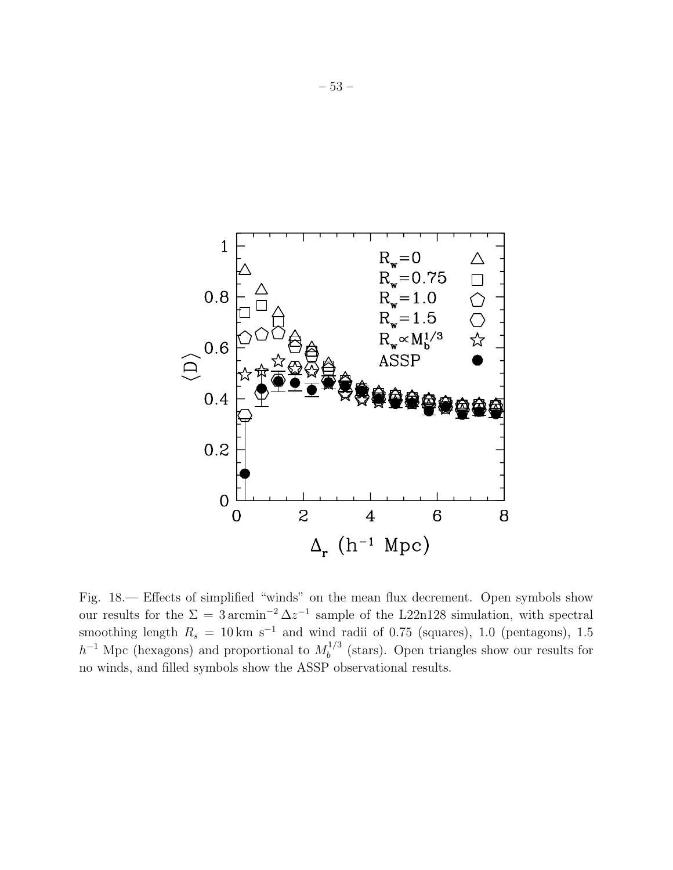

Fig. 18.— Effects of simplified "winds" on the mean flux decrement. Open symbols show our results for the  $\Sigma = 3 \arcsin^{-2} \Delta z^{-1}$  sample of the L22n128 simulation, with spectral smoothing length  $R_s = 10 \text{ km s}^{-1}$  and wind radii of 0.75 (squares), 1.0 (pentagons), 1.5  $h^{-1}$  Mpc (hexagons) and proportional to  $M_h^{1/3}$  $b<sup>1/3</sup>$  (stars). Open triangles show our results for no winds, and filled symbols show the ASSP observational results.